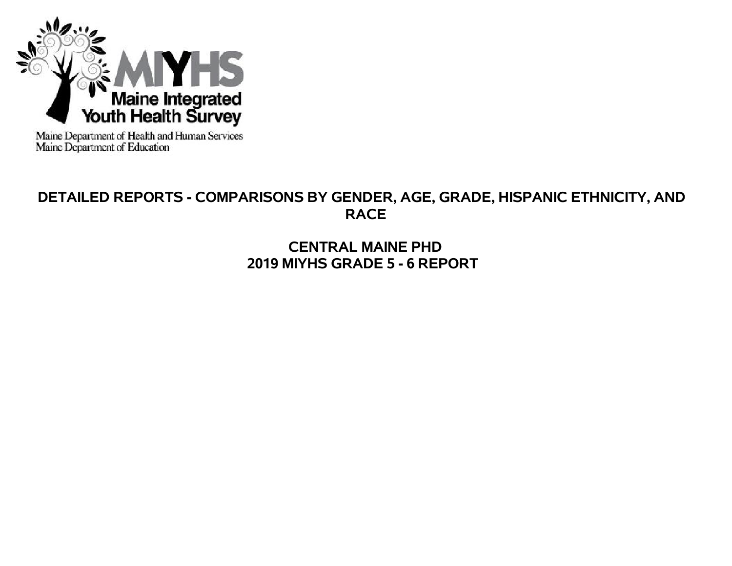

Maine Department of Health and Human Services<br>Maine Department of Education

# **DETAILED REPORTS - COMPARISONS BY GENDER, AGE, GRADE, HISPANIC ETHNICITY, AND RACE**

**CENTRAL MAINE PHD 2019 MIYHS GRADE 5 - 6 REPORT**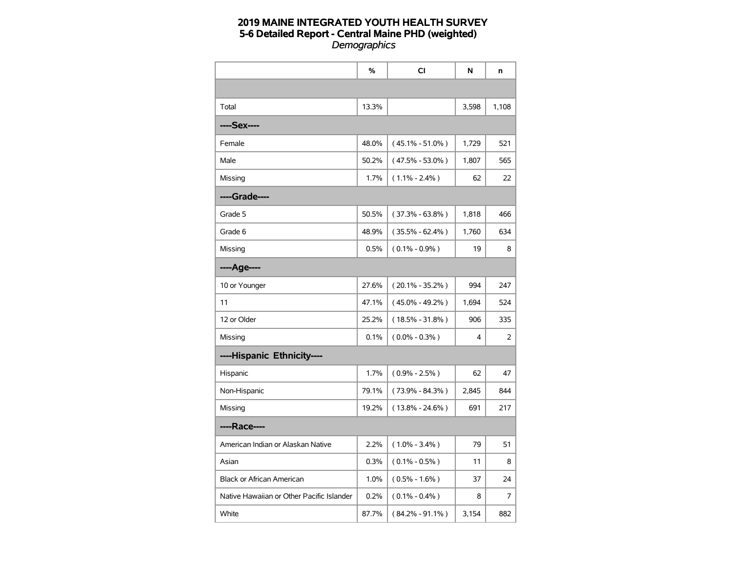|                                           | %     | CI                  | N     | n     |
|-------------------------------------------|-------|---------------------|-------|-------|
|                                           |       |                     |       |       |
| Total                                     | 13.3% |                     | 3,598 | 1,108 |
| ----Sex----                               |       |                     |       |       |
| Female                                    | 48.0% | $(45.1\% - 51.0\%)$ | 1,729 | 521   |
| Male                                      | 50.2% | $(47.5\% - 53.0\%)$ | 1,807 | 565   |
| Missing                                   | 1.7%  | $(1.1\% - 2.4\%)$   | 62    | 22    |
| ----Grade----                             |       |                     |       |       |
| Grade 5                                   | 50.5% | $(37.3\% - 63.8\%)$ | 1,818 | 466   |
| Grade 6                                   | 48.9% | $(35.5\% - 62.4\%)$ | 1,760 | 634   |
| Missing                                   | 0.5%  | $(0.1\% - 0.9\%)$   | 19    | 8     |
| ----Age----                               |       |                     |       |       |
| 10 or Younger                             | 27.6% | $(20.1\% - 35.2\%)$ | 994   | 247   |
| 11                                        | 47.1% | $(45.0\% - 49.2\%)$ | 1,694 | 524   |
| 12 or Older                               | 25.2% | $(18.5\% - 31.8\%)$ | 906   | 335   |
| Missing                                   | 0.1%  | $(0.0\% - 0.3\%)$   | 4     | 2     |
| ----Hispanic Ethnicity----                |       |                     |       |       |
| Hispanic                                  | 1.7%  | $(0.9\% - 2.5\%)$   | 62    | 47    |
| Non-Hispanic                              | 79.1% | $(73.9\% - 84.3\%)$ | 2,845 | 844   |
| Missing                                   | 19.2% | $(13.8\% - 24.6\%)$ | 691   | 217   |
| ----Race----                              |       |                     |       |       |
| American Indian or Alaskan Native         | 2.2%  | $(1.0\% - 3.4\%)$   | 79    | 51    |
| Asian                                     | 0.3%  | $(0.1\% - 0.5\%)$   | 11    | 8     |
| <b>Black or African American</b>          | 1.0%  | $(0.5\% - 1.6\%)$   | 37    | 24    |
| Native Hawaiian or Other Pacific Islander | 0.2%  | $(0.1\% - 0.4\%)$   | 8     | 7     |
| White                                     | 87.7% | $(84.2\% - 91.1\%)$ | 3,154 | 882   |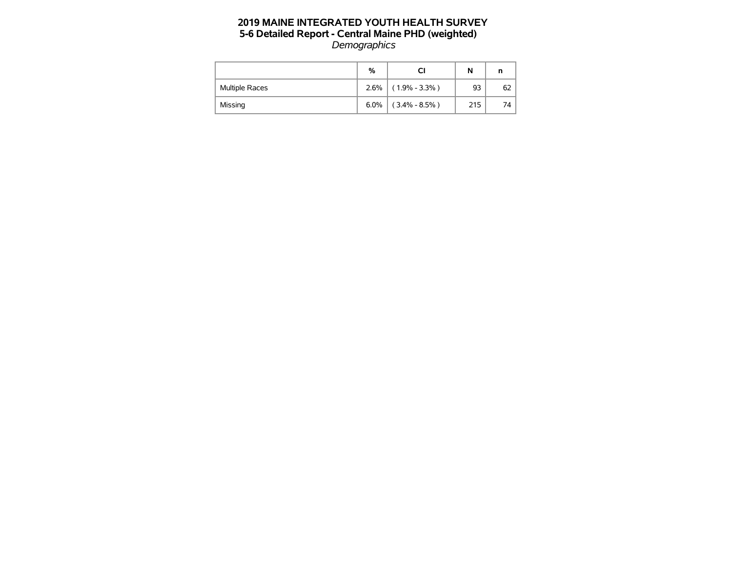|                       | %    |                   | N   | n  |
|-----------------------|------|-------------------|-----|----|
| <b>Multiple Races</b> | 2.6% | $(1.9\% - 3.3\%)$ | 93  | 62 |
| Missing               | 6.0% | $(3.4\% - 8.5\%)$ | 215 | 74 |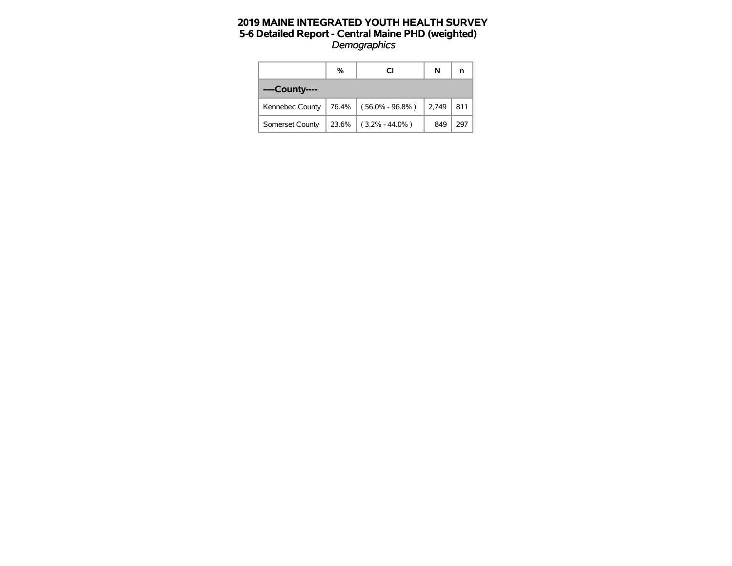|                 | %     | <b>CI</b>                | N     | n   |
|-----------------|-------|--------------------------|-------|-----|
| ----County----  |       |                          |       |     |
| Kennebec County |       | $76.4\%$ (56.0% - 96.8%) | 2,749 | 811 |
| Somerset County | 23.6% | $(3.2\% - 44.0\%)$       | 849   | 297 |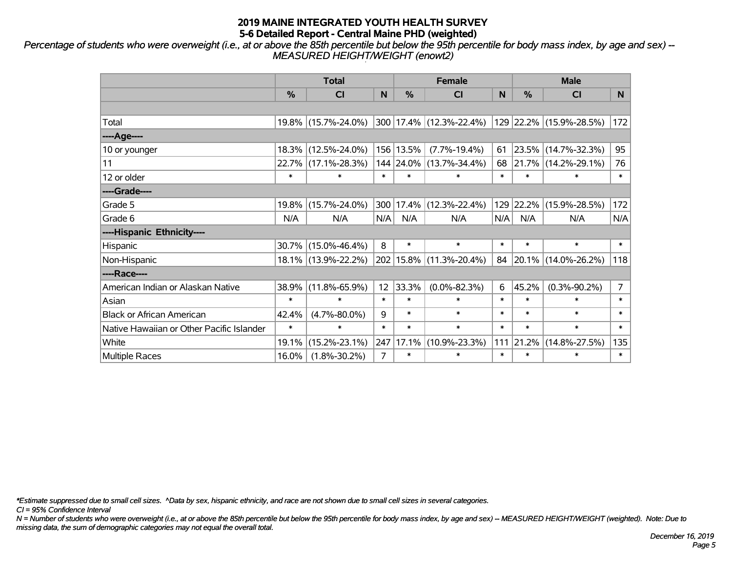*Percentage of students who were overweight (i.e., at or above the 85th percentile but below the 95th percentile for body mass index, by age and sex) -- MEASURED HEIGHT/WEIGHT (enowt2)*

|                                           |        | <b>Total</b>        |                |               | <b>Female</b>           |        |        | <b>Male</b>             |                |
|-------------------------------------------|--------|---------------------|----------------|---------------|-------------------------|--------|--------|-------------------------|----------------|
|                                           | %      | <b>CI</b>           | N              | $\frac{0}{0}$ | <b>CI</b>               | N      | %      | <b>CI</b>               | N.             |
|                                           |        |                     |                |               |                         |        |        |                         |                |
| Total                                     |        | 19.8% (15.7%-24.0%) |                |               | 300 17.4% (12.3%-22.4%) |        |        | 129 22.2% (15.9%-28.5%) | 172            |
| ----Age----                               |        |                     |                |               |                         |        |        |                         |                |
| 10 or younger                             |        | 18.3% (12.5%-24.0%) |                | 156 13.5%     | $(7.7\% - 19.4\%)$      | 61     | 23.5%  | $(14.7\% - 32.3\%)$     | 95             |
| 11                                        |        | 22.7% (17.1%-28.3%) |                |               | 144 24.0% (13.7%-34.4%) | 68     |        | 21.7% (14.2%-29.1%)     | 76             |
| 12 or older                               | $\ast$ | $\ast$              | $\ast$         | $\ast$        | $\ast$                  | $\ast$ | $\ast$ | $\ast$                  | $\ast$         |
| ----Grade----                             |        |                     |                |               |                         |        |        |                         |                |
| Grade 5                                   | 19.8%  | $(15.7\% - 24.0\%)$ | 300            | 17.4%         | $(12.3\% - 22.4\%)$     | 129    | 22.2%  | $(15.9\% - 28.5\%)$     | 172            |
| Grade 6                                   | N/A    | N/A                 | N/A            | N/A           | N/A                     | N/A    | N/A    | N/A                     | N/A            |
| ----Hispanic Ethnicity----                |        |                     |                |               |                         |        |        |                         |                |
| Hispanic                                  | 30.7%  | $(15.0\% - 46.4\%)$ | 8              | $\ast$        | $\ast$                  | $\ast$ | $\ast$ | $\ast$                  | $\ast$         |
| Non-Hispanic                              |        | 18.1% (13.9%-22.2%) |                |               | 202 15.8% (11.3%-20.4%) | 84     |        | 20.1% (14.0%-26.2%)     | 118            |
| ----Race----                              |        |                     |                |               |                         |        |        |                         |                |
| American Indian or Alaskan Native         | 38.9%  | $(11.8\% - 65.9\%)$ | 12             | 33.3%         | $(0.0\% - 82.3\%)$      | 6      | 45.2%  | $(0.3\% - 90.2\%)$      | $\overline{7}$ |
| Asian                                     | $\ast$ | $\ast$              | $\ast$         | $\ast$        | $\ast$                  | $\ast$ | $\ast$ | $\ast$                  | $\ast$         |
| <b>Black or African American</b>          | 42.4%  | $(4.7\% - 80.0\%)$  | 9              | $\ast$        | $\ast$                  | $\ast$ | $\ast$ | $\ast$                  | $\ast$         |
| Native Hawaiian or Other Pacific Islander | $\ast$ | $\ast$              | $\ast$         | $\ast$        | $\ast$                  | $\ast$ | $\ast$ | $\ast$                  | $\ast$         |
| White                                     | 19.1%  | $(15.2\% - 23.1\%)$ | 247            | 17.1%         | $(10.9\% - 23.3\%)$     | 111    | 21.2%  | $(14.8\% - 27.5\%)$     | 135            |
| <b>Multiple Races</b>                     | 16.0%  | $(1.8\% - 30.2\%)$  | $\overline{7}$ | $\ast$        | *                       | $\ast$ | $\ast$ | $\ast$                  | $\ast$         |

*\*Estimate suppressed due to small cell sizes. ^Data by sex, hispanic ethnicity, and race are not shown due to small cell sizes in several categories.*

*CI = 95% Confidence Interval*

*N = Number of students who were overweight (i.e., at or above the 85th percentile but below the 95th percentile for body mass index, by age and sex) -- MEASURED HEIGHT/WEIGHT (weighted). Note: Due to missing data, the sum of demographic categories may not equal the overall total.*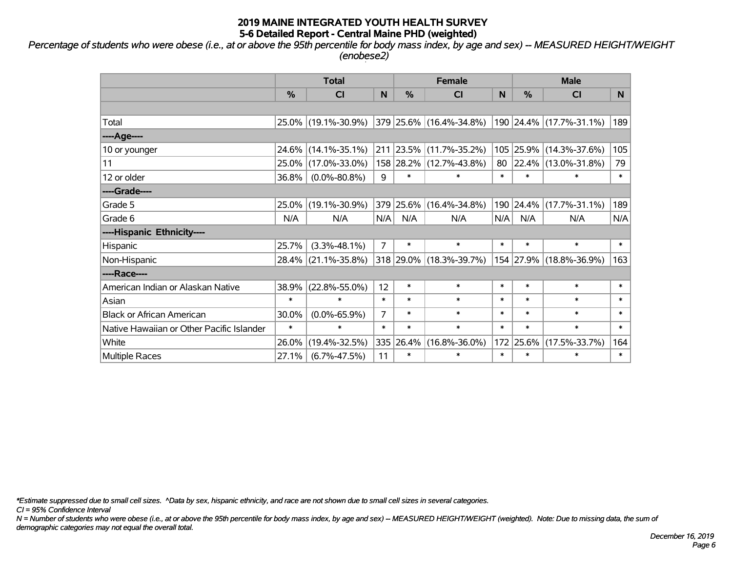*Percentage of students who were obese (i.e., at or above the 95th percentile for body mass index, by age and sex) -- MEASURED HEIGHT/WEIGHT (enobese2)*

|                                           |        | <b>Total</b>        |                |            | <b>Female</b>           |        | <b>Male</b>   |                         |        |  |
|-------------------------------------------|--------|---------------------|----------------|------------|-------------------------|--------|---------------|-------------------------|--------|--|
|                                           | %      | C <sub>l</sub>      | N              | %          | <b>CI</b>               | N      | $\frac{0}{0}$ | <b>CI</b>               | N.     |  |
|                                           |        |                     |                |            |                         |        |               |                         |        |  |
| Total                                     |        | 25.0% (19.1%-30.9%) |                |            | 379 25.6% (16.4%-34.8%) |        |               | 190 24.4% (17.7%-31.1%) | 189    |  |
| ----Age----                               |        |                     |                |            |                         |        |               |                         |        |  |
| 10 or younger                             | 24.6%  | $(14.1\% - 35.1\%)$ | 211            | $ 23.5\% $ | $(11.7\% - 35.2\%)$     |        | 105 25.9%     | $(14.3\% - 37.6\%)$     | 105    |  |
| 11                                        | 25.0%  | $(17.0\% - 33.0\%)$ |                | 158 28.2%  | $(12.7\% - 43.8\%)$     | 80     | 22.4%         | $(13.0\% - 31.8\%)$     | 79     |  |
| 12 or older                               | 36.8%  | $(0.0\% - 80.8\%)$  | 9              | $\ast$     | $\ast$                  | $\ast$ | $\ast$        | $\ast$                  | $\ast$ |  |
| ----Grade----                             |        |                     |                |            |                         |        |               |                         |        |  |
| Grade 5                                   | 25.0%  | $(19.1\% - 30.9\%)$ |                | 379 25.6%  | $(16.4\% - 34.8\%)$     |        | 190 24.4%     | $(17.7\% - 31.1\%)$     | 189    |  |
| Grade 6                                   | N/A    | N/A                 | N/A            | N/A        | N/A                     | N/A    | N/A           | N/A                     | N/A    |  |
| ----Hispanic Ethnicity----                |        |                     |                |            |                         |        |               |                         |        |  |
| Hispanic                                  | 25.7%  | $(3.3\% - 48.1\%)$  | $\overline{7}$ | $\ast$     | $\ast$                  | $\ast$ | $\ast$        | $\ast$                  | $\ast$ |  |
| Non-Hispanic                              |        | 28.4% (21.1%-35.8%) |                |            | 318 29.0% (18.3%-39.7%) |        | 154 27.9%     | $(18.8\% - 36.9\%)$     | 163    |  |
| ----Race----                              |        |                     |                |            |                         |        |               |                         |        |  |
| American Indian or Alaskan Native         | 38.9%  | $(22.8\% - 55.0\%)$ | 12             | $\ast$     | $\ast$                  | $\ast$ | $\ast$        | $\ast$                  | $\ast$ |  |
| Asian                                     | $\ast$ | $\ast$              | $\ast$         | $\ast$     | $\ast$                  | $\ast$ | $\ast$        | $\ast$                  | $\ast$ |  |
| <b>Black or African American</b>          | 30.0%  | $(0.0\% - 65.9\%)$  | $\overline{7}$ | $\ast$     | $\ast$                  | $\ast$ | $\ast$        | $\ast$                  | $\ast$ |  |
| Native Hawaiian or Other Pacific Islander | $\ast$ | $\ast$              | $\ast$         | $\ast$     | $\ast$                  | $\ast$ | $\ast$        | $\ast$                  | $\ast$ |  |
| White                                     | 26.0%  | $(19.4\% - 32.5\%)$ | 335            | 26.4%      | $(16.8\% - 36.0\%)$     | 172    | 25.6%         | $(17.5\% - 33.7\%)$     | 164    |  |
| <b>Multiple Races</b>                     | 27.1%  | $(6.7\% - 47.5\%)$  | 11             | $\ast$     | $\ast$                  | $\ast$ | $\ast$        | $\ast$                  | $\ast$ |  |

*\*Estimate suppressed due to small cell sizes. ^Data by sex, hispanic ethnicity, and race are not shown due to small cell sizes in several categories.*

*CI = 95% Confidence Interval*

*N = Number of students who were obese (i.e., at or above the 95th percentile for body mass index, by age and sex) -- MEASURED HEIGHT/WEIGHT (weighted). Note: Due to missing data, the sum of demographic categories may not equal the overall total.*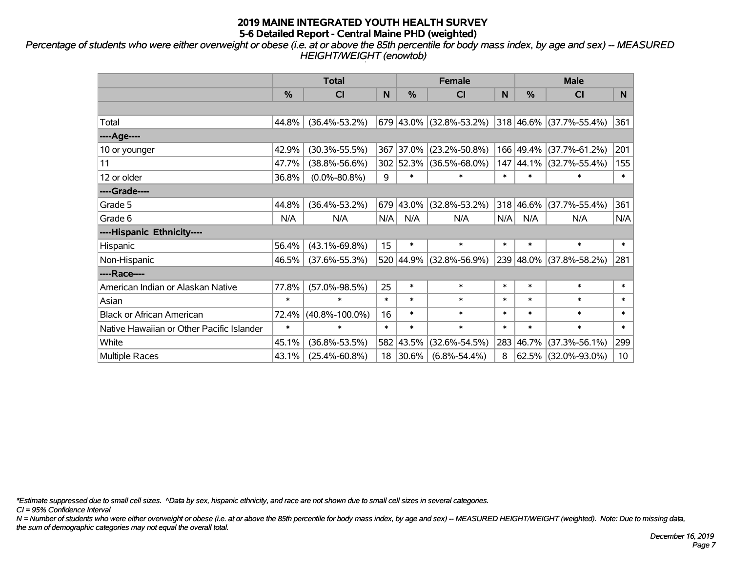*Percentage of students who were either overweight or obese (i.e. at or above the 85th percentile for body mass index, by age and sex) -- MEASURED HEIGHT/WEIGHT (enowtob)*

|                                           |               | <b>Total</b>         |        |           | <b>Female</b>           |        | <b>Male</b> |                         |                 |  |
|-------------------------------------------|---------------|----------------------|--------|-----------|-------------------------|--------|-------------|-------------------------|-----------------|--|
|                                           | $\frac{9}{6}$ | C <sub>l</sub>       | N      | %         | CI                      | N      | %           | <b>CI</b>               | N.              |  |
|                                           |               |                      |        |           |                         |        |             |                         |                 |  |
| Total                                     | 44.8%         | $(36.4\% - 53.2\%)$  |        |           | 679 43.0% (32.8%-53.2%) |        | 318 46.6%   | $(37.7\% - 55.4\%)$     | 361             |  |
| ----Age----                               |               |                      |        |           |                         |        |             |                         |                 |  |
| 10 or younger                             | 42.9%         | $(30.3\% - 55.5\%)$  | 367    | 37.0%     | $(23.2\% - 50.8\%)$     |        | 166 49.4%   | $(37.7\% - 61.2\%)$     | 201             |  |
| 11                                        | 47.7%         | $(38.8\% - 56.6\%)$  |        | 302 52.3% | $(36.5\% - 68.0\%)$     |        |             | 147 44.1% (32.7%-55.4%) | 155             |  |
| 12 or older                               | 36.8%         | $(0.0\% - 80.8\%)$   | 9      | $\ast$    | $\ast$                  | $\ast$ | $\ast$      | *                       | $\ast$          |  |
| ----Grade----                             |               |                      |        |           |                         |        |             |                         |                 |  |
| Grade 5                                   | 44.8%         | $(36.4\% - 53.2\%)$  | 679    | 43.0%     | $(32.8\% - 53.2\%)$     |        | 318 46.6%   | $(37.7\% - 55.4\%)$     | 361             |  |
| Grade 6                                   | N/A           | N/A                  | N/A    | N/A       | N/A                     | N/A    | N/A         | N/A                     | N/A             |  |
| ----Hispanic Ethnicity----                |               |                      |        |           |                         |        |             |                         |                 |  |
| Hispanic                                  | 56.4%         | $(43.1\% - 69.8\%)$  | 15     | $\ast$    | $\ast$                  | $\ast$ | $\ast$      | $\ast$                  | $\ast$          |  |
| Non-Hispanic                              | 46.5%         | $(37.6\% - 55.3\%)$  |        | 520 44.9% | $(32.8\% - 56.9\%)$     |        | 239 48.0%   | $(37.8\% - 58.2\%)$     | 281             |  |
| ----Race----                              |               |                      |        |           |                         |        |             |                         |                 |  |
| American Indian or Alaskan Native         | 77.8%         | $(57.0\% - 98.5\%)$  | 25     | $\ast$    | $\ast$                  | $\ast$ | $\ast$      | $\ast$                  | $\ast$          |  |
| Asian                                     | $\ast$        | $\ast$               | $\ast$ | $\ast$    | $\ast$                  | $\ast$ | $\ast$      | $\ast$                  | $\ast$          |  |
| <b>Black or African American</b>          | 72.4%         | $(40.8\% - 100.0\%)$ | 16     | $\ast$    | $\ast$                  | $\ast$ | $\ast$      | $\ast$                  | $\ast$          |  |
| Native Hawaiian or Other Pacific Islander | $\ast$        | $\ast$               | $\ast$ | $\ast$    | $\ast$                  | $\ast$ | $\ast$      | $\ast$                  | $\ast$          |  |
| White                                     | 45.1%         | $(36.8\% - 53.5\%)$  | 582    | 43.5%     | $(32.6\% - 54.5\%)$     |        | 283 46.7%   | $(37.3\% - 56.1\%)$     | 299             |  |
| <b>Multiple Races</b>                     | 43.1%         | $(25.4\% - 60.8\%)$  | 18     | 30.6%     | $(6.8\% - 54.4\%)$      | 8      | 62.5%       | $(32.0\% - 93.0\%)$     | 10 <sup>°</sup> |  |

*\*Estimate suppressed due to small cell sizes. ^Data by sex, hispanic ethnicity, and race are not shown due to small cell sizes in several categories.*

*CI = 95% Confidence Interval*

*N = Number of students who were either overweight or obese (i.e. at or above the 85th percentile for body mass index, by age and sex) -- MEASURED HEIGHT/WEIGHT (weighted). Note: Due to missing data, the sum of demographic categories may not equal the overall total.*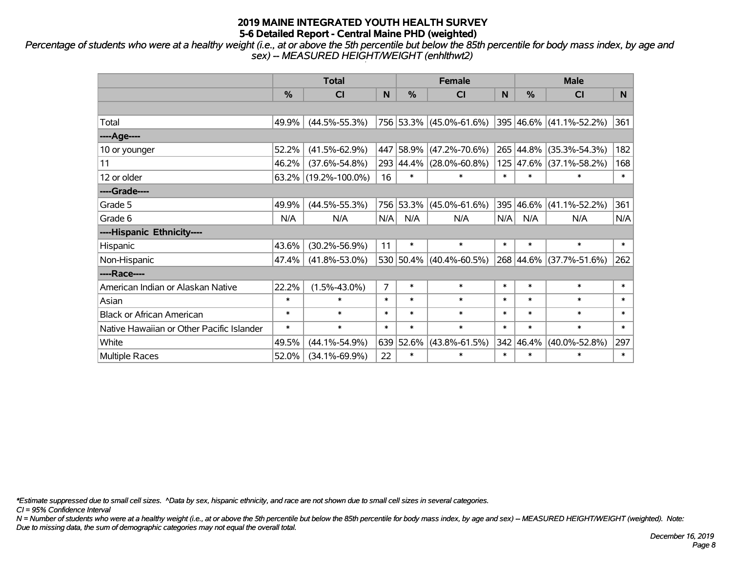*Percentage of students who were at a healthy weight (i.e., at or above the 5th percentile but below the 85th percentile for body mass index, by age and sex) -- MEASURED HEIGHT/WEIGHT (enhlthwt2)*

|                                           |               | <b>Total</b>         |                |           | <b>Female</b>           |              | <b>Male</b> |                         |        |  |
|-------------------------------------------|---------------|----------------------|----------------|-----------|-------------------------|--------------|-------------|-------------------------|--------|--|
|                                           | $\frac{0}{2}$ | C <sub>l</sub>       | N              | %         | <b>CI</b>               | <sub>N</sub> | %           | <b>CI</b>               | N.     |  |
|                                           |               |                      |                |           |                         |              |             |                         |        |  |
| Total                                     | 49.9%         | $(44.5\% - 55.3\%)$  |                |           | 756 53.3% (45.0%-61.6%) |              |             | 395 46.6% (41.1%-52.2%) | 361    |  |
| ----Age----                               |               |                      |                |           |                         |              |             |                         |        |  |
| 10 or younger                             | 52.2%         | $(41.5\% - 62.9\%)$  | 447            | 58.9%     | $(47.2\% - 70.6\%)$     |              | 265 44.8%   | $(35.3\% - 54.3\%)$     | 182    |  |
| 11                                        | 46.2%         | $(37.6\% - 54.8\%)$  | 293            | 44.4%     | $(28.0\% - 60.8\%)$     |              | 125 47.6%   | $(37.1\% - 58.2\%)$     | 168    |  |
| 12 or older                               |               | 63.2% (19.2%-100.0%) | 16             | $\ast$    | $\ast$                  | $\ast$       | $\ast$      | $\ast$                  | $\ast$ |  |
| ----Grade----                             |               |                      |                |           |                         |              |             |                         |        |  |
| Grade 5                                   | 49.9%         | $(44.5\% - 55.3\%)$  | 756            | 53.3%     | $(45.0\% - 61.6\%)$     | 395          | 46.6%       | $(41.1\% - 52.2\%)$     | 361    |  |
| Grade 6                                   | N/A           | N/A                  | N/A            | N/A       | N/A                     | N/A          | N/A         | N/A                     | N/A    |  |
| ----Hispanic Ethnicity----                |               |                      |                |           |                         |              |             |                         |        |  |
| Hispanic                                  | 43.6%         | $(30.2\% - 56.9\%)$  | 11             | $\ast$    | $\ast$                  | $\ast$       | $\ast$      | $\ast$                  | $\ast$ |  |
| Non-Hispanic                              | 47.4%         | $(41.8\% - 53.0\%)$  |                | 530 50.4% | $(40.4\% - 60.5\%)$     |              | 268 44.6%   | $(37.7\% - 51.6\%)$     | 262    |  |
| ----Race----                              |               |                      |                |           |                         |              |             |                         |        |  |
| American Indian or Alaskan Native         | 22.2%         | $(1.5\% - 43.0\%)$   | $\overline{7}$ | $\ast$    | $\ast$                  | $\ast$       | $\ast$      | $\ast$                  | $\ast$ |  |
| Asian                                     | $\ast$        | $\ast$               | $\ast$         | $\ast$    | $\ast$                  | $\ast$       | $\ast$      | $\ast$                  | $\ast$ |  |
| <b>Black or African American</b>          | $\ast$        | $\ast$               | $\ast$         | $\ast$    | $\ast$                  | $\ast$       | $\ast$      | $\ast$                  | $\ast$ |  |
| Native Hawaiian or Other Pacific Islander | $\ast$        | $\ast$               | $\ast$         | $\ast$    | $\ast$                  | $\ast$       | $\ast$      | $\ast$                  | $\ast$ |  |
| White                                     | 49.5%         | $(44.1\% - 54.9\%)$  | 639            | 52.6%     | $(43.8\% - 61.5\%)$     |              | 342 46.4%   | $(40.0\% - 52.8\%)$     | 297    |  |
| Multiple Races                            | 52.0%         | $(34.1\% - 69.9\%)$  | 22             | $\ast$    | $\ast$                  | $\ast$       | $\ast$      | $\ast$                  | $\ast$ |  |

*\*Estimate suppressed due to small cell sizes. ^Data by sex, hispanic ethnicity, and race are not shown due to small cell sizes in several categories.*

*CI = 95% Confidence Interval*

*N = Number of students who were at a healthy weight (i.e., at or above the 5th percentile but below the 85th percentile for body mass index, by age and sex) -- MEASURED HEIGHT/WEIGHT (weighted). Note: Due to missing data, the sum of demographic categories may not equal the overall total.*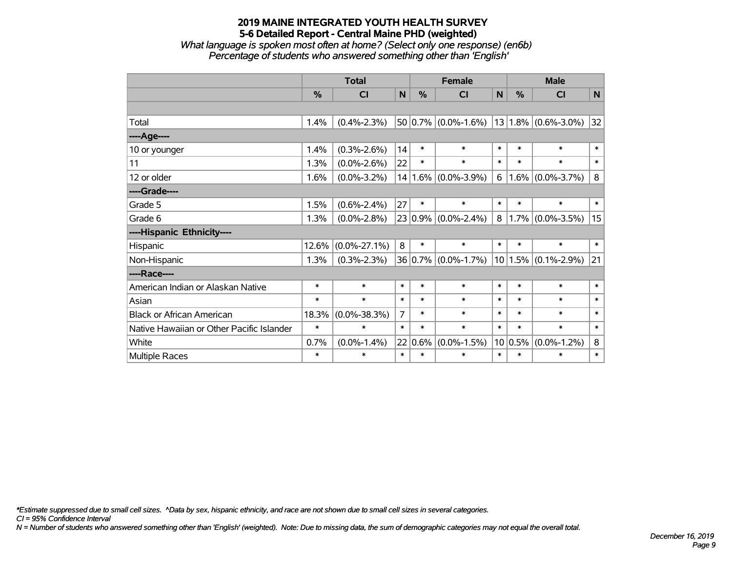*What language is spoken most often at home? (Select only one response) (en6b) Percentage of students who answered something other than 'English'*

|                                           |        | <b>Total</b>       |        |        | <b>Female</b>           | <b>Male</b> |             |                         |        |
|-------------------------------------------|--------|--------------------|--------|--------|-------------------------|-------------|-------------|-------------------------|--------|
|                                           | %      | <b>CI</b>          | N      | %      | <b>CI</b>               | N           | %           | <b>CI</b>               | N      |
|                                           |        |                    |        |        |                         |             |             |                         |        |
| Total                                     | 1.4%   | $(0.4\% - 2.3\%)$  |        |        | $50 0.7\% $ (0.0%-1.6%) |             |             | $13 1.8\% $ (0.6%-3.0%) | 32     |
| ----Age----                               |        |                    |        |        |                         |             |             |                         |        |
| 10 or younger                             | 1.4%   | $(0.3\% - 2.6\%)$  | 14     | $\ast$ | $\ast$                  | $\ast$      | $\ast$      | $\ast$                  | $\ast$ |
| 11                                        | 1.3%   | $(0.0\% - 2.6\%)$  | 22     | $\ast$ | $\ast$                  | $\ast$      | $\ast$      | $\ast$                  | $\ast$ |
| 12 or older                               | 1.6%   | $(0.0\% - 3.2\%)$  |        |        | $14 1.6\% $ (0.0%-3.9%) | 6           | $1.6\%$     | $(0.0\% - 3.7\%)$       | 8      |
| ----Grade----                             |        |                    |        |        |                         |             |             |                         |        |
| Grade 5                                   | 1.5%   | $(0.6\% - 2.4\%)$  | 27     | $\ast$ | $\ast$                  | $\ast$      | $\ast$      | $\ast$                  | $\ast$ |
| Grade 6                                   | 1.3%   | $(0.0\% - 2.8\%)$  |        |        | $23 0.9\% $ (0.0%-2.4%) | 8           | 1.7%        | $(0.0\% - 3.5\%)$       | 15     |
| ----Hispanic Ethnicity----                |        |                    |        |        |                         |             |             |                         |        |
| Hispanic                                  | 12.6%  | $(0.0\% - 27.1\%)$ | 8      | $\ast$ | $\ast$                  | $\ast$      | $\ast$      | $\ast$                  | $\ast$ |
| Non-Hispanic                              | 1.3%   | $(0.3\% - 2.3\%)$  |        |        | $36 0.7\% $ (0.0%-1.7%) |             | $10 1.5\% $ | $(0.1\% - 2.9\%)$       | 21     |
| ----Race----                              |        |                    |        |        |                         |             |             |                         |        |
| American Indian or Alaskan Native         | $\ast$ | $\ast$             | $\ast$ | $\ast$ | $\ast$                  | $\ast$      | $\ast$      | $\ast$                  | $\ast$ |
| Asian                                     | $\ast$ | $\ast$             | $\ast$ | $\ast$ | $\ast$                  | $\ast$      | $\ast$      | $\ast$                  | $\ast$ |
| <b>Black or African American</b>          | 18.3%  | $(0.0\% - 38.3\%)$ | 7      | $\ast$ | $\ast$                  | $\ast$      | $\ast$      | $\ast$                  | $\ast$ |
| Native Hawaiian or Other Pacific Islander | $\ast$ | $\ast$             | $\ast$ | $\ast$ | $\ast$                  | $\ast$      | $\ast$      | $\ast$                  | $\ast$ |
| White                                     | 0.7%   | $(0.0\% - 1.4\%)$  | 22     | 0.6%   | $(0.0\% - 1.5\%)$       |             | 10 0.5%     | $(0.0\% - 1.2\%)$       | 8      |
| Multiple Races                            | $\ast$ | $\ast$             | $\ast$ | $\ast$ | $\ast$                  | $\ast$      | $\ast$      | $\ast$                  | $\ast$ |

*\*Estimate suppressed due to small cell sizes. ^Data by sex, hispanic ethnicity, and race are not shown due to small cell sizes in several categories.*

*CI = 95% Confidence Interval*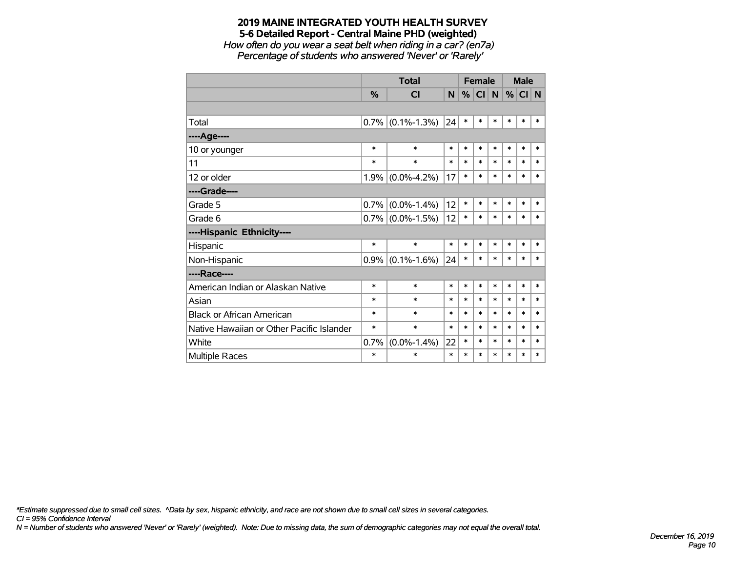*How often do you wear a seat belt when riding in a car? (en7a) Percentage of students who answered 'Never' or 'Rarely'*

|                                           |               | <b>Total</b>        |        |        | <b>Female</b> |        | <b>Male</b> |        |        |
|-------------------------------------------|---------------|---------------------|--------|--------|---------------|--------|-------------|--------|--------|
|                                           | $\frac{9}{6}$ | <b>CI</b>           | N.     | $\%$   | <b>CI</b>     | N      | %           | CI N   |        |
|                                           |               |                     |        |        |               |        |             |        |        |
| Total                                     | 0.7%          | $(0.1\% - 1.3\%)$   | 24     | $\ast$ | $\ast$        | $\ast$ | $\ast$      | $\ast$ | $\ast$ |
| ----Age----                               |               |                     |        |        |               |        |             |        |        |
| 10 or younger                             | $\ast$        | $\ast$              | $\ast$ | $\ast$ | $\ast$        | $\ast$ | $\ast$      | $\ast$ | $\ast$ |
| 11                                        | *             | $\ast$              | $\ast$ | $\ast$ | *             | $\ast$ | $\ast$      | $\ast$ | $\ast$ |
| 12 or older                               | 1.9%          | $(0.0\% - 4.2\%)$   | 17     | $\ast$ | $\ast$        | $\ast$ | $\ast$      | $\ast$ | $\ast$ |
| ----Grade----                             |               |                     |        |        |               |        |             |        |        |
| Grade 5                                   | 0.7%          | $(0.0\% - 1.4\%)$   | 12     | $\ast$ | $\ast$        | $\ast$ | $\ast$      | $\ast$ | $\ast$ |
| Grade 6                                   |               | $0.7\%$ (0.0%-1.5%) | 12     | $\ast$ | *             | $\ast$ | $\ast$      | $\ast$ | $\ast$ |
| ----Hispanic Ethnicity----                |               |                     |        |        |               |        |             |        |        |
| Hispanic                                  | $\ast$        | $\ast$              | $\ast$ | $\ast$ | *             | $\ast$ | $\ast$      | *      | $\ast$ |
| Non-Hispanic                              |               | $0.9\%$ (0.1%-1.6%) | 24     | $\ast$ | *             | $\ast$ | $\ast$      | $\ast$ | $\ast$ |
| ----Race----                              |               |                     |        |        |               |        |             |        |        |
| American Indian or Alaskan Native         | $\ast$        | $\ast$              | $\ast$ | $\ast$ | $\ast$        | $\ast$ | $\ast$      | $\ast$ | $\ast$ |
| Asian                                     | *             | $\ast$              | $\ast$ | $\ast$ | *             | $\ast$ | $\ast$      | $\ast$ | $\ast$ |
| <b>Black or African American</b>          | *             | $\ast$              | $\ast$ | $\ast$ | $\ast$        | $\ast$ | $\ast$      | $\ast$ | $\ast$ |
| Native Hawaiian or Other Pacific Islander | *             | $\ast$              | $\ast$ | $\ast$ | $\ast$        | $\ast$ | $\ast$      | $\ast$ | $\ast$ |
| White                                     | 0.7%          | $(0.0\% - 1.4\%)$   | 22     | $\ast$ | $\ast$        | $\ast$ | $\ast$      | $\ast$ | $\ast$ |
| <b>Multiple Races</b>                     | $\ast$        | $\ast$              | $\ast$ | $\ast$ | $\ast$        | $\ast$ | $\ast$      | $\ast$ | $\ast$ |

*\*Estimate suppressed due to small cell sizes. ^Data by sex, hispanic ethnicity, and race are not shown due to small cell sizes in several categories.*

*CI = 95% Confidence Interval*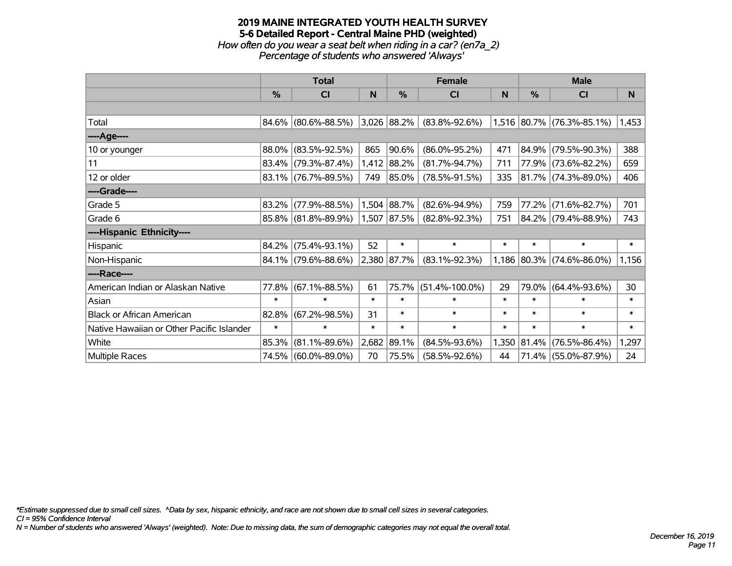### **2019 MAINE INTEGRATED YOUTH HEALTH SURVEY 5-6 Detailed Report - Central Maine PHD (weighted)** *How often do you wear a seat belt when riding in a car? (en7a\_2) Percentage of students who answered 'Always'*

|                                           |               | <b>Total</b>        |        |               | <b>Female</b>        |        | <b>Male</b>   |                           |        |  |
|-------------------------------------------|---------------|---------------------|--------|---------------|----------------------|--------|---------------|---------------------------|--------|--|
|                                           | $\frac{9}{6}$ | CI                  | N      | $\frac{0}{0}$ | CI                   | N      | $\frac{0}{0}$ | CI                        | N      |  |
|                                           |               |                     |        |               |                      |        |               |                           |        |  |
| Total                                     |               | 84.6% (80.6%-88.5%) |        | 3,026 88.2%   | $(83.8\% - 92.6\%)$  |        |               | 1,516 80.7% (76.3%-85.1%) | 1,453  |  |
| ----Age----                               |               |                     |        |               |                      |        |               |                           |        |  |
| 10 or younger                             | 88.0%         | $(83.5\% - 92.5\%)$ | 865    | 90.6%         | $(86.0\% - 95.2\%)$  | 471    |               | 84.9% (79.5%-90.3%)       | 388    |  |
| 11                                        |               | 83.4% (79.3%-87.4%) |        | 1,412 88.2%   | $(81.7\% - 94.7\%)$  | 711    |               | 77.9% (73.6%-82.2%)       | 659    |  |
| 12 or older                               |               | 83.1% (76.7%-89.5%) | 749    | 85.0%         | $(78.5\% - 91.5\%)$  | 335    |               | $ 81.7\% $ (74.3%-89.0%)  | 406    |  |
| ----Grade----                             |               |                     |        |               |                      |        |               |                           |        |  |
| Grade 5                                   | 83.2%         | $(77.9\% - 88.5\%)$ |        | 1,504 88.7%   | $(82.6\% - 94.9\%)$  | 759    |               | 77.2% (71.6%-82.7%)       | 701    |  |
| Grade 6                                   |               | 85.8% (81.8%-89.9%) |        | $1,507$ 87.5% | $(82.8\% - 92.3\%)$  | 751    |               | 84.2% (79.4%-88.9%)       | 743    |  |
| ----Hispanic Ethnicity----                |               |                     |        |               |                      |        |               |                           |        |  |
| Hispanic                                  | 84.2%         | $(75.4\% - 93.1\%)$ | 52     | $\ast$        | $\ast$               | $\ast$ | $\ast$        | $\ast$                    | $\ast$ |  |
| Non-Hispanic                              |               | 84.1% (79.6%-88.6%) |        | 2,380 87.7%   | $(83.1\% - 92.3\%)$  |        |               | 1,186 80.3% (74.6%-86.0%) | 1,156  |  |
| ----Race----                              |               |                     |        |               |                      |        |               |                           |        |  |
| American Indian or Alaskan Native         | 77.8%         | $(67.1\% - 88.5\%)$ | 61     | 75.7%         | $(51.4\% - 100.0\%)$ | 29     |               | 79.0% (64.4%-93.6%)       | 30     |  |
| Asian                                     | $\ast$        | $\ast$              | $\ast$ | $\ast$        | $\ast$               | $\ast$ | $\ast$        | $\ast$                    | $\ast$ |  |
| <b>Black or African American</b>          | 82.8%         | $(67.2\% - 98.5\%)$ | 31     | $\ast$        | $\ast$               | $\ast$ | $\ast$        | $\ast$                    | $\ast$ |  |
| Native Hawaiian or Other Pacific Islander | $\ast$        | $\ast$              | $\ast$ | $\ast$        | $\ast$               | $\ast$ | $\ast$        | $\ast$                    | $\ast$ |  |
| White                                     | 85.3%         | $(81.1\% - 89.6\%)$ | 2,682  | 89.1%         | $(84.5\% - 93.6\%)$  | 1,350  |               | 81.4% (76.5%-86.4%)       | 1,297  |  |
| Multiple Races                            |               | 74.5% (60.0%-89.0%) | 70     | 75.5%         | $(58.5\% - 92.6\%)$  | 44     |               | 71.4% (55.0%-87.9%)       | 24     |  |

*\*Estimate suppressed due to small cell sizes. ^Data by sex, hispanic ethnicity, and race are not shown due to small cell sizes in several categories.*

*CI = 95% Confidence Interval*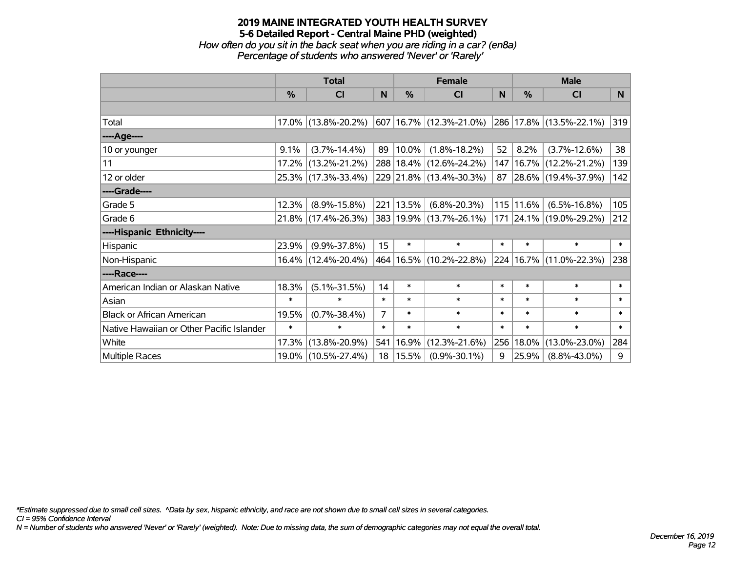*How often do you sit in the back seat when you are riding in a car? (en8a) Percentage of students who answered 'Never' or 'Rarely'*

|                                           |               | <b>Total</b>        |                |             | <b>Female</b>               |              |        | <b>Male</b>             |        |
|-------------------------------------------|---------------|---------------------|----------------|-------------|-----------------------------|--------------|--------|-------------------------|--------|
|                                           | $\frac{0}{0}$ | CI                  | N              | $\%$        | <b>CI</b>                   | <sub>N</sub> | $\%$   | CI                      | N      |
|                                           |               |                     |                |             |                             |              |        |                         |        |
| Total                                     |               | 17.0% (13.8%-20.2%) |                |             | 607 16.7% (12.3%-21.0%)     |              |        | 286 17.8% (13.5%-22.1%) | 319    |
| ----Age----                               |               |                     |                |             |                             |              |        |                         |        |
| 10 or younger                             | 9.1%          | $(3.7\% - 14.4\%)$  | 89             | $ 10.0\% $  | $(1.8\% - 18.2\%)$          | 52           | 8.2%   | $(3.7\% - 12.6\%)$      | 38     |
| 11                                        |               | 17.2% (13.2%-21.2%) |                |             | 288   18.4%   (12.6%-24.2%) | 147          |        | 16.7% (12.2%-21.2%)     | 139    |
| 12 or older                               |               | 25.3% (17.3%-33.4%) |                |             | 229 21.8% (13.4%-30.3%)     | $87 \mid$    |        | 28.6% (19.4%-37.9%)     | 142    |
| ----Grade----                             |               |                     |                |             |                             |              |        |                         |        |
| Grade 5                                   | 12.3%         | $(8.9\% - 15.8\%)$  |                | 221   13.5% | $(6.8\% - 20.3\%)$          | 115          | 11.6%  | $(6.5\% - 16.8\%)$      | 105    |
| Grade 6                                   |               | 21.8% (17.4%-26.3%) |                |             | 383 19.9% (13.7%-26.1%)     |              |        | 171 24.1% (19.0%-29.2%) | 212    |
| ----Hispanic Ethnicity----                |               |                     |                |             |                             |              |        |                         |        |
| Hispanic                                  | 23.9%         | $(9.9\% - 37.8\%)$  | 15             | $\ast$      | $\ast$                      | $\ast$       | $\ast$ | $\ast$                  | $\ast$ |
| Non-Hispanic                              |               | 16.4% (12.4%-20.4%) |                |             | 464   16.5%   (10.2%-22.8%) | 224          |        | $16.7\%$ (11.0%-22.3%)  | 238    |
| ----Race----                              |               |                     |                |             |                             |              |        |                         |        |
| American Indian or Alaskan Native         | 18.3%         | $(5.1\% - 31.5\%)$  | 14             | $\ast$      | $\ast$                      | $\ast$       | $\ast$ | $\ast$                  | $\ast$ |
| Asian                                     | $\ast$        | $\ast$              | $\ast$         | $\ast$      | $\ast$                      | $\ast$       | $\ast$ | $\ast$                  | $\ast$ |
| <b>Black or African American</b>          | 19.5%         | $(0.7\% - 38.4\%)$  | $\overline{7}$ | $\ast$      | $\ast$                      | $\ast$       | $\ast$ | $\ast$                  | $\ast$ |
| Native Hawaiian or Other Pacific Islander | $\ast$        | $\ast$              | $\ast$         | $\ast$      | $\ast$                      | $\ast$       | $\ast$ | $\ast$                  | $\ast$ |
| White                                     | 17.3%         | $(13.8\% - 20.9\%)$ | 541            | 16.9%       | $(12.3\% - 21.6\%)$         | 256          | 18.0%  | $(13.0\% - 23.0\%)$     | 284    |
| <b>Multiple Races</b>                     |               | 19.0% (10.5%-27.4%) |                | 18   15.5%  | $(0.9\% - 30.1\%)$          | 9            | 25.9%  | $(8.8\% - 43.0\%)$      | 9      |

*\*Estimate suppressed due to small cell sizes. ^Data by sex, hispanic ethnicity, and race are not shown due to small cell sizes in several categories.*

*CI = 95% Confidence Interval*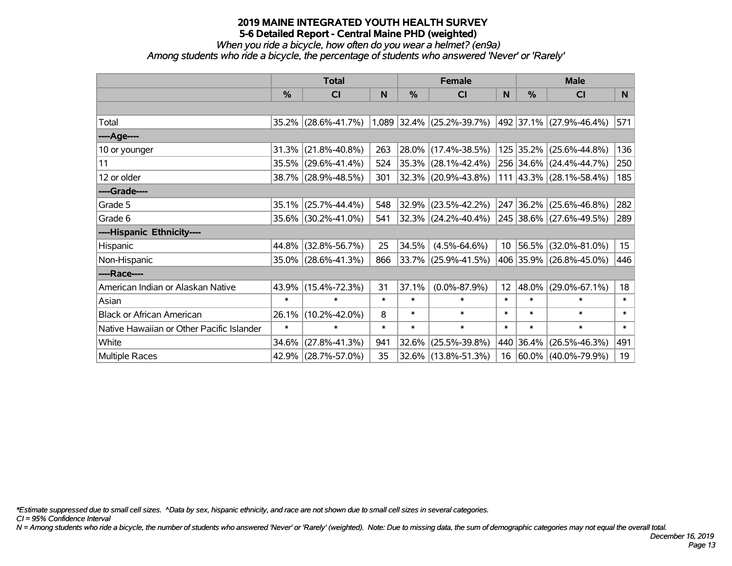# *When you ride a bicycle, how often do you wear a helmet? (en9a)*

*Among students who ride a bicycle, the percentage of students who answered 'Never' or 'Rarely'*

|                                           |               | <b>Total</b>        |        |        | <b>Female</b>               |        |           | <b>Male</b>             |        |
|-------------------------------------------|---------------|---------------------|--------|--------|-----------------------------|--------|-----------|-------------------------|--------|
|                                           | $\frac{0}{0}$ | <b>CI</b>           | N      | %      | <b>CI</b>                   | N      | %         | <b>CI</b>               | N.     |
|                                           |               |                     |        |        |                             |        |           |                         |        |
| Total                                     |               | 35.2% (28.6%-41.7%) |        |        | $1,089$ 32.4% (25.2%-39.7%) |        |           | 492 37.1% (27.9%-46.4%) | 571    |
| ----Age----                               |               |                     |        |        |                             |        |           |                         |        |
| 10 or younger                             | 31.3%         | $(21.8\% - 40.8\%)$ | 263    | 28.0%  | $(17.4\% - 38.5\%)$         |        | 125 35.2% | $(25.6\% - 44.8\%)$     | 136    |
| 11                                        |               | 35.5% (29.6%-41.4%) | 524    |        | $35.3\%$ (28.1%-42.4%)      |        |           | 256 34.6% (24.4%-44.7%) | 250    |
| 12 or older                               |               | 38.7% (28.9%-48.5%) | 301    |        | 32.3% (20.9%-43.8%)         |        |           | 111 43.3% (28.1%-58.4%) | 185    |
| ----Grade----                             |               |                     |        |        |                             |        |           |                         |        |
| Grade 5                                   | 35.1%         | $(25.7\% - 44.4\%)$ | 548    | 32.9%  | $(23.5\% - 42.2\%)$         | 247    | 36.2%     | $(25.6\% - 46.8\%)$     | 282    |
| Grade 6                                   |               | 35.6% (30.2%-41.0%) | 541    |        | 32.3% (24.2%-40.4%)         |        |           | 245 38.6% (27.6%-49.5%) | 289    |
| ----Hispanic Ethnicity----                |               |                     |        |        |                             |        |           |                         |        |
| Hispanic                                  | 44.8%         | $(32.8\% - 56.7\%)$ | 25     | 34.5%  | $(4.5\% - 64.6\%)$          | 10     | 56.5%     | $(32.0\% - 81.0\%)$     | 15     |
| Non-Hispanic                              |               | 35.0% (28.6%-41.3%) | 866    |        | 33.7% (25.9%-41.5%)         |        |           | 406 35.9% (26.8%-45.0%) | 446    |
| ----Race----                              |               |                     |        |        |                             |        |           |                         |        |
| American Indian or Alaskan Native         | 43.9%         | $(15.4\% - 72.3\%)$ | 31     | 37.1%  | $(0.0\% - 87.9\%)$          | 12     | 48.0%     | $(29.0\% - 67.1\%)$     | 18     |
| Asian                                     | $\ast$        | $\ast$              | $\ast$ | $\ast$ | $\ast$                      | $\ast$ | $\ast$    | $\ast$                  | $\ast$ |
| <b>Black or African American</b>          | 26.1%         | $(10.2\% - 42.0\%)$ | 8      | $\ast$ | $\ast$                      | $\ast$ | $\ast$    | $\ast$                  | $\ast$ |
| Native Hawaiian or Other Pacific Islander | $\ast$        | $\ast$              | $\ast$ | $\ast$ | $\ast$                      | $\ast$ | $\ast$    | $\ast$                  | $\ast$ |
| White                                     | 34.6%         | $(27.8\% - 41.3\%)$ | 941    | 32.6%  | $(25.5\% - 39.8\%)$         |        | 440 36.4% | $(26.5\% - 46.3\%)$     | 491    |
| Multiple Races                            |               | 42.9% (28.7%-57.0%) | 35     | 32.6%  | $(13.8\% - 51.3\%)$         | 16     |           | 60.0%   (40.0%-79.9%)   | 19     |

*\*Estimate suppressed due to small cell sizes. ^Data by sex, hispanic ethnicity, and race are not shown due to small cell sizes in several categories.*

*CI = 95% Confidence Interval*

*N = Among students who ride a bicycle, the number of students who answered 'Never' or 'Rarely' (weighted). Note: Due to missing data, the sum of demographic categories may not equal the overall total.*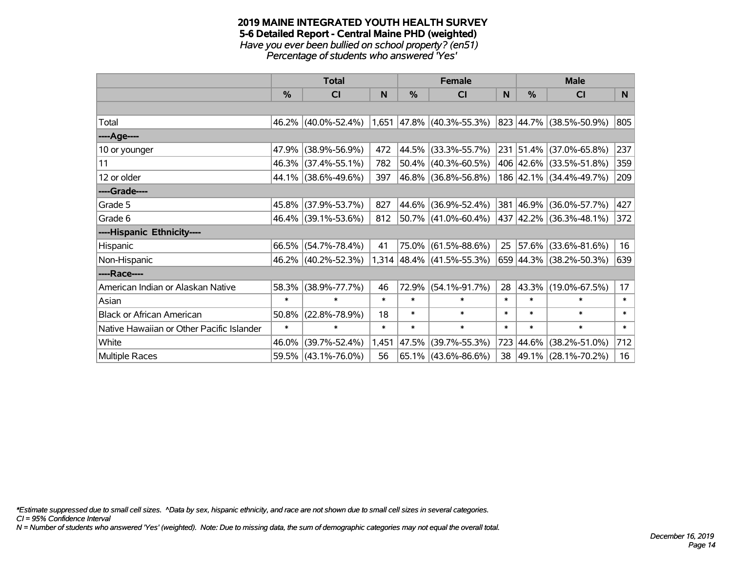### **2019 MAINE INTEGRATED YOUTH HEALTH SURVEY 5-6 Detailed Report - Central Maine PHD (weighted)** *Have you ever been bullied on school property? (en51) Percentage of students who answered 'Yes'*

|                                           | <b>Total</b>  |                     |        |        | <b>Female</b>               |        | <b>Male</b>   |                         |        |  |
|-------------------------------------------|---------------|---------------------|--------|--------|-----------------------------|--------|---------------|-------------------------|--------|--|
|                                           | $\frac{0}{0}$ | CI                  | N      | %      | <b>CI</b>                   | N      | $\frac{0}{0}$ | <b>CI</b>               | N      |  |
|                                           |               |                     |        |        |                             |        |               |                         |        |  |
| Total                                     |               | 46.2% (40.0%-52.4%) |        |        | $1,651$ 47.8% (40.3%-55.3%) |        |               | 823 44.7% (38.5%-50.9%) | 805    |  |
| ----Age----                               |               |                     |        |        |                             |        |               |                         |        |  |
| 10 or younger                             | 47.9%         | $(38.9\% - 56.9\%)$ | 472    | 44.5%  | $(33.3\% - 55.7\%)$         |        | 231 51.4%     | $(37.0\% - 65.8\%)$     | 237    |  |
| 11                                        |               | 46.3% (37.4%-55.1%) | 782    | 50.4%  | $(40.3\% - 60.5\%)$         |        |               | 406 42.6% (33.5%-51.8%) | 359    |  |
| 12 or older                               |               | 44.1% (38.6%-49.6%) | 397    |        | 46.8% (36.8%-56.8%)         |        |               | 186 42.1% (34.4%-49.7%) | 209    |  |
| ----Grade----                             |               |                     |        |        |                             |        |               |                         |        |  |
| Grade 5                                   | 45.8%         | $(37.9\% - 53.7\%)$ | 827    | 44.6%  | $(36.9\% - 52.4\%)$         |        | 381 46.9%     | $(36.0\% - 57.7\%)$     | 427    |  |
| Grade 6                                   |               | 46.4% (39.1%-53.6%) | 812    |        | $ 50.7\% $ (41.0%-60.4%)    |        |               | 437 42.2% (36.3%-48.1%) | 372    |  |
| ----Hispanic Ethnicity----                |               |                     |        |        |                             |        |               |                         |        |  |
| Hispanic                                  | 66.5%         | $(54.7\% - 78.4\%)$ | 41     | 75.0%  | $(61.5\% - 88.6\%)$         | 25     | 57.6%         | $(33.6\% - 81.6\%)$     | 16     |  |
| Non-Hispanic                              |               | 46.2% (40.2%-52.3%) |        |        | $1,314$ 48.4% (41.5%-55.3%) |        |               | 659 44.3% (38.2%-50.3%) | 639    |  |
| ----Race----                              |               |                     |        |        |                             |        |               |                         |        |  |
| American Indian or Alaskan Native         | 58.3%         | $(38.9\% - 77.7\%)$ | 46     | 72.9%  | $(54.1\% - 91.7\%)$         | 28     | 43.3%         | $(19.0\% - 67.5\%)$     | 17     |  |
| Asian                                     | $\ast$        | $\ast$              | $\ast$ | $\ast$ | $\ast$                      | $\ast$ | $\ast$        | $\ast$                  | $\ast$ |  |
| <b>Black or African American</b>          | 50.8%         | $(22.8\% - 78.9\%)$ | 18     | $\ast$ | $\ast$                      | $\ast$ | $\ast$        | $\ast$                  | $\ast$ |  |
| Native Hawaiian or Other Pacific Islander | $\ast$        | $\ast$              | $\ast$ | $\ast$ | $\ast$                      | $\ast$ | $\ast$        | $\ast$                  | $\ast$ |  |
| White                                     | 46.0%         | $(39.7\% - 52.4\%)$ | 1,451  | 47.5%  | $(39.7\% - 55.3\%)$         | 723    | 44.6%         | $(38.2\% - 51.0\%)$     | 712    |  |
| Multiple Races                            |               | 59.5% (43.1%-76.0%) | 56     |        | 65.1% (43.6%-86.6%)         | 38     |               | 49.1% (28.1%-70.2%)     | 16     |  |

*\*Estimate suppressed due to small cell sizes. ^Data by sex, hispanic ethnicity, and race are not shown due to small cell sizes in several categories.*

*CI = 95% Confidence Interval*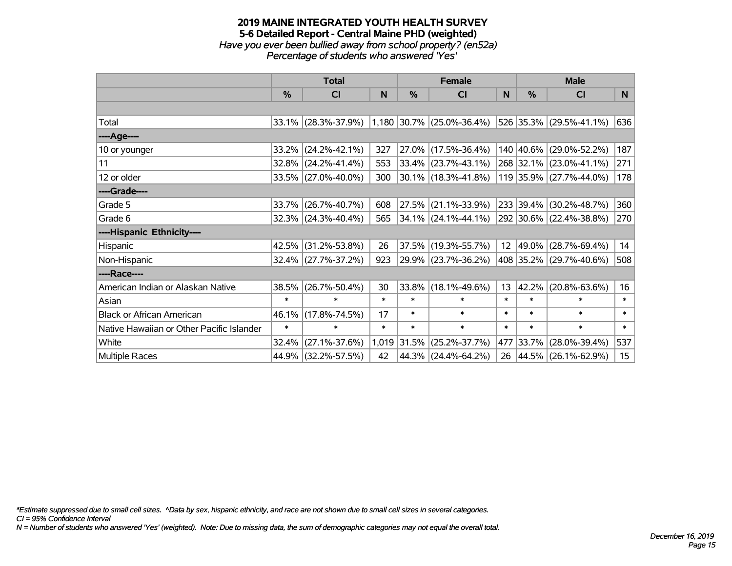### **2019 MAINE INTEGRATED YOUTH HEALTH SURVEY 5-6 Detailed Report - Central Maine PHD (weighted)** *Have you ever been bullied away from school property? (en52a) Percentage of students who answered 'Yes'*

|                                           | <b>Total</b>  |                     |        |        | <b>Female</b>               |        | <b>Male</b>   |                          |        |  |
|-------------------------------------------|---------------|---------------------|--------|--------|-----------------------------|--------|---------------|--------------------------|--------|--|
|                                           | $\frac{0}{0}$ | CI                  | N      | $\%$   | <b>CI</b>                   | N      | $\frac{0}{0}$ | <b>CI</b>                | N      |  |
|                                           |               |                     |        |        |                             |        |               |                          |        |  |
| Total                                     |               | 33.1% (28.3%-37.9%) |        |        | $1,180$ 30.7% (25.0%-36.4%) |        |               | 526 35.3% (29.5%-41.1%)  | 636    |  |
| ----Age----                               |               |                     |        |        |                             |        |               |                          |        |  |
| 10 or younger                             | 33.2%         | $(24.2\% - 42.1\%)$ | 327    |        | $27.0\%$ (17.5%-36.4%)      |        | 140 40.6%     | $(29.0\% - 52.2\%)$      | 187    |  |
| 11                                        |               | 32.8% (24.2%-41.4%) | 553    |        | $33.4\%$ (23.7%-43.1%)      |        |               | 268 32.1% (23.0%-41.1%)  | 271    |  |
| 12 or older                               |               | 33.5% (27.0%-40.0%) | 300    |        | $ 30.1\% $ (18.3%-41.8%)    |        |               | 119 35.9% (27.7%-44.0%)  | 178    |  |
| ----Grade----                             |               |                     |        |        |                             |        |               |                          |        |  |
| Grade 5                                   | 33.7%         | $(26.7\% - 40.7\%)$ | 608    | 27.5%  | $(21.1\% - 33.9\%)$         |        | 233 39.4%     | $(30.2\% - 48.7\%)$      | 360    |  |
| Grade 6                                   |               | 32.3% (24.3%-40.4%) | 565    |        | $34.1\%$ (24.1%-44.1%)      |        |               | 292 30.6% (22.4%-38.8%)  | 270    |  |
| ----Hispanic Ethnicity----                |               |                     |        |        |                             |        |               |                          |        |  |
| Hispanic                                  | 42.5%         | $(31.2\% - 53.8\%)$ | 26     | 37.5%  | $(19.3\% - 55.7\%)$         | 12     | 49.0%         | $(28.7\% - 69.4\%)$      | 14     |  |
| Non-Hispanic                              |               | 32.4% (27.7%-37.2%) | 923    |        | 29.9% (23.7%-36.2%)         |        |               | 408 35.2% (29.7%-40.6%)  | 508    |  |
| ----Race----                              |               |                     |        |        |                             |        |               |                          |        |  |
| American Indian or Alaskan Native         | 38.5%         | $(26.7\% - 50.4\%)$ | 30     | 33.8%  | $(18.1\% - 49.6\%)$         | 13     | 42.2%         | $(20.8\% - 63.6\%)$      | 16     |  |
| Asian                                     | $\ast$        | $\ast$              | $\ast$ | $\ast$ | $\ast$                      | $\ast$ | $\ast$        | $\ast$                   | $\ast$ |  |
| <b>Black or African American</b>          | 46.1%         | $(17.8\% - 74.5\%)$ | 17     | $\ast$ | $\ast$                      | $\ast$ | $\ast$        | $\ast$                   | $\ast$ |  |
| Native Hawaiian or Other Pacific Islander | $\ast$        | $\ast$              | $\ast$ | $\ast$ | $\ast$                      | $\ast$ | $\ast$        | $\ast$                   | $\ast$ |  |
| White                                     | 32.4%         | $(27.1\% - 37.6\%)$ | 1,019  | 31.5%  | $(25.2\% - 37.7\%)$         | 477    | 33.7%         | $(28.0\% - 39.4\%)$      | 537    |  |
| Multiple Races                            |               | 44.9% (32.2%-57.5%) | 42     |        | 44.3% (24.4%-64.2%)         | 26     |               | $ 44.5\% $ (26.1%-62.9%) | 15     |  |

*\*Estimate suppressed due to small cell sizes. ^Data by sex, hispanic ethnicity, and race are not shown due to small cell sizes in several categories.*

*CI = 95% Confidence Interval*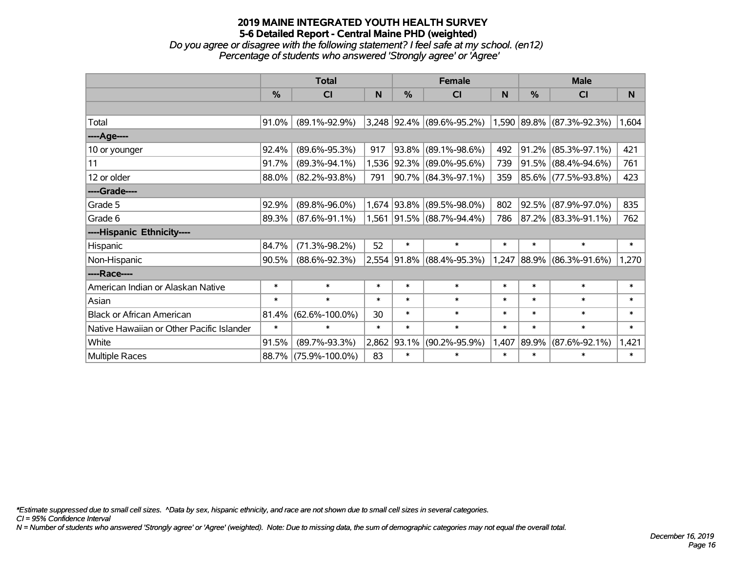*Do you agree or disagree with the following statement? I feel safe at my school. (en12) Percentage of students who answered 'Strongly agree' or 'Agree'*

|                                           | <b>Total</b>  |                      |        | <b>Female</b> |                             | <b>Male</b> |        |                           |        |
|-------------------------------------------|---------------|----------------------|--------|---------------|-----------------------------|-------------|--------|---------------------------|--------|
|                                           | $\frac{9}{6}$ | <b>CI</b>            | N      | %             | <b>CI</b>                   | N           | %      | <b>CI</b>                 | N.     |
|                                           |               |                      |        |               |                             |             |        |                           |        |
| Total                                     | 91.0%         | $(89.1\% - 92.9\%)$  |        |               | $3,248$ 92.4% (89.6%-95.2%) |             |        | 1,590 89.8% (87.3%-92.3%) | 1,604  |
| ----Age----                               |               |                      |        |               |                             |             |        |                           |        |
| 10 or younger                             | 92.4%         | $(89.6\% - 95.3\%)$  | 917    | 93.8%         | $(89.1\% - 98.6\%)$         | 492         | 91.2%  | $(85.3\% - 97.1\%)$       | 421    |
| 11                                        | 91.7%         | $(89.3\% - 94.1\%)$  |        |               | 1,536 92.3% (89.0%-95.6%)   | 739         |        | 91.5% (88.4%-94.6%)       | 761    |
| 12 or older                               | 88.0%         | $(82.2\% - 93.8\%)$  | 791    |               | 90.7% (84.3%-97.1%)         | 359         |        | 85.6% (77.5%-93.8%)       | 423    |
| ----Grade----                             |               |                      |        |               |                             |             |        |                           |        |
| Grade 5                                   | 92.9%         | $(89.8\% - 96.0\%)$  |        | 1,674 93.8%   | $(89.5\% - 98.0\%)$         | 802         |        | 92.5% (87.9%-97.0%)       | 835    |
| Grade 6                                   | 89.3%         | $(87.6\% - 91.1\%)$  |        |               | 1,561 91.5% (88.7%-94.4%)   | 786         |        | 87.2% (83.3%-91.1%)       | 762    |
| ----Hispanic Ethnicity----                |               |                      |        |               |                             |             |        |                           |        |
| Hispanic                                  | 84.7%         | $(71.3\% - 98.2\%)$  | 52     | $\ast$        | $\ast$                      | $\ast$      | $\ast$ | $\ast$                    | $\ast$ |
| Non-Hispanic                              | 90.5%         | $(88.6\% - 92.3\%)$  |        |               | 2,554 91.8% (88.4%-95.3%)   |             |        | 1,247 88.9% (86.3%-91.6%) | 1,270  |
| ----Race----                              |               |                      |        |               |                             |             |        |                           |        |
| American Indian or Alaskan Native         | $\ast$        | $\ast$               | $\ast$ | $\ast$        | $\ast$                      | $\ast$      | $\ast$ | $\ast$                    | $\ast$ |
| Asian                                     | $\ast$        | $\ast$               | $\ast$ | $\ast$        | $\ast$                      | $\ast$      | $\ast$ | $\ast$                    | $\ast$ |
| <b>Black or African American</b>          | 81.4%         | $(62.6\% - 100.0\%)$ | 30     | $\ast$        | $\ast$                      | $\ast$      | $\ast$ | $\ast$                    | $\ast$ |
| Native Hawaiian or Other Pacific Islander | $\ast$        | $\ast$               | $\ast$ | $\ast$        | $\ast$                      | $\ast$      | $\ast$ | $\ast$                    | $\ast$ |
| White                                     | 91.5%         | $(89.7\% - 93.3\%)$  | 2,862  | 93.1%         | $(90.2\% - 95.9\%)$         | 1,407       | 89.9%  | $(87.6\% - 92.1\%)$       | 1,421  |
| Multiple Races                            |               | 88.7% (75.9%-100.0%) | 83     | $\ast$        | $\ast$                      | $\ast$      | $\ast$ | $\ast$                    | $\ast$ |

*\*Estimate suppressed due to small cell sizes. ^Data by sex, hispanic ethnicity, and race are not shown due to small cell sizes in several categories.*

*CI = 95% Confidence Interval*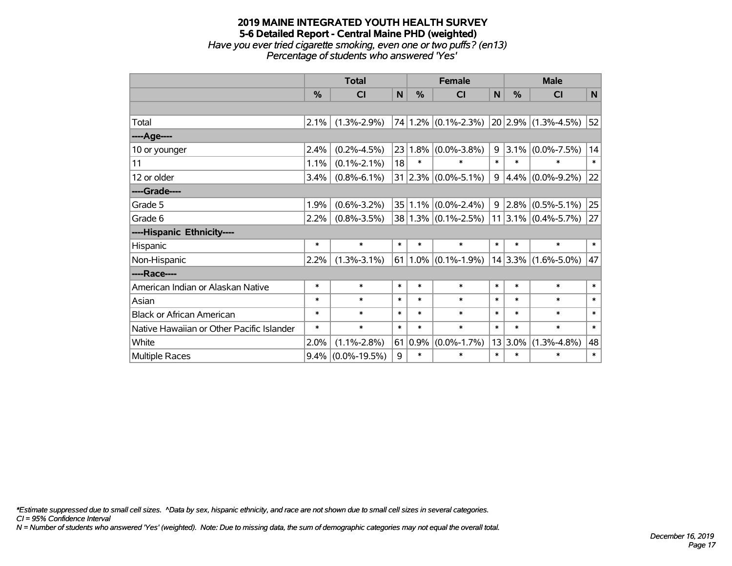### **2019 MAINE INTEGRATED YOUTH HEALTH SURVEY 5-6 Detailed Report - Central Maine PHD (weighted)** *Have you ever tried cigarette smoking, even one or two puffs? (en13) Percentage of students who answered 'Yes'*

|                                           | <b>Total</b> |                    |        | <b>Female</b> |                                                   |              | <b>Male</b> |                          |              |  |
|-------------------------------------------|--------------|--------------------|--------|---------------|---------------------------------------------------|--------------|-------------|--------------------------|--------------|--|
|                                           | %            | <b>CI</b>          | N      | %             | <b>CI</b>                                         | $\mathsf{N}$ | %           | <b>CI</b>                | $\mathsf{N}$ |  |
|                                           |              |                    |        |               |                                                   |              |             |                          |              |  |
| Total                                     | 2.1%         | $(1.3\% - 2.9\%)$  |        |               | $74 1.2\% $ (0.1%-2.3%)                           |              |             | $ 20 2.9\% $ (1.3%-4.5%) | 52           |  |
| ----Age----                               |              |                    |        |               |                                                   |              |             |                          |              |  |
| 10 or younger                             | 2.4%         | $(0.2\% - 4.5\%)$  | 23     | 1.8%          | $(0.0\% - 3.8\%)$                                 | 9            | 3.1%        | $(0.0\% - 7.5\%)$        | 14           |  |
| 11                                        | 1.1%         | $(0.1\% - 2.1\%)$  | 18     | $\ast$        | $\ast$                                            | $\ast$       | $\ast$      | $\ast$                   | $\ast$       |  |
| 12 or older                               | 3.4%         | $(0.8\% - 6.1\%)$  |        |               | 31 2.3% $(0.0\% - 5.1\%)$                         | 9            |             | $4.4\%$ (0.0%-9.2%)      | 22           |  |
| ----Grade----                             |              |                    |        |               |                                                   |              |             |                          |              |  |
| Grade 5                                   | 1.9%         | $(0.6\% - 3.2\%)$  |        |               | $35 1.1\% $ (0.0%-2.4%)                           | 9            | $ 2.8\% $   | $(0.5\% - 5.1\%)$        | 25           |  |
| Grade 6                                   | $2.2\%$      | $(0.8\% - 3.5\%)$  |        |               | $38 1.3\% $ (0.1%-2.5%)   11   3.1%   (0.4%-5.7%) |              |             |                          | 27           |  |
| ----Hispanic Ethnicity----                |              |                    |        |               |                                                   |              |             |                          |              |  |
| Hispanic                                  | $\ast$       | $\ast$             | $\ast$ | $\ast$        | $\ast$                                            | $\ast$       | $\ast$      | $\ast$                   | $\ast$       |  |
| Non-Hispanic                              | 2.2%         | $(1.3\% - 3.1\%)$  |        |               | $61 1.0\% $ (0.1%-1.9%)                           |              |             | $14 3.3\% $ (1.6%-5.0%)  | 47           |  |
| ----Race----                              |              |                    |        |               |                                                   |              |             |                          |              |  |
| American Indian or Alaskan Native         | $\ast$       | $\ast$             | $\ast$ | $\ast$        | $\ast$                                            | $\ast$       | $\ast$      | $\ast$                   | $\ast$       |  |
| Asian                                     | $\ast$       | $\ast$             | $\ast$ | $\ast$        | $\ast$                                            | $\ast$       | $\ast$      | $\ast$                   | $\ast$       |  |
| <b>Black or African American</b>          | $\ast$       | $\ast$             | $\ast$ | $\ast$        | $\ast$                                            | $\ast$       | $\ast$      | $\ast$                   | $\ast$       |  |
| Native Hawaiian or Other Pacific Islander | $\ast$       | $\ast$             | $\ast$ | $\ast$        | $\ast$                                            | $\ast$       | $\ast$      | $\ast$                   | $\ast$       |  |
| White                                     | 2.0%         | $(1.1\% - 2.8\%)$  |        | 61 0.9%       | $(0.0\% - 1.7\%)$                                 | 13           | 3.0%        | $(1.3\% - 4.8\%)$        | 48           |  |
| Multiple Races                            | $9.4\%$      | $(0.0\% - 19.5\%)$ | 9      | $\ast$        | $\ast$                                            | $\ast$       | $\ast$      | $\ast$                   | $\ast$       |  |

*\*Estimate suppressed due to small cell sizes. ^Data by sex, hispanic ethnicity, and race are not shown due to small cell sizes in several categories.*

*CI = 95% Confidence Interval*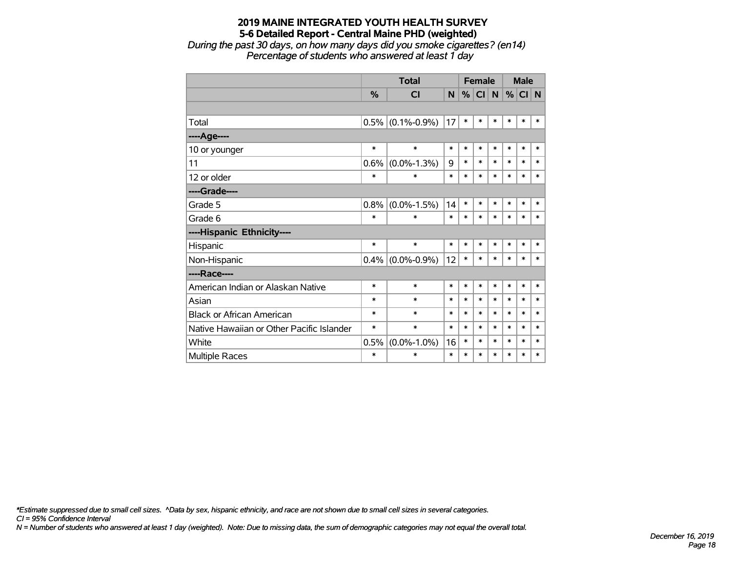*During the past 30 days, on how many days did you smoke cigarettes? (en14) Percentage of students who answered at least 1 day*

|                                           |        | <b>Total</b>      | <b>Female</b> |        |           |        | <b>Male</b> |          |        |
|-------------------------------------------|--------|-------------------|---------------|--------|-----------|--------|-------------|----------|--------|
|                                           | $\%$   | <b>CI</b>         | N.            | %      | <b>CI</b> | N      |             | $%$ CI N |        |
|                                           |        |                   |               |        |           |        |             |          |        |
| Total                                     | 0.5%   | $(0.1\% - 0.9\%)$ | 17            | $\ast$ | $\ast$    | $\ast$ | *           | *        | *      |
| ----Age----                               |        |                   |               |        |           |        |             |          |        |
| 10 or younger                             | *      | $\ast$            | $\ast$        | $\ast$ | $\ast$    | $\ast$ | $\ast$      | $\ast$   | $\ast$ |
| 11                                        | 0.6%   | $(0.0\% - 1.3\%)$ | 9             | $\ast$ | $\ast$    | $\ast$ | $\ast$      | *        | $\ast$ |
| 12 or older                               | $\ast$ | $\ast$            | $\ast$        | $\ast$ | $\ast$    | $\ast$ | $\ast$      | $\ast$   | *      |
| ----Grade----                             |        |                   |               |        |           |        |             |          |        |
| Grade 5                                   | 0.8%   | $(0.0\% - 1.5\%)$ | 14            | $\ast$ | $\ast$    | $\ast$ | $\ast$      | $\ast$   | $\ast$ |
| Grade 6                                   | *      | $\ast$            | *             | $\ast$ | $\ast$    | $\ast$ | $\ast$      | $\ast$   | $\ast$ |
| ----Hispanic Ethnicity----                |        |                   |               |        |           |        |             |          |        |
| Hispanic                                  | $\ast$ | $\ast$            | *             | $\ast$ | $\ast$    | $\ast$ | *           | *        | $\ast$ |
| Non-Hispanic                              | 0.4%   | $(0.0\% - 0.9\%)$ | 12            | $\ast$ | $\ast$    | $\ast$ | $\ast$      | $\ast$   | $\ast$ |
| ----Race----                              |        |                   |               |        |           |        |             |          |        |
| American Indian or Alaskan Native         | $\ast$ | $\ast$            | *             | $\ast$ | $\ast$    | $\ast$ | $\ast$      | $\ast$   | $\ast$ |
| Asian                                     | $\ast$ | $\ast$            | $\ast$        | *      | $\ast$    | $\ast$ | $\ast$      | $\ast$   | $\ast$ |
| <b>Black or African American</b>          | *      | $\ast$            | $\ast$        | $\ast$ | $\ast$    | $\ast$ | $\ast$      | *        | $\ast$ |
| Native Hawaiian or Other Pacific Islander | *      | $\ast$            | $\ast$        | $\ast$ | $\ast$    | $\ast$ | $\ast$      | $\ast$   | $\ast$ |
| White                                     | 0.5%   | $(0.0\% - 1.0\%)$ | 16            | $\ast$ | $\ast$    | $\ast$ | $\ast$      | *        | $\ast$ |
| Multiple Races                            | *      | $\ast$            | $\ast$        | $\ast$ | $\ast$    | *      | $\ast$      | *        | *      |

*\*Estimate suppressed due to small cell sizes. ^Data by sex, hispanic ethnicity, and race are not shown due to small cell sizes in several categories.*

*CI = 95% Confidence Interval*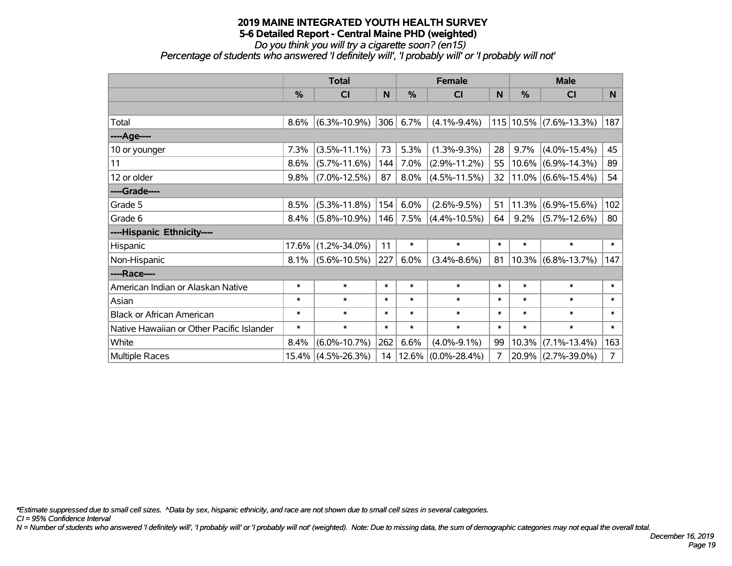*Do you think you will try a cigarette soon? (en15) Percentage of students who answered 'I definitely will', 'I probably will' or 'I probably will not'*

|                                           | <b>Total</b>  |                    |        | <b>Female</b> |                    |        | <b>Male</b> |                            |                |  |
|-------------------------------------------|---------------|--------------------|--------|---------------|--------------------|--------|-------------|----------------------------|----------------|--|
|                                           | $\frac{0}{0}$ | C <sub>l</sub>     | N      | $\frac{0}{0}$ | <b>CI</b>          | N      | %           | <b>CI</b>                  | N              |  |
|                                           |               |                    |        |               |                    |        |             |                            |                |  |
| Total                                     | 8.6%          | $(6.3\% - 10.9\%)$ | 306    | 6.7%          | $(4.1\% - 9.4\%)$  |        |             | 115   10.5%   (7.6%-13.3%) | 187            |  |
| ----Age----                               |               |                    |        |               |                    |        |             |                            |                |  |
| 10 or younger                             | 7.3%          | $(3.5\% - 11.1\%)$ | 73     | 5.3%          | $(1.3\% - 9.3\%)$  | 28     | 9.7%        | $(4.0\% - 15.4\%)$         | 45             |  |
| 11                                        | 8.6%          | $(5.7\% - 11.6\%)$ | 144    | 7.0%          | $(2.9\% - 11.2\%)$ | 55     |             | $10.6\%$ (6.9%-14.3%)      | 89             |  |
| 12 or older                               | 9.8%          | $(7.0\% - 12.5\%)$ | 87     | $8.0\%$       | $(4.5\% - 11.5\%)$ | 32     |             | $ 11.0\% $ (6.6%-15.4%)    | 54             |  |
| ----Grade----                             |               |                    |        |               |                    |        |             |                            |                |  |
| Grade 5                                   | 8.5%          | $(5.3\% - 11.8\%)$ | 154    | 6.0%          | $(2.6\% - 9.5\%)$  | 51     | 11.3%       | $(6.9\% - 15.6\%)$         | 102            |  |
| Grade 6                                   | $8.4\%$       | $(5.8\% - 10.9\%)$ | 146    | 7.5%          | $(4.4\% - 10.5\%)$ | 64     | $9.2\%$     | $(5.7\% - 12.6\%)$         | 80             |  |
| ----Hispanic Ethnicity----                |               |                    |        |               |                    |        |             |                            |                |  |
| Hispanic                                  | 17.6%         | $(1.2\% - 34.0\%)$ | 11     | $\ast$        | $\ast$             | $\ast$ | $\ast$      | $\ast$                     | $\ast$         |  |
| Non-Hispanic                              | $8.1\%$       | $(5.6\% - 10.5\%)$ | 227    | 6.0%          | $(3.4\% - 8.6\%)$  | 81     |             | $10.3\%$ (6.8%-13.7%)      | 147            |  |
| ----Race----                              |               |                    |        |               |                    |        |             |                            |                |  |
| American Indian or Alaskan Native         | $\ast$        | $\ast$             | $\ast$ | $\ast$        | $\ast$             | $\ast$ | $\ast$      | $\ast$                     | $\ast$         |  |
| Asian                                     | $\ast$        | $\ast$             | $\ast$ | $\ast$        | $\ast$             | $\ast$ | $\ast$      | $\ast$                     | $\ast$         |  |
| <b>Black or African American</b>          | $\ast$        | $\ast$             | $\ast$ | $\ast$        | $\ast$             | $\ast$ | $\ast$      | $\ast$                     | $\ast$         |  |
| Native Hawaiian or Other Pacific Islander | $\ast$        | $\ast$             | $\ast$ | $\ast$        | $\ast$             | $\ast$ | $\ast$      | $\ast$                     | $\ast$         |  |
| White                                     | 8.4%          | $(6.0\% - 10.7\%)$ | 262    | 6.6%          | $(4.0\% - 9.1\%)$  | 99     | 10.3%       | $(7.1\% - 13.4\%)$         | 163            |  |
| <b>Multiple Races</b>                     |               | 15.4% (4.5%-26.3%) | 14     | 12.6%         | $(0.0\% - 28.4\%)$ | 7      |             | 20.9% (2.7%-39.0%)         | $\overline{7}$ |  |

*\*Estimate suppressed due to small cell sizes. ^Data by sex, hispanic ethnicity, and race are not shown due to small cell sizes in several categories.*

*CI = 95% Confidence Interval*

*N = Number of students who answered 'I definitely will', 'I probably will' or 'I probably will not' (weighted). Note: Due to missing data, the sum of demographic categories may not equal the overall total.*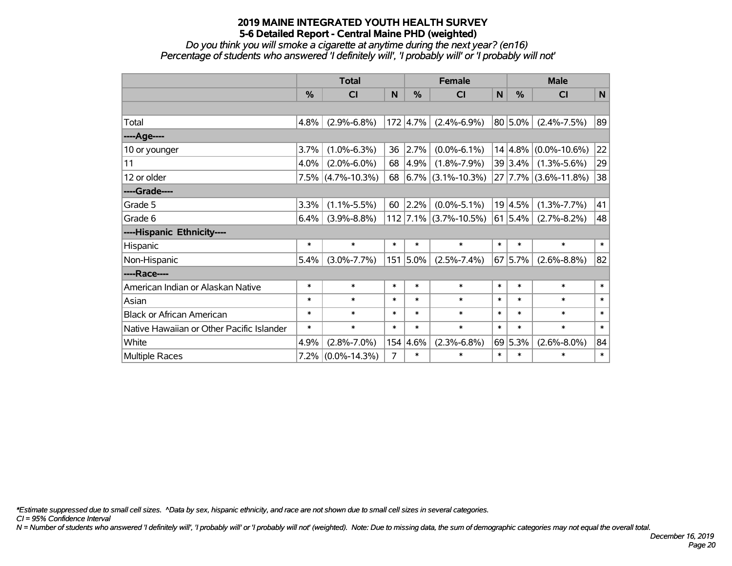*Do you think you will smoke a cigarette at anytime during the next year? (en16) Percentage of students who answered 'I definitely will', 'I probably will' or 'I probably will not'*

|                                           | <b>Total</b> |                      |        |          | <b>Female</b>           |        | <b>Male</b>  |                                 |        |  |
|-------------------------------------------|--------------|----------------------|--------|----------|-------------------------|--------|--------------|---------------------------------|--------|--|
|                                           | %            | <b>CI</b>            | N      | %        | <b>CI</b>               | N      | %            | <b>CI</b>                       | N      |  |
|                                           |              |                      |        |          |                         |        |              |                                 |        |  |
| Total                                     | 4.8%         | $(2.9\% - 6.8\%)$    |        | 172 4.7% | $(2.4\% - 6.9\%)$       |        | $80 5.0\% $  | $(2.4\% - 7.5\%)$               | 89     |  |
| ----Age----                               |              |                      |        |          |                         |        |              |                                 |        |  |
| 10 or younger                             | 3.7%         | $(1.0\% - 6.3\%)$    | 36     | 2.7%     | $(0.0\% - 6.1\%)$       |        |              | $14 4.8\% $ (0.0%-10.6%)        | 22     |  |
| 11                                        | 4.0%         | $(2.0\% - 6.0\%)$    | 68     | 4.9%     | $(1.8\% - 7.9\%)$       |        | $39 3.4\% $  | $(1.3\% - 5.6\%)$               | 29     |  |
| 12 or older                               |              | $7.5\%$ (4.7%-10.3%) | 68     |          | $6.7\%$ (3.1%-10.3%)    |        |              | $27   7.7\%   (3.6\% - 11.8\%)$ | 38     |  |
| ----Grade----                             |              |                      |        |          |                         |        |              |                                 |        |  |
| Grade 5                                   | 3.3%         | $(1.1\% - 5.5\%)$    | 60     | 2.2%     | $(0.0\% - 5.1\%)$       |        | 19 4.5%      | $(1.3\% - 7.7\%)$               | 41     |  |
| Grade 6                                   | 6.4%         | $(3.9\% - 8.8\%)$    |        |          | $112$ 7.1% (3.7%-10.5%) |        | $ 61 5.4\% $ | $(2.7\% - 8.2\%)$               | 48     |  |
| ----Hispanic Ethnicity----                |              |                      |        |          |                         |        |              |                                 |        |  |
| Hispanic                                  | $\ast$       | $\ast$               | $\ast$ | $\ast$   | $\ast$                  | $\ast$ | $\ast$       | $\ast$                          | $\ast$ |  |
| Non-Hispanic                              | 5.4%         | $(3.0\% - 7.7\%)$    | 151    | 5.0%     | $(2.5\% - 7.4\%)$       |        | 67 5.7%      | $(2.6\% - 8.8\%)$               | 82     |  |
| ----Race----                              |              |                      |        |          |                         |        |              |                                 |        |  |
| American Indian or Alaskan Native         | $\ast$       | $\ast$               | $\ast$ | $\ast$   | $\ast$                  | $\ast$ | $\ast$       | $\ast$                          | $\ast$ |  |
| Asian                                     | $\ast$       | $\ast$               | $\ast$ | $\ast$   | $\ast$                  | $\ast$ | $\ast$       | $\ast$                          | $\ast$ |  |
| <b>Black or African American</b>          | $\ast$       | $\ast$               | $\ast$ | $\ast$   | $\ast$                  | $\ast$ | *            | $\ast$                          | $\ast$ |  |
| Native Hawaiian or Other Pacific Islander | $\ast$       | $\ast$               | $\ast$ | $\ast$   | $\ast$                  | $\ast$ | $\ast$       | $\ast$                          | $\ast$ |  |
| White                                     | 4.9%         | $(2.8\% - 7.0\%)$    | 154    | 4.6%     | $(2.3\% - 6.8\%)$       |        | 69 5.3%      | $(2.6\% - 8.0\%)$               | 84     |  |
| Multiple Races                            | $7.2\%$      | $(0.0\% - 14.3\%)$   | 7      | $\ast$   | $\ast$                  | $\ast$ | $\ast$       | $\ast$                          | $\ast$ |  |

*\*Estimate suppressed due to small cell sizes. ^Data by sex, hispanic ethnicity, and race are not shown due to small cell sizes in several categories.*

*CI = 95% Confidence Interval*

*N = Number of students who answered 'I definitely will', 'I probably will' or 'I probably will not' (weighted). Note: Due to missing data, the sum of demographic categories may not equal the overall total.*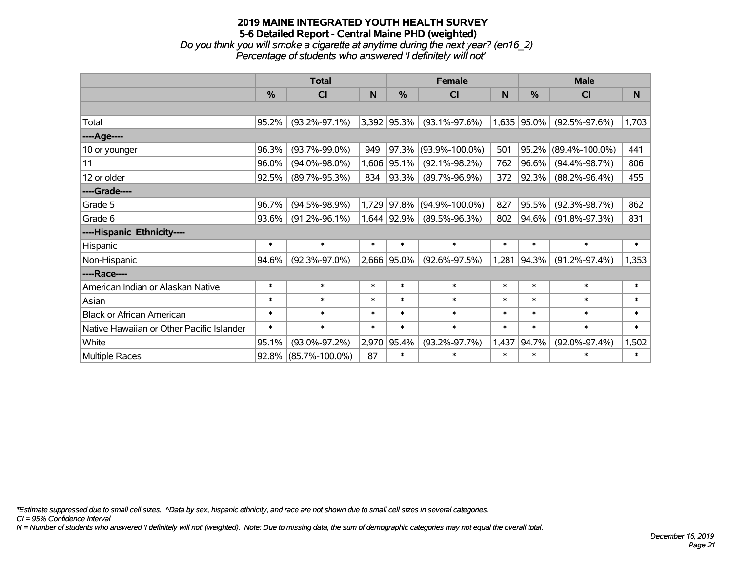# **2019 MAINE INTEGRATED YOUTH HEALTH SURVEY 5-6 Detailed Report - Central Maine PHD (weighted)** *Do you think you will smoke a cigarette at anytime during the next year? (en16\_2)*

*Percentage of students who answered 'I definitely will not'*

|                                           | <b>Total</b> |                      |        |                 | <b>Female</b>        |        | <b>Male</b> |                      |          |  |
|-------------------------------------------|--------------|----------------------|--------|-----------------|----------------------|--------|-------------|----------------------|----------|--|
|                                           | %            | CI                   | N      | $\frac{0}{0}$   | CI                   | N      | %           | <b>CI</b>            | <b>N</b> |  |
|                                           |              |                      |        |                 |                      |        |             |                      |          |  |
| Total                                     | 95.2%        | $(93.2\% - 97.1\%)$  |        | $3,392$ 95.3%   | $(93.1\% - 97.6\%)$  |        | 1,635 95.0% | $(92.5\% - 97.6\%)$  | 1,703    |  |
| ----Age----                               |              |                      |        |                 |                      |        |             |                      |          |  |
| 10 or younger                             | 96.3%        | $(93.7\% - 99.0\%)$  | 949    | 97.3%           | $(93.9\% - 100.0\%)$ | 501    | 95.2%       | $(89.4\% - 100.0\%)$ | 441      |  |
| 11                                        | 96.0%        | $(94.0\% - 98.0\%)$  | 1,606  | 95.1%           | $(92.1\% - 98.2\%)$  | 762    | 96.6%       | $(94.4\% - 98.7\%)$  | 806      |  |
| 12 or older                               | 92.5%        | $(89.7\% - 95.3\%)$  | 834    | 93.3%           | $(89.7\% - 96.9\%)$  | 372    | 92.3%       | $(88.2\% - 96.4\%)$  | 455      |  |
| ----Grade----                             |              |                      |        |                 |                      |        |             |                      |          |  |
| Grade 5                                   | 96.7%        | $(94.5\% - 98.9\%)$  | 1,729  | 97.8%           | $(94.9\% - 100.0\%)$ | 827    | 95.5%       | $(92.3\% - 98.7\%)$  | 862      |  |
| Grade 6                                   | 93.6%        | $(91.2\% - 96.1\%)$  |        | $1,644$   92.9% | $(89.5\% - 96.3\%)$  | 802    | 94.6%       | $(91.8\% - 97.3\%)$  | 831      |  |
| ----Hispanic Ethnicity----                |              |                      |        |                 |                      |        |             |                      |          |  |
| Hispanic                                  | $\ast$       | $\ast$               | $\ast$ | $\ast$          | $\ast$               | $\ast$ | $\ast$      | $\ast$               | $\ast$   |  |
| Non-Hispanic                              | 94.6%        | $(92.3\% - 97.0\%)$  |        | 2,666 95.0%     | $(92.6\% - 97.5\%)$  | 1,281  | 94.3%       | $(91.2\% - 97.4\%)$  | 1,353    |  |
| ----Race----                              |              |                      |        |                 |                      |        |             |                      |          |  |
| American Indian or Alaskan Native         | $\ast$       | $\ast$               | $\ast$ | $\ast$          | $\ast$               | $\ast$ | $\ast$      | $\ast$               | $\ast$   |  |
| Asian                                     | $\ast$       | $\ast$               | $\ast$ | $\ast$          | $\ast$               | $\ast$ | $\ast$      | $\ast$               | $\ast$   |  |
| <b>Black or African American</b>          | $\ast$       | $\ast$               | $\ast$ | $\ast$          | $\ast$               | $\ast$ | $\ast$      | $\ast$               | $\ast$   |  |
| Native Hawaiian or Other Pacific Islander | $\ast$       | $\ast$               | $\ast$ | $\ast$          | $\ast$               | $\ast$ | $\ast$      | $\ast$               | $\ast$   |  |
| White                                     | 95.1%        | $(93.0\% - 97.2\%)$  | 2,970  | 95.4%           | $(93.2\% - 97.7\%)$  | 1,437  | 94.7%       | $(92.0\% - 97.4\%)$  | 1,502    |  |
| <b>Multiple Races</b>                     | 92.8%        | $(85.7\% - 100.0\%)$ | 87     | $\ast$          | $\ast$               | $\ast$ | $\ast$      | $\ast$               | $\ast$   |  |

*\*Estimate suppressed due to small cell sizes. ^Data by sex, hispanic ethnicity, and race are not shown due to small cell sizes in several categories.*

*CI = 95% Confidence Interval*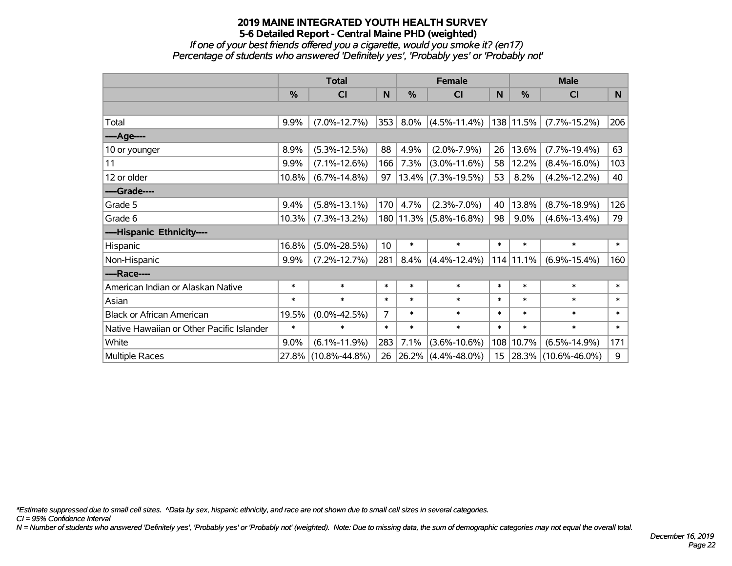*If one of your best friends offered you a cigarette, would you smoke it? (en17) Percentage of students who answered 'Definitely yes', 'Probably yes' or 'Probably not'*

|                                           | <b>Total</b>  |                     |        |               | <b>Female</b>          |        | <b>Male</b>   |                     |        |  |
|-------------------------------------------|---------------|---------------------|--------|---------------|------------------------|--------|---------------|---------------------|--------|--|
|                                           | $\frac{0}{0}$ | <b>CI</b>           | N      | $\frac{9}{6}$ | <b>CI</b>              | N      | $\frac{0}{0}$ | <b>CI</b>           | N      |  |
|                                           |               |                     |        |               |                        |        |               |                     |        |  |
| Total                                     | 9.9%          | $(7.0\% - 12.7\%)$  | 353    | 8.0%          | $(4.5\% - 11.4\%)$     |        | 138 11.5%     | $(7.7\% - 15.2\%)$  | 206    |  |
| ----Age----                               |               |                     |        |               |                        |        |               |                     |        |  |
| 10 or younger                             | 8.9%          | $(5.3\% - 12.5\%)$  | 88     | 4.9%          | $(2.0\% - 7.9\%)$      | 26     | 13.6%         | $(7.7\% - 19.4\%)$  | 63     |  |
| 11                                        | 9.9%          | $(7.1\% - 12.6\%)$  | 166    | 7.3%          | $(3.0\% - 11.6\%)$     | 58     | 12.2%         | $(8.4\% - 16.0\%)$  | 103    |  |
| 12 or older                               | 10.8%         | $(6.7\% - 14.8\%)$  | 97     |               | $13.4\%$ (7.3%-19.5%)  | 53     | 8.2%          | $(4.2\% - 12.2\%)$  | 40     |  |
| ----Grade----                             |               |                     |        |               |                        |        |               |                     |        |  |
| Grade 5                                   | 9.4%          | $(5.8\% - 13.1\%)$  | 170    | 4.7%          | $(2.3\% - 7.0\%)$      | 40     | 13.8%         | $(8.7\% - 18.9\%)$  | 126    |  |
| Grade 6                                   | 10.3%         | $(7.3\% - 13.2\%)$  |        |               | 180 11.3% (5.8%-16.8%) | 98     | 9.0%          | $(4.6\% - 13.4\%)$  | 79     |  |
| ----Hispanic Ethnicity----                |               |                     |        |               |                        |        |               |                     |        |  |
| Hispanic                                  | 16.8%         | $(5.0\% - 28.5\%)$  | 10     | $\ast$        | $\ast$                 | $\ast$ | $\ast$        | $\ast$              | $\ast$ |  |
| Non-Hispanic                              | 9.9%          | $(7.2\% - 12.7\%)$  | 281    | 8.4%          | $(4.4\% - 12.4\%)$     |        | $114$   11.1% | $(6.9\% - 15.4\%)$  | 160    |  |
| ----Race----                              |               |                     |        |               |                        |        |               |                     |        |  |
| American Indian or Alaskan Native         | $\ast$        | $\ast$              | $\ast$ | $\ast$        | $\ast$                 | $\ast$ | $\ast$        | $\ast$              | $\ast$ |  |
| Asian                                     | $\ast$        | $\ast$              | $\ast$ | $\ast$        | $\ast$                 | $\ast$ | $\ast$        | $\ast$              | $\ast$ |  |
| <b>Black or African American</b>          | 19.5%         | $(0.0\% - 42.5\%)$  | 7      | $\ast$        | $\ast$                 | $\ast$ | $\ast$        | $\ast$              | $\ast$ |  |
| Native Hawaiian or Other Pacific Islander | $\ast$        | $\ast$              | $\ast$ | $\ast$        | $\ast$                 | $\ast$ | $\ast$        | $\ast$              | $\ast$ |  |
| White                                     | 9.0%          | $(6.1\% - 11.9\%)$  | 283    | 7.1%          | $(3.6\% - 10.6\%)$     | 108    | 10.7%         | $(6.5\% - 14.9\%)$  | 171    |  |
| <b>Multiple Races</b>                     | 27.8%         | $(10.8\% - 44.8\%)$ | 26     | 26.2%         | $(4.4\% - 48.0\%)$     | 15     | $ 28.3\% $    | $(10.6\% - 46.0\%)$ | 9      |  |

*\*Estimate suppressed due to small cell sizes. ^Data by sex, hispanic ethnicity, and race are not shown due to small cell sizes in several categories.*

*CI = 95% Confidence Interval*

*N = Number of students who answered 'Definitely yes', 'Probably yes' or 'Probably not' (weighted). Note: Due to missing data, the sum of demographic categories may not equal the overall total.*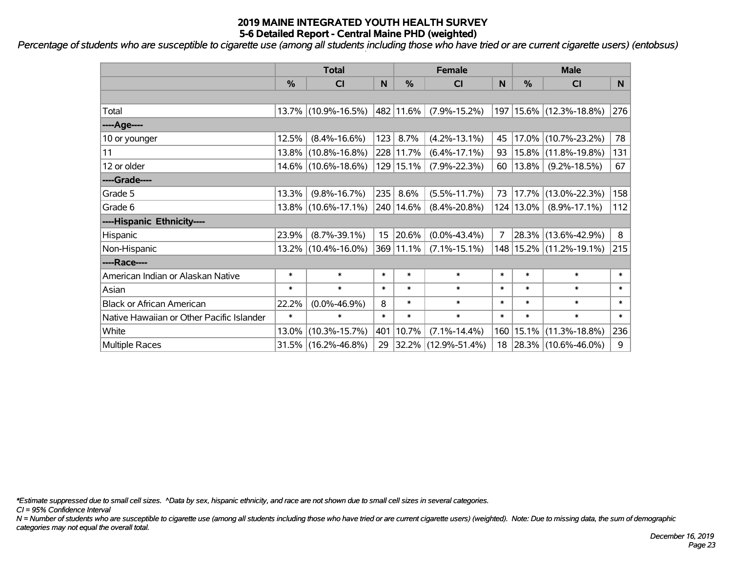*Percentage of students who are susceptible to cigarette use (among all students including those who have tried or are current cigarette users) (entobsus)*

|                                           | <b>Total</b>  |                        |        |             | <b>Female</b>            | <b>Male</b> |               |                             |        |
|-------------------------------------------|---------------|------------------------|--------|-------------|--------------------------|-------------|---------------|-----------------------------|--------|
|                                           | $\frac{0}{0}$ | <b>CI</b>              | N      | %           | <b>CI</b>                | N           | %             | <b>CI</b>                   | N      |
|                                           |               |                        |        |             |                          |             |               |                             |        |
| Total                                     |               | 13.7% (10.9%-16.5%)    |        | 482 11.6%   | $(7.9\% - 15.2\%)$       |             |               | 197   15.6%   (12.3%-18.8%) | 276    |
| ----Age----                               |               |                        |        |             |                          |             |               |                             |        |
| 10 or younger                             | 12.5%         | $(8.4\% - 16.6\%)$     | 123    | 8.7%        | $(4.2\% - 13.1\%)$       | 45          | $17.0\%$      | $(10.7\% - 23.2\%)$         | 78     |
| 11                                        |               | $13.8\%$ (10.8%-16.8%) |        | 228 11.7%   | $(6.4\% - 17.1\%)$       | 93          | $15.8\%$      | $(11.8\% - 19.8\%)$         | 131    |
| 12 or older                               |               | 14.6% (10.6%-18.6%)    |        | 129 15.1%   | $(7.9\% - 22.3\%)$       | 60          | $13.8\%$      | $(9.2\% - 18.5\%)$          | 67     |
| ----Grade----                             |               |                        |        |             |                          |             |               |                             |        |
| Grade 5                                   | 13.3%         | $(9.8\% - 16.7\%)$     | 235    | 8.6%        | $(5.5\% - 11.7\%)$       | 73          | 17.7%         | $(13.0\% - 22.3\%)$         | 158    |
| Grade 6                                   |               | 13.8% (10.6%-17.1%)    |        | 240   14.6% | $(8.4\% - 20.8\%)$       |             | $124 13.0\% $ | $(8.9\% - 17.1\%)$          | 112    |
| ----Hispanic Ethnicity----                |               |                        |        |             |                          |             |               |                             |        |
| Hispanic                                  | 23.9%         | $(8.7\% - 39.1\%)$     | 15     | 20.6%       | $(0.0\% - 43.4\%)$       | 7           |               | 28.3% (13.6%-42.9%)         | 8      |
| Non-Hispanic                              |               | 13.2% (10.4%-16.0%)    |        | 369 11.1%   | $(7.1\% - 15.1\%)$       |             |               | 148   15.2%   (11.2%-19.1%) | 215    |
| ----Race----                              |               |                        |        |             |                          |             |               |                             |        |
| American Indian or Alaskan Native         | $\ast$        | $\ast$                 | $\ast$ | $\ast$      | $\ast$                   | $\ast$      | $\ast$        | $\ast$                      | $\ast$ |
| Asian                                     | $\ast$        | $\ast$                 | $\ast$ | $\ast$      | $\ast$                   | $\ast$      | $\ast$        | $\ast$                      | $\ast$ |
| <b>Black or African American</b>          | 22.2%         | $(0.0\% - 46.9\%)$     | 8      | $\ast$      | $\ast$                   | $\ast$      | $\ast$        | $\ast$                      | $\ast$ |
| Native Hawaiian or Other Pacific Islander | $\ast$        | $\ast$                 | $\ast$ | $\ast$      | $\ast$                   | $\ast$      | $\ast$        | $\ast$                      | $\ast$ |
| White                                     | 13.0%         | $(10.3\% - 15.7\%)$    | 401    | 10.7%       | $(7.1\% - 14.4\%)$       | 160         | 15.1%         | $(11.3\% - 18.8\%)$         | 236    |
| <b>Multiple Races</b>                     |               | $31.5\%$ (16.2%-46.8%) | 29     |             | $ 32.2\% $ (12.9%-51.4%) |             |               | 18 28.3% (10.6%-46.0%)      | 9      |

*\*Estimate suppressed due to small cell sizes. ^Data by sex, hispanic ethnicity, and race are not shown due to small cell sizes in several categories.*

*CI = 95% Confidence Interval*

*N = Number of students who are susceptible to cigarette use (among all students including those who have tried or are current cigarette users) (weighted). Note: Due to missing data, the sum of demographic categories may not equal the overall total.*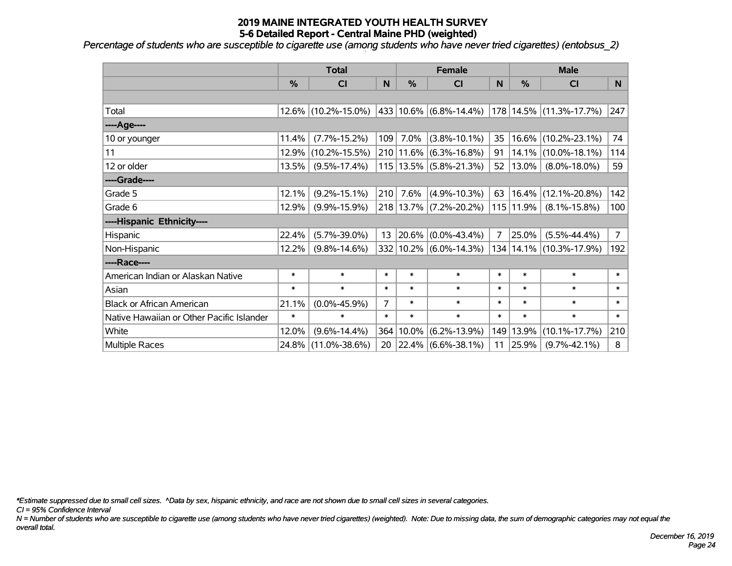*Percentage of students who are susceptible to cigarette use (among students who have never tried cigarettes) (entobsus\_2)*

|                                           | <b>Total</b> |                     |        |           | <b>Female</b>              |                | <b>Male</b> |                         |                |  |
|-------------------------------------------|--------------|---------------------|--------|-----------|----------------------------|----------------|-------------|-------------------------|----------------|--|
|                                           | %            | <b>CI</b>           | N      | %         | <b>CI</b>                  | N              | %           | <b>CI</b>               | N              |  |
|                                           |              |                     |        |           |                            |                |             |                         |                |  |
| Total                                     |              | 12.6% (10.2%-15.0%) |        |           | 433 10.6% (6.8%-14.4%)     |                |             | 178 14.5% (11.3%-17.7%) | 247            |  |
| ----Age----                               |              |                     |        |           |                            |                |             |                         |                |  |
| 10 or younger                             | 11.4%        | $(7.7\% - 15.2\%)$  | 109    | 7.0%      | $(3.8\% - 10.1\%)$         | 35             | 16.6%       | $(10.2\% - 23.1\%)$     | 74             |  |
| 11                                        | 12.9%        | $(10.2\% - 15.5\%)$ |        | 210 11.6% | $(6.3\% - 16.8\%)$         | 91             | 14.1%       | $(10.0\% - 18.1\%)$     | 114            |  |
| 12 or older                               | 13.5%        | $(9.5\% - 17.4\%)$  |        |           | 115   13.5%   (5.8%-21.3%) | 52             | $13.0\%$    | $(8.0\% - 18.0\%)$      | 59             |  |
| ----Grade----                             |              |                     |        |           |                            |                |             |                         |                |  |
| Grade 5                                   | 12.1%        | $(9.2\% - 15.1\%)$  | 210    | 7.6%      | $(4.9\% - 10.3\%)$         | 63             | 16.4%       | $(12.1\% - 20.8\%)$     | 142            |  |
| Grade 6                                   | 12.9%        | $(9.9\% - 15.9\%)$  |        |           | 218 13.7% (7.2%-20.2%)     |                | 115 11.9%   | $(8.1\% - 15.8\%)$      | 100            |  |
| ----Hispanic Ethnicity----                |              |                     |        |           |                            |                |             |                         |                |  |
| Hispanic                                  | 22.4%        | $(5.7\% - 39.0\%)$  | 13     | 20.6%     | $(0.0\% - 43.4\%)$         | $\overline{7}$ | 25.0%       | $(5.5\% - 44.4\%)$      | $\overline{7}$ |  |
| Non-Hispanic                              | 12.2%        | $(9.8\% - 14.6\%)$  |        |           | 332 10.2% (6.0%-14.3%)     |                | 134 14.1%   | $(10.3\% - 17.9\%)$     | 192            |  |
| ----Race----                              |              |                     |        |           |                            |                |             |                         |                |  |
| American Indian or Alaskan Native         | $\ast$       | $\ast$              | $\ast$ | $\ast$    | $\ast$                     | $\ast$         | $\ast$      | $\ast$                  | $\ast$         |  |
| Asian                                     | $\ast$       | $\ast$              | $\ast$ | $\ast$    | $\ast$                     | $\ast$         | $\ast$      | $\ast$                  | $\ast$         |  |
| <b>Black or African American</b>          | 21.1%        | $(0.0\% - 45.9\%)$  | 7      | $\ast$    | $\ast$                     | $\ast$         | $\ast$      | $\ast$                  | $\ast$         |  |
| Native Hawaiian or Other Pacific Islander | $\ast$       | $\ast$              | $\ast$ | $\ast$    | $\ast$                     | $\ast$         | $\ast$      | $\ast$                  | $\ast$         |  |
| White                                     | 12.0%        | $(9.6\% - 14.4\%)$  | 364    | 10.0%     | $(6.2\% - 13.9\%)$         | 149            | 13.9%       | $(10.1\% - 17.7\%)$     | 210            |  |
| Multiple Races                            | 24.8%        | $(11.0\% - 38.6\%)$ | 20     |           | $ 22.4\% $ (6.6%-38.1%)    | 11             | 25.9%       | $(9.7\% - 42.1\%)$      | 8              |  |

*\*Estimate suppressed due to small cell sizes. ^Data by sex, hispanic ethnicity, and race are not shown due to small cell sizes in several categories.*

*CI = 95% Confidence Interval*

*N = Number of students who are susceptible to cigarette use (among students who have never tried cigarettes) (weighted). Note: Due to missing data, the sum of demographic categories may not equal the overall total.*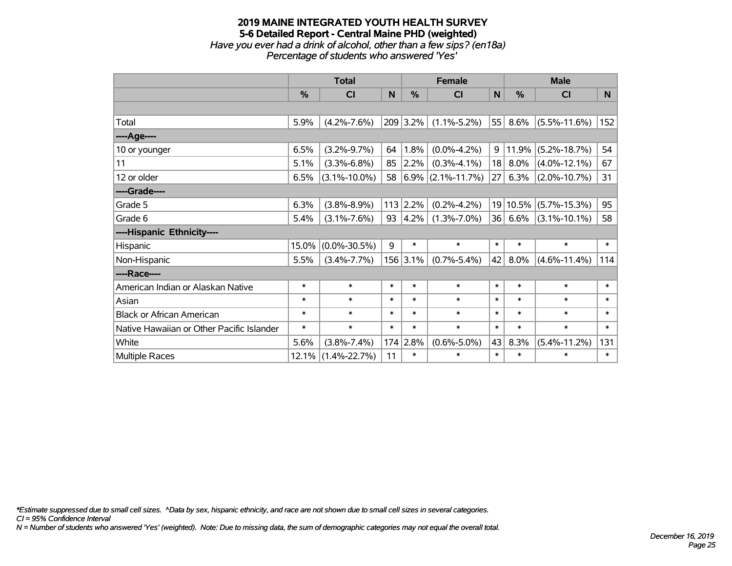### **2019 MAINE INTEGRATED YOUTH HEALTH SURVEY 5-6 Detailed Report - Central Maine PHD (weighted)** *Have you ever had a drink of alcohol, other than a few sips? (en18a) Percentage of students who answered 'Yes'*

|                                           | <b>Total</b> |                    |        | <b>Female</b> |                        |        | <b>Male</b> |                    |        |  |
|-------------------------------------------|--------------|--------------------|--------|---------------|------------------------|--------|-------------|--------------------|--------|--|
|                                           | %            | <b>CI</b>          | N      | $\frac{0}{0}$ | <b>CI</b>              | N      | %           | <b>CI</b>          | N      |  |
|                                           |              |                    |        |               |                        |        |             |                    |        |  |
| Total                                     | 5.9%         | $(4.2\% - 7.6\%)$  |        | 209 3.2%      | $(1.1\% - 5.2\%)$      | 55     | 8.6%        | $(5.5\% - 11.6\%)$ | 152    |  |
| ----Age----                               |              |                    |        |               |                        |        |             |                    |        |  |
| 10 or younger                             | 6.5%         | $(3.2\% - 9.7\%)$  | 64     | 1.8%          | $(0.0\% - 4.2\%)$      | 9      | 11.9%       | $(5.2\% - 18.7\%)$ | 54     |  |
| 11                                        | 5.1%         | $(3.3\% - 6.8\%)$  | 85     | $2.2\%$       | $(0.3\% - 4.1\%)$      | 18     | 8.0%        | $(4.0\% - 12.1\%)$ | 67     |  |
| 12 or older                               | 6.5%         | $(3.1\% - 10.0\%)$ | 58     |               | $ 6.9\% $ (2.1%-11.7%) | 27     | 6.3%        | $(2.0\% - 10.7\%)$ | 31     |  |
| ----Grade----                             |              |                    |        |               |                        |        |             |                    |        |  |
| Grade 5                                   | 6.3%         | $(3.8\% - 8.9\%)$  | 113    | 2.2%          | $(0.2\% - 4.2\%)$      |        | 19 10.5%    | $(5.7\% - 15.3\%)$ | 95     |  |
| Grade 6                                   | 5.4%         | $(3.1\% - 7.6\%)$  | 93     | 4.2%          | $(1.3\% - 7.0\%)$      |        | 36 6.6%     | $(3.1\% - 10.1\%)$ | 58     |  |
| ----Hispanic Ethnicity----                |              |                    |        |               |                        |        |             |                    |        |  |
| Hispanic                                  | 15.0%        | $(0.0\% - 30.5\%)$ | 9      | $\ast$        | $\ast$                 | $\ast$ | $\ast$      | $\ast$             | $\ast$ |  |
| Non-Hispanic                              | 5.5%         | $(3.4\% - 7.7\%)$  |        | $156$ 3.1%    | $(0.7\% - 5.4\%)$      | 42     | 8.0%        | $(4.6\% - 11.4\%)$ | 114    |  |
| ----Race----                              |              |                    |        |               |                        |        |             |                    |        |  |
| American Indian or Alaskan Native         | $\ast$       | $\ast$             | $\ast$ | $\ast$        | $\ast$                 | $\ast$ | $\ast$      | $\ast$             | $\ast$ |  |
| Asian                                     | $\ast$       | $\ast$             | $\ast$ | $\ast$        | $\ast$                 | $\ast$ | $\ast$      | $\ast$             | $\ast$ |  |
| <b>Black or African American</b>          | $\ast$       | $\ast$             | $\ast$ | $\ast$        | $\ast$                 | $\ast$ | $\ast$      | $\ast$             | $\ast$ |  |
| Native Hawaiian or Other Pacific Islander | $\ast$       | $\ast$             | $\ast$ | $\ast$        | $\ast$                 | $\ast$ | $\ast$      | $\ast$             | $\ast$ |  |
| White                                     | 5.6%         | $(3.8\% - 7.4\%)$  | 174    | 2.8%          | $(0.6\% - 5.0\%)$      | 43     | 8.3%        | $(5.4\% - 11.2\%)$ | 131    |  |
| <b>Multiple Races</b>                     | 12.1%        | $(1.4\% - 22.7\%)$ | 11     | $\ast$        | $\ast$                 | $\ast$ | $\ast$      | $\ast$             | $\ast$ |  |

*\*Estimate suppressed due to small cell sizes. ^Data by sex, hispanic ethnicity, and race are not shown due to small cell sizes in several categories.*

*CI = 95% Confidence Interval*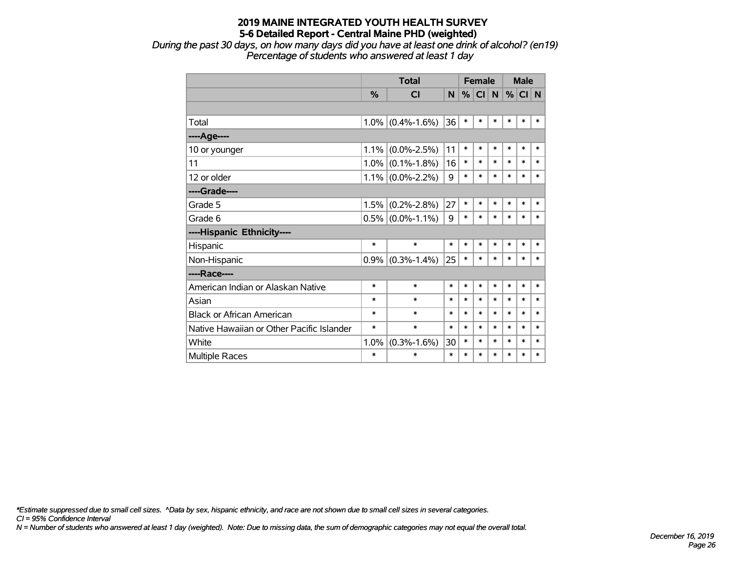*During the past 30 days, on how many days did you have at least one drink of alcohol? (en19) Percentage of students who answered at least 1 day*

|                                           |               | <b>Total</b>        |        |        |           | <b>Female</b> |        | <b>Male</b> |        |
|-------------------------------------------|---------------|---------------------|--------|--------|-----------|---------------|--------|-------------|--------|
|                                           | $\frac{9}{6}$ | <b>CI</b>           | N      | %      | <b>CI</b> | N             | $\%$   | CI N        |        |
|                                           |               |                     |        |        |           |               |        |             |        |
| Total                                     | $1.0\%$       | $(0.4\% - 1.6\%)$   | 36     | $\ast$ | $\ast$    | $\ast$        | $\ast$ | $\ast$      | $\ast$ |
| ----Age----                               |               |                     |        |        |           |               |        |             |        |
| 10 or younger                             | 1.1%          | $(0.0\% - 2.5\%)$   | 11     | $\ast$ | $\ast$    | $\ast$        | $\ast$ | $\ast$      | $\ast$ |
| 11                                        | 1.0%          | $(0.1\% - 1.8\%)$   | 16     | $\ast$ | $\ast$    | $\ast$        | $\ast$ | $\ast$      | $\ast$ |
| 12 or older                               | $1.1\%$       | $(0.0\% - 2.2\%)$   | 9      | $\ast$ | $\ast$    | $\ast$        | $\ast$ | $\ast$      | $\ast$ |
| ----Grade----                             |               |                     |        |        |           |               |        |             |        |
| Grade 5                                   | 1.5%          | $(0.2\% - 2.8\%)$   | 27     | $\ast$ | $\ast$    | $\ast$        | $\ast$ | $\ast$      | $\ast$ |
| Grade 6                                   |               | $0.5\%$ (0.0%-1.1%) | 9      | $\ast$ | $\ast$    | $\ast$        | $\ast$ | $\ast$      | $\ast$ |
| ----Hispanic Ethnicity----                |               |                     |        |        |           |               |        |             |        |
| Hispanic                                  | $\ast$        | $\ast$              | $\ast$ | $\ast$ | $\ast$    | $\ast$        | $\ast$ | $\ast$      | *      |
| Non-Hispanic                              |               | $0.9\%$ (0.3%-1.4%) | 25     | $\ast$ | $\ast$    | $\ast$        | $\ast$ | $\ast$      | $\ast$ |
| ----Race----                              |               |                     |        |        |           |               |        |             |        |
| American Indian or Alaskan Native         | $\ast$        | $\ast$              | $\ast$ | $\ast$ | $\ast$    | $\ast$        | $\ast$ | $\ast$      | $\ast$ |
| Asian                                     | $\ast$        | $\ast$              | $\ast$ | $\ast$ | $\ast$    | $\ast$        | $\ast$ | $\ast$      | $\ast$ |
| <b>Black or African American</b>          | $\ast$        | $\ast$              | $\ast$ | $\ast$ | $\ast$    | $\ast$        | $\ast$ | $\ast$      | $\ast$ |
| Native Hawaiian or Other Pacific Islander | $\ast$        | $\ast$              | $\ast$ | $\ast$ | $\ast$    | $\ast$        | $\ast$ | $\ast$      | $\ast$ |
| White                                     | 1.0%          | $(0.3\% - 1.6\%)$   | 30     | $\ast$ | $\ast$    | $\ast$        | $\ast$ | $\ast$      | $\ast$ |
| <b>Multiple Races</b>                     | $\ast$        | $\ast$              | $\ast$ | $\ast$ | $\ast$    | $\ast$        | $\ast$ | $\ast$      | $\ast$ |

*\*Estimate suppressed due to small cell sizes. ^Data by sex, hispanic ethnicity, and race are not shown due to small cell sizes in several categories.*

*CI = 95% Confidence Interval*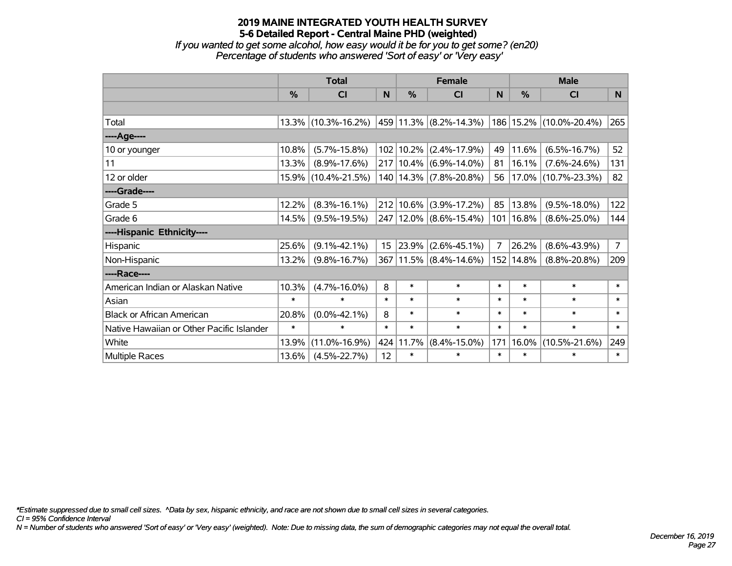*If you wanted to get some alcohol, how easy would it be for you to get some? (en20) Percentage of students who answered 'Sort of easy' or 'Very easy'*

|                                           | <b>Total</b> |                        |        | <b>Female</b> |                             | <b>Male</b> |               |                             |                |
|-------------------------------------------|--------------|------------------------|--------|---------------|-----------------------------|-------------|---------------|-----------------------------|----------------|
|                                           | %            | <b>CI</b>              | N      | $\frac{0}{0}$ | <b>CI</b>                   | N           | $\frac{0}{0}$ | <b>CI</b>                   | N              |
|                                           |              |                        |        |               |                             |             |               |                             |                |
| Total                                     |              | $13.3\%$ (10.3%-16.2%) |        |               | $ 459 11.3\% $ (8.2%-14.3%) |             |               | 186   15.2%   (10.0%-20.4%) | 265            |
| ----Age----                               |              |                        |        |               |                             |             |               |                             |                |
| 10 or younger                             | 10.8%        | $(5.7\% - 15.8\%)$     |        | 102 10.2%     | $(2.4\% - 17.9\%)$          | 49          | 11.6%         | $(6.5\% - 16.7\%)$          | 52             |
| 11                                        | 13.3%        | $(8.9\% - 17.6\%)$     |        | 217 10.4%     | $(6.9\% - 14.0\%)$          | 81          | 16.1%         | $(7.6\% - 24.6\%)$          | 131            |
| 12 or older                               |              | 15.9% (10.4%-21.5%)    |        |               | 140   14.3%   (7.8%-20.8%)  | 56          |               | $ 17.0\% $ (10.7%-23.3%)    | 82             |
| ----Grade----                             |              |                        |        |               |                             |             |               |                             |                |
| Grade 5                                   | 12.2%        | $(8.3\% - 16.1\%)$     |        | 212 10.6%     | $(3.9\% - 17.2\%)$          | 85          | 13.8%         | $(9.5\% - 18.0\%)$          | 122            |
| Grade 6                                   | 14.5%        | $(9.5\% - 19.5\%)$     |        |               | 247 12.0% (8.6%-15.4%)      |             | 101   16.8%   | $(8.6\% - 25.0\%)$          | 144            |
| ----Hispanic Ethnicity----                |              |                        |        |               |                             |             |               |                             |                |
| Hispanic                                  | 25.6%        | $(9.1\% - 42.1\%)$     | 15     | 23.9%         | $(2.6\% - 45.1\%)$          | 7           | 26.2%         | $(8.6\% - 43.9\%)$          | $\overline{7}$ |
| Non-Hispanic                              | 13.2%        | $(9.8\% - 16.7\%)$     |        |               | 367 11.5% (8.4%-14.6%)      | 152         | 14.8%         | $(8.8\% - 20.8\%)$          | 209            |
| ----Race----                              |              |                        |        |               |                             |             |               |                             |                |
| American Indian or Alaskan Native         | 10.3%        | $(4.7\% - 16.0\%)$     | 8      | $\ast$        | $\ast$                      | $\ast$      | $\ast$        | $\ast$                      | $\ast$         |
| Asian                                     | $\ast$       | $\ast$                 | $\ast$ | $\ast$        | $\ast$                      | $\ast$      | $\ast$        | $\ast$                      | $\ast$         |
| <b>Black or African American</b>          | 20.8%        | $(0.0\% - 42.1\%)$     | 8      | $\ast$        | $\ast$                      | $\ast$      | $\ast$        | $\ast$                      | $\ast$         |
| Native Hawaiian or Other Pacific Islander | $\ast$       | $\ast$                 | $\ast$ | $\ast$        | $\ast$                      | $\ast$      | $\ast$        | $\ast$                      | $\ast$         |
| White                                     | 13.9%        | $(11.0\% - 16.9\%)$    |        | 424 11.7%     | $(8.4\% - 15.0\%)$          | 171         | 16.0%         | $(10.5\% - 21.6\%)$         | 249            |
| Multiple Races                            | 13.6%        | $(4.5\% - 22.7\%)$     | 12     | $\ast$        | $\ast$                      | $\ast$      | $\ast$        | $\ast$                      | $\ast$         |

*\*Estimate suppressed due to small cell sizes. ^Data by sex, hispanic ethnicity, and race are not shown due to small cell sizes in several categories.*

*CI = 95% Confidence Interval*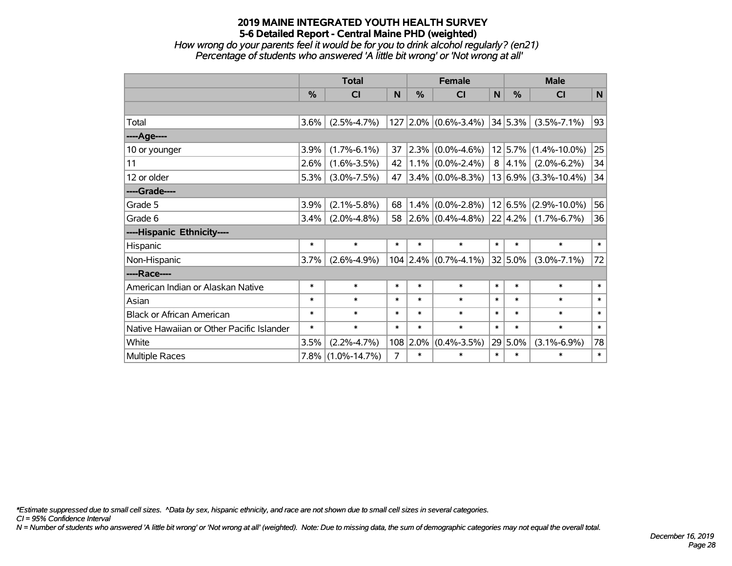*How wrong do your parents feel it would be for you to drink alcohol regularly? (en21) Percentage of students who answered 'A little bit wrong' or 'Not wrong at all'*

|                                           | <b>Total</b> |                   |        |          | <b>Female</b>                     |        | <b>Male</b>  |                          |        |  |
|-------------------------------------------|--------------|-------------------|--------|----------|-----------------------------------|--------|--------------|--------------------------|--------|--|
|                                           | %            | <b>CI</b>         | N      | $\%$     | <b>CI</b>                         | N      | %            | <b>CI</b>                | N      |  |
|                                           |              |                   |        |          |                                   |        |              |                          |        |  |
| Total                                     | 3.6%         | $(2.5\% - 4.7\%)$ |        |          | $127$ 2.0% (0.6%-3.4%)            |        | $ 34 5.3\% $ | $(3.5\% - 7.1\%)$        | 93     |  |
| ---- Age----                              |              |                   |        |          |                                   |        |              |                          |        |  |
| 10 or younger                             | 3.9%         | $(1.7\% - 6.1\%)$ | 37     |          | $2.3\%$ (0.0%-4.6%)               |        |              | $12 5.7\% $ (1.4%-10.0%) | 25     |  |
| 11                                        | 2.6%         | $(1.6\% - 3.5\%)$ | 42     |          | $1.1\%$ (0.0%-2.4%)               |        | 8 4.1%       | $(2.0\% - 6.2\%)$        | 34     |  |
| 12 or older                               | 5.3%         | $(3.0\% - 7.5\%)$ | 47     |          | $3.4\%$ (0.0%-8.3%)               |        |              | $13 6.9\% $ (3.3%-10.4%) | 34     |  |
| ----Grade----                             |              |                   |        |          |                                   |        |              |                          |        |  |
| Grade 5                                   | 3.9%         | $(2.1\% - 5.8\%)$ | 68     |          | $1.4\%$ (0.0%-2.8%)               |        | 12 6.5%      | $(2.9\% - 10.0\%)$       | 56     |  |
| Grade 6                                   | 3.4%         | $(2.0\% - 4.8\%)$ | 58     |          | $\vert 2.6\% \vert (0.4\%$ -4.8%) |        | 22 4.2%      | $(1.7\% - 6.7\%)$        | 36     |  |
| ----Hispanic Ethnicity----                |              |                   |        |          |                                   |        |              |                          |        |  |
| Hispanic                                  | $\ast$       | $\ast$            | $\ast$ | $\ast$   | $\ast$                            | $\ast$ | $\ast$       | $\ast$                   | $\ast$ |  |
| Non-Hispanic                              | 3.7%         | $(2.6\% - 4.9\%)$ |        |          | $104$ 2.4% (0.7%-4.1%)            |        | $32 5.0\% $  | $(3.0\% - 7.1\%)$        | 72     |  |
| ----Race----                              |              |                   |        |          |                                   |        |              |                          |        |  |
| American Indian or Alaskan Native         | $\ast$       | $\ast$            | $\ast$ | $\ast$   | $\ast$                            | $\ast$ | $\ast$       | $\ast$                   | $\ast$ |  |
| Asian                                     | $\ast$       | $\ast$            | $\ast$ | $\ast$   | $\ast$                            | $\ast$ | $\ast$       | $\ast$                   | $\ast$ |  |
| <b>Black or African American</b>          | $\ast$       | $\ast$            | $\ast$ | $\ast$   | $\ast$                            | $\ast$ | $\ast$       | $\ast$                   | $\ast$ |  |
| Native Hawaiian or Other Pacific Islander | $\ast$       | $\ast$            | $\ast$ | $\ast$   | $\ast$                            | $\ast$ | $\ast$       | $\ast$                   | $\ast$ |  |
| White                                     | 3.5%         | $(2.2\% - 4.7\%)$ |        | 108 2.0% | $(0.4\% - 3.5\%)$                 |        | 29 5.0%      | $(3.1\% - 6.9\%)$        | 78     |  |
| Multiple Races                            |              | 7.8% (1.0%-14.7%) | 7      | $\ast$   | *                                 | $\ast$ | $\ast$       | $\ast$                   | $\ast$ |  |

*\*Estimate suppressed due to small cell sizes. ^Data by sex, hispanic ethnicity, and race are not shown due to small cell sizes in several categories.*

*CI = 95% Confidence Interval*

*N = Number of students who answered 'A little bit wrong' or 'Not wrong at all' (weighted). Note: Due to missing data, the sum of demographic categories may not equal the overall total.*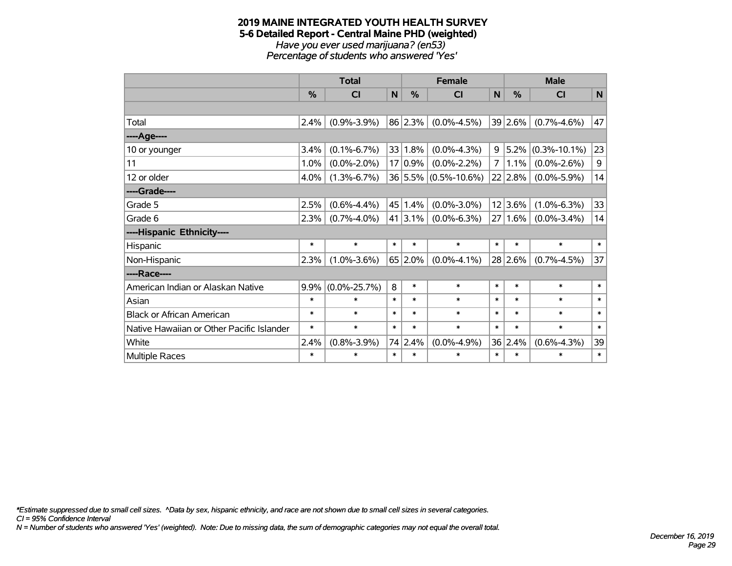#### **2019 MAINE INTEGRATED YOUTH HEALTH SURVEY 5-6 Detailed Report - Central Maine PHD (weighted)** *Have you ever used marijuana? (en53) Percentage of students who answered 'Yes'*

|                                           | <b>Total</b> |                    |        | <b>Female</b> | <b>Male</b>          |              |             |                    |              |
|-------------------------------------------|--------------|--------------------|--------|---------------|----------------------|--------------|-------------|--------------------|--------------|
|                                           | %            | <b>CI</b>          | N      | $\%$          | <b>CI</b>            | $\mathsf{N}$ | %           | <b>CI</b>          | N            |
|                                           |              |                    |        |               |                      |              |             |                    |              |
| Total                                     | 2.4%         | $(0.9\% - 3.9\%)$  |        | 86 2.3%       | $(0.0\% - 4.5\%)$    |              | $39 2.6\% $ | $(0.7\% - 4.6\%)$  | 47           |
| ---- Age----                              |              |                    |        |               |                      |              |             |                    |              |
| 10 or younger                             | 3.4%         | $(0.1\% - 6.7\%)$  |        | 33 1.8%       | $(0.0\% - 4.3\%)$    | 9            | $ 5.2\% $   | $(0.3\% - 10.1\%)$ | 23           |
| 11                                        | 1.0%         | $(0.0\% - 2.0\%)$  |        | 17 0.9%       | $(0.0\% - 2.2\%)$    | 7            | $1.1\%$     | $(0.0\% - 2.6\%)$  | 9            |
| 12 or older                               | 4.0%         | $(1.3\% - 6.7\%)$  |        |               | 36 5.5% (0.5%-10.6%) |              | 22 2.8%     | $(0.0\% - 5.9\%)$  | 14           |
| ----Grade----                             |              |                    |        |               |                      |              |             |                    |              |
| Grade 5                                   | 2.5%         | $(0.6\% - 4.4\%)$  |        | 45 1.4%       | $(0.0\% - 3.0\%)$    |              | 12 3.6%     | $(1.0\% - 6.3\%)$  | 33           |
| Grade 6                                   | 2.3%         | $(0.7\% - 4.0\%)$  |        | 41 3.1%       | $(0.0\% - 6.3\%)$    |              | $27 1.6\% $ | $(0.0\% - 3.4\%)$  | 14           |
| ----Hispanic Ethnicity----                |              |                    |        |               |                      |              |             |                    |              |
| Hispanic                                  | $\ast$       | $\ast$             | $\ast$ | $\ast$        | $\ast$               | $\ast$       | $\ast$      | $\ast$             | $\ast$       |
| Non-Hispanic                              | 2.3%         | $(1.0\% - 3.6\%)$  |        | 65 2.0%       | $(0.0\% - 4.1\%)$    |              | $28 2.6\% $ | $(0.7\% - 4.5\%)$  | 37           |
| ----Race----                              |              |                    |        |               |                      |              |             |                    |              |
| American Indian or Alaskan Native         | 9.9%         | $(0.0\% - 25.7\%)$ | 8      | $\ast$        | $\ast$               | $\ast$       | $\ast$      | $\ast$             | $\ast$       |
| Asian                                     | $\ast$       | $\ast$             | $\ast$ | $\ast$        | $\ast$               | $\ast$       | $\ast$      | $\ast$             | $\ast$       |
| <b>Black or African American</b>          | $\ast$       | $\ast$             | $\ast$ | $\ast$        | $\ast$               | $\ast$       | $\ast$      | $\ast$             | $\ast$       |
| Native Hawaiian or Other Pacific Islander | $\ast$       | $\ast$             | $\ast$ | $\ast$        | $\ast$               | $\ast$       | $\ast$      | $\ast$             | $\ast$       |
| White                                     | 2.4%         | $(0.8\% - 3.9\%)$  |        | 74 2.4%       | $(0.0\% - 4.9\%)$    |              | 36 2.4%     | $(0.6\% - 4.3\%)$  | 39           |
| <b>Multiple Races</b>                     | $\ast$       | $\ast$             | $\ast$ | $\ast$        | $\ast$               | $\ast$       | $\ast$      | $\ast$             | $\pmb{\ast}$ |

*\*Estimate suppressed due to small cell sizes. ^Data by sex, hispanic ethnicity, and race are not shown due to small cell sizes in several categories.*

*CI = 95% Confidence Interval*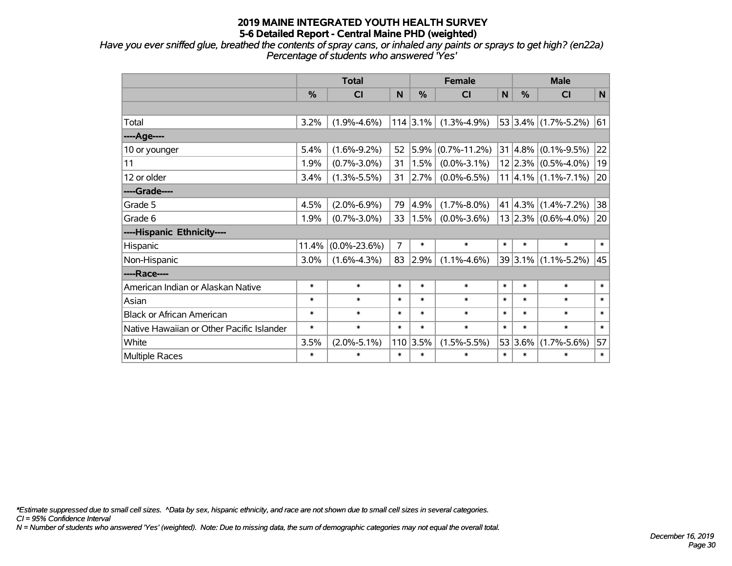*Have you ever sniffed glue, breathed the contents of spray cans, or inhaled any paints or sprays to get high? (en22a) Percentage of students who answered 'Yes'*

|                                           | <b>Total</b>  |                    |        | <b>Female</b> |                    | <b>Male</b> |                 |                                      |        |
|-------------------------------------------|---------------|--------------------|--------|---------------|--------------------|-------------|-----------------|--------------------------------------|--------|
|                                           | $\frac{0}{2}$ | <b>CI</b>          | N      | $\%$          | <b>CI</b>          | N           | $\frac{0}{0}$   | <b>CI</b>                            | N      |
|                                           |               |                    |        |               |                    |             |                 |                                      |        |
| Total                                     | 3.2%          | $(1.9\% - 4.6\%)$  |        | $114$ 3.1%    | $(1.3\% - 4.9\%)$  |             |                 | 53 3.4% $(1.7\% - 5.2\%)$            | 61     |
| ----Age----                               |               |                    |        |               |                    |             |                 |                                      |        |
| 10 or younger                             | 5.4%          | $(1.6\% - 9.2\%)$  | 52     | 5.9%          | $(0.7\% - 11.2\%)$ |             | 31 4.8%         | $(0.1\% - 9.5\%)$                    | 22     |
| 11                                        | 1.9%          | $(0.7\% - 3.0\%)$  | 31     | 1.5%          | $(0.0\% - 3.1\%)$  |             |                 | $12 2.3\% $ (0.5%-4.0%)              | 19     |
| 12 or older                               | 3.4%          | $(1.3\% - 5.5\%)$  | 31     | 2.7%          | $(0.0\% - 6.5\%)$  |             |                 | $11 \mid 4.1\% \mid (1.1\% - 7.1\%)$ | 20     |
| ----Grade----                             |               |                    |        |               |                    |             |                 |                                      |        |
| Grade 5                                   | 4.5%          | $(2.0\% - 6.9\%)$  | 79     | 4.9%          | $(1.7\% - 8.0\%)$  |             | $41 \mid 4.3\%$ | $(1.4\% - 7.2\%)$                    | 38     |
| Grade 6                                   | 1.9%          | $(0.7\% - 3.0\%)$  | 33     | 1.5%          | $(0.0\% - 3.6\%)$  |             |                 | $13 2.3\% $ (0.6%-4.0%)              | 20     |
| ----Hispanic Ethnicity----                |               |                    |        |               |                    |             |                 |                                      |        |
| Hispanic                                  | 11.4%         | $(0.0\% - 23.6\%)$ | 7      | $\ast$        | $\ast$             | $\ast$      | $\ast$          | $\ast$                               | $\ast$ |
| Non-Hispanic                              | 3.0%          | $(1.6\% - 4.3\%)$  | 83     | 2.9%          | $(1.1\% - 4.6\%)$  |             |                 | $39 3.1\% $ (1.1%-5.2%)              | 45     |
| ----Race----                              |               |                    |        |               |                    |             |                 |                                      |        |
| American Indian or Alaskan Native         | $\ast$        | $\ast$             | $\ast$ | $\ast$        | $\ast$             | $\ast$      | $\ast$          | $\ast$                               | $\ast$ |
| Asian                                     | $\ast$        | $\ast$             | $\ast$ | $\ast$        | $\ast$             | $\ast$      | $\ast$          | $\ast$                               | $\ast$ |
| <b>Black or African American</b>          | $\ast$        | $\ast$             | $\ast$ | $\ast$        | $\ast$             | $\ast$      | $\ast$          | $\ast$                               | $\ast$ |
| Native Hawaiian or Other Pacific Islander | $\ast$        | $\ast$             | $\ast$ | $\ast$        | $\ast$             | $\ast$      | $\ast$          | $\ast$                               | $\ast$ |
| White                                     | 3.5%          | $(2.0\% - 5.1\%)$  | 110    | 3.5%          | $(1.5\% - 5.5\%)$  |             | 53 3.6%         | $(1.7\% - 5.6\%)$                    | 57     |
| Multiple Races                            | $\ast$        | $\ast$             | $\ast$ | $\ast$        | $\ast$             | $\ast$      | $\ast$          | $\ast$                               | $\ast$ |

*\*Estimate suppressed due to small cell sizes. ^Data by sex, hispanic ethnicity, and race are not shown due to small cell sizes in several categories.*

*CI = 95% Confidence Interval*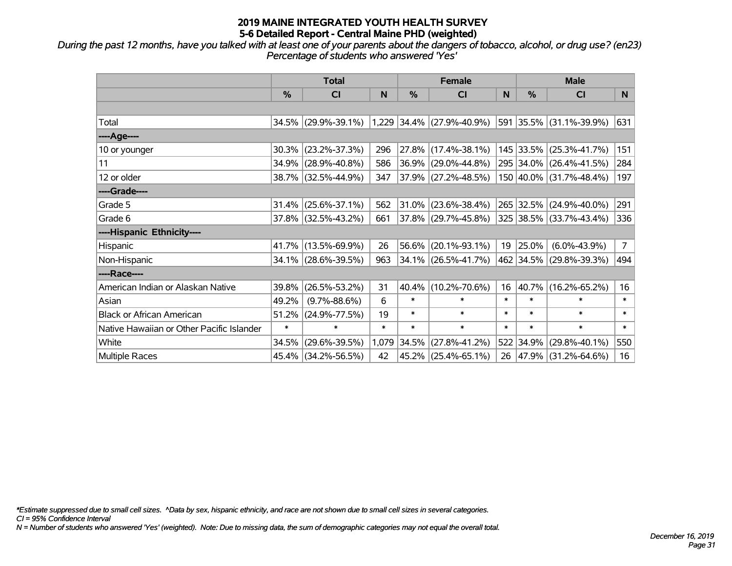*During the past 12 months, have you talked with at least one of your parents about the dangers of tobacco, alcohol, or drug use? (en23) Percentage of students who answered 'Yes'*

|                                           | <b>Total</b>  |                        |        | <b>Female</b> |                             | <b>Male</b> |               |                          |                |
|-------------------------------------------|---------------|------------------------|--------|---------------|-----------------------------|-------------|---------------|--------------------------|----------------|
|                                           | $\frac{0}{0}$ | <b>CI</b>              | N      | %             | <b>CI</b>                   | N           | $\frac{0}{0}$ | <b>CI</b>                | N.             |
|                                           |               |                        |        |               |                             |             |               |                          |                |
| Total                                     |               | 34.5% (29.9%-39.1%)    |        |               | $1,229$ 34.4% (27.9%-40.9%) |             |               | 591 35.5% (31.1%-39.9%)  | 631            |
| ----Age----                               |               |                        |        |               |                             |             |               |                          |                |
| 10 or younger                             | 30.3%         | $(23.2\% - 37.3\%)$    | 296    | 27.8%         | $(17.4\% - 38.1\%)$         |             |               | 145 33.5% (25.3%-41.7%)  | 151            |
| 11                                        | 34.9%         | $(28.9\% - 40.8\%)$    | 586    | 36.9%         | $(29.0\% - 44.8\%)$         |             |               | 295 34.0% (26.4%-41.5%)  | 284            |
| 12 or older                               |               | 38.7% (32.5%-44.9%)    | 347    |               | $37.9\%$ (27.2%-48.5%)      |             |               | 150 40.0% (31.7%-48.4%)  | 197            |
| ----Grade----                             |               |                        |        |               |                             |             |               |                          |                |
| Grade 5                                   |               | $31.4\%$ (25.6%-37.1%) | 562    | 31.0%         | $(23.6\% - 38.4\%)$         |             |               | 265 32.5% (24.9%-40.0%)  | 291            |
| Grade 6                                   |               | 37.8% (32.5%-43.2%)    | 661    |               | $37.8\%$ (29.7%-45.8%)      |             |               | 325 38.5% (33.7%-43.4%)  | 336            |
| ----Hispanic Ethnicity----                |               |                        |        |               |                             |             |               |                          |                |
| Hispanic                                  | 41.7%         | $(13.5\% - 69.9\%)$    | 26     | 56.6%         | $(20.1\% - 93.1\%)$         | 19          | 25.0%         | $(6.0\% - 43.9\%)$       | 7 <sup>1</sup> |
| Non-Hispanic                              |               | 34.1% (28.6%-39.5%)    | 963    |               | 34.1% (26.5%-41.7%)         |             |               | 462 34.5% (29.8%-39.3%)  | 494            |
| ----Race----                              |               |                        |        |               |                             |             |               |                          |                |
| American Indian or Alaskan Native         | 39.8%         | $(26.5\% - 53.2\%)$    | 31     | 40.4%         | $(10.2\% - 70.6\%)$         | 16          | 40.7%         | $(16.2\% - 65.2\%)$      | 16             |
| Asian                                     | 49.2%         | $(9.7\% - 88.6\%)$     | 6      | $\ast$        | $\ast$                      | $\ast$      | $\ast$        | $\ast$                   | $\ast$         |
| <b>Black or African American</b>          | 51.2%         | $(24.9\% - 77.5\%)$    | 19     | $\ast$        | $\ast$                      | $\ast$      | $\ast$        | $\ast$                   | $\ast$         |
| Native Hawaiian or Other Pacific Islander | $\ast$        | $\ast$                 | $\ast$ | $\ast$        | $\ast$                      | $\ast$      | $\ast$        | $\ast$                   | $\ast$         |
| White                                     | 34.5%         | $(29.6\% - 39.5\%)$    | 1,079  | 34.5%         | $(27.8\% - 41.2\%)$         |             | 522 34.9%     | $(29.8\% - 40.1\%)$      | 550            |
| Multiple Races                            |               | 45.4% (34.2%-56.5%)    | 42     |               | 45.2% (25.4%-65.1%)         | 26          |               | $ 47.9\% $ (31.2%-64.6%) | 16             |

*\*Estimate suppressed due to small cell sizes. ^Data by sex, hispanic ethnicity, and race are not shown due to small cell sizes in several categories.*

*CI = 95% Confidence Interval*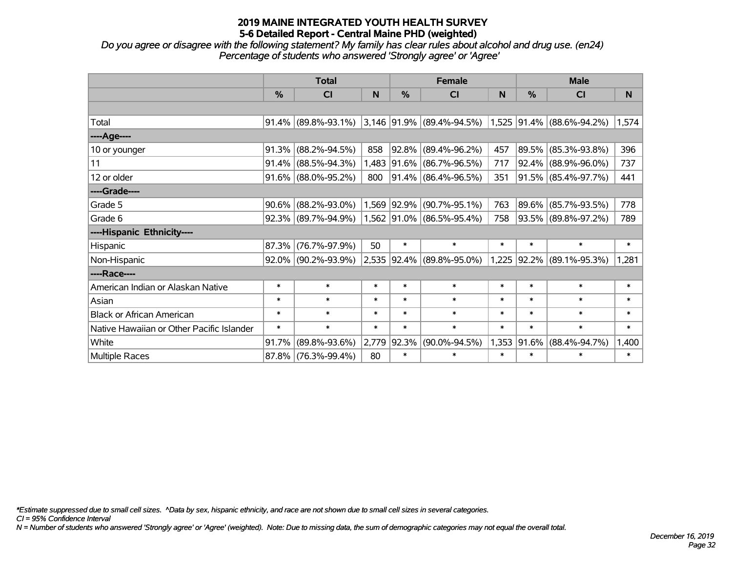*Do you agree or disagree with the following statement? My family has clear rules about alcohol and drug use. (en24) Percentage of students who answered 'Strongly agree' or 'Agree'*

|                                           | <b>Total</b> |                        |        |            | <b>Female</b>                                            |        | <b>Male</b>      |                     |        |  |
|-------------------------------------------|--------------|------------------------|--------|------------|----------------------------------------------------------|--------|------------------|---------------------|--------|--|
|                                           | $\%$         | <b>CI</b>              | N      | %          | <b>CI</b>                                                | N      | %                | <b>CI</b>           | N      |  |
|                                           |              |                        |        |            |                                                          |        |                  |                     |        |  |
| Total                                     |              | $91.4\%$ (89.8%-93.1%) |        |            | $ 3,146 91.9\% $ (89.4%-94.5%) 1,525 91.4% (88.6%-94.2%) |        |                  |                     | 1,574  |  |
| ----Age----                               |              |                        |        |            |                                                          |        |                  |                     |        |  |
| 10 or younger                             | 91.3%        | $(88.2\% - 94.5\%)$    | 858    | 92.8%      | $(89.4\% - 96.2\%)$                                      | 457    | $ 89.5\% $       | $(85.3\% - 93.8\%)$ | 396    |  |
| 11                                        | 91.4%        | $(88.5\% - 94.3\%)$    | 1,483  |            | $ 91.6\% $ (86.7%-96.5%)                                 | 717    |                  | 92.4% (88.9%-96.0%) | 737    |  |
| 12 or older                               |              | $91.6\%$ (88.0%-95.2%) | 800    |            | 91.4% (86.4%-96.5%)                                      | 351    |                  | 91.5% (85.4%-97.7%) | 441    |  |
| ----Grade----                             |              |                        |        |            |                                                          |        |                  |                     |        |  |
| Grade 5                                   | 90.6%        | $(88.2\% - 93.0\%)$    | 1,569  | $ 92.9\% $ | $(90.7\% - 95.1\%)$                                      | 763    | $ 89.6\% $       | $(85.7\% - 93.5\%)$ | 778    |  |
| Grade 6                                   |              | $92.3\%$ (89.7%-94.9%) |        |            | 1,562 91.0% (86.5%-95.4%)                                | 758    |                  | 93.5% (89.8%-97.2%) | 789    |  |
| ----Hispanic Ethnicity----                |              |                        |        |            |                                                          |        |                  |                     |        |  |
| Hispanic                                  | 87.3%        | $(76.7\% - 97.9\%)$    | 50     | $\ast$     | $\ast$                                                   | $\ast$ | $\ast$           | $\ast$              | $\ast$ |  |
| Non-Hispanic                              |              | $92.0\%$ (90.2%-93.9%) |        |            | 2,535 92.4% (89.8%-95.0%)                                |        | $ 1,225 92.2\% $ | $(89.1\% - 95.3\%)$ | 1,281  |  |
| ----Race----                              |              |                        |        |            |                                                          |        |                  |                     |        |  |
| American Indian or Alaskan Native         | $\ast$       | $\ast$                 | $\ast$ | $\ast$     | $\ast$                                                   | $\ast$ | $\ast$           | $\ast$              | $\ast$ |  |
| Asian                                     | $\ast$       | $\ast$                 | $\ast$ | $\ast$     | $\ast$                                                   | $\ast$ | $\ast$           | $\ast$              | $\ast$ |  |
| <b>Black or African American</b>          | $\ast$       | $\ast$                 | $\ast$ | $\ast$     | $\ast$                                                   | $\ast$ | $\ast$           | $\ast$              | $\ast$ |  |
| Native Hawaiian or Other Pacific Islander | $\ast$       | $\ast$                 | $\ast$ | $\ast$     | $\ast$                                                   | $\ast$ | $\ast$           | $\ast$              | $\ast$ |  |
| White                                     | 91.7%        | $(89.8\% - 93.6\%)$    | 2,779  | 92.3%      | $(90.0\% - 94.5\%)$                                      | 1,353  | $ 91.6\% $       | $(88.4\% - 94.7\%)$ | 1,400  |  |
| Multiple Races                            | 87.8%        | $(76.3\% - 99.4\%)$    | 80     | $\ast$     | $\ast$                                                   | $\ast$ | $\ast$           | $\ast$              | $\ast$ |  |

*\*Estimate suppressed due to small cell sizes. ^Data by sex, hispanic ethnicity, and race are not shown due to small cell sizes in several categories.*

*CI = 95% Confidence Interval*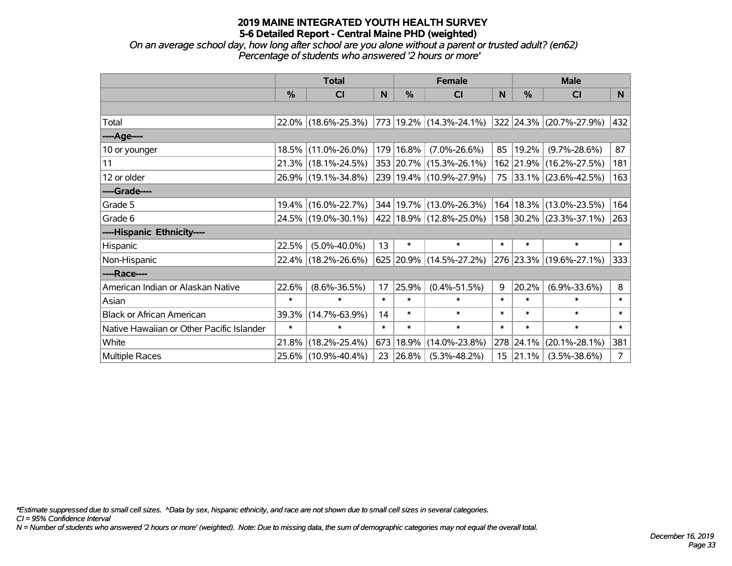*On an average school day, how long after school are you alone without a parent or trusted adult? (en62) Percentage of students who answered '2 hours or more'*

|                                           | <b>Total</b> |                                                      |        | <b>Female</b> | <b>Male</b>             |        |                  |                         |                |
|-------------------------------------------|--------------|------------------------------------------------------|--------|---------------|-------------------------|--------|------------------|-------------------------|----------------|
|                                           | $\%$         | <b>CI</b>                                            | N      | $\%$          | <b>CI</b>               | N      | $\%$             | <b>CI</b>               | N.             |
|                                           |              |                                                      |        |               |                         |        |                  |                         |                |
| Total                                     |              | $22.0\%$ (18.6%-25.3%)   773   19.2%   (14.3%-24.1%) |        |               |                         |        |                  | 322 24.3% (20.7%-27.9%) | 432            |
| ----Age----                               |              |                                                      |        |               |                         |        |                  |                         |                |
| 10 or younger                             |              | 18.5% (11.0%-26.0%)                                  |        | 179 16.8%     | $(7.0\% - 26.6\%)$      | 85     | 19.2%            | $(9.7\% - 28.6\%)$      | 87             |
| 11                                        |              | 21.3% (18.1%-24.5%)                                  |        |               | 353 20.7% (15.3%-26.1%) |        |                  | 162 21.9% (16.2%-27.5%) | 181            |
| 12 or older                               |              | 26.9% (19.1%-34.8%)                                  |        |               | 239 19.4% (10.9%-27.9%) |        |                  | 75 33.1% (23.6%-42.5%)  | 163            |
| ----Grade----                             |              |                                                      |        |               |                         |        |                  |                         |                |
| Grade 5                                   |              | 19.4% (16.0%-22.7%)                                  |        |               | 344 19.7% (13.0%-26.3%) | 164    |                  | $18.3\%$ (13.0%-23.5%)  | 164            |
| Grade 6                                   |              | 24.5% (19.0%-30.1%) 422 18.9% (12.8%-25.0%)          |        |               |                         |        |                  | 158 30.2% (23.3%-37.1%) | 263            |
| ----Hispanic Ethnicity----                |              |                                                      |        |               |                         |        |                  |                         |                |
| Hispanic                                  | 22.5%        | $(5.0\% - 40.0\%)$                                   | 13     | $\ast$        | $\ast$                  | $\ast$ | $\ast$           | $\ast$                  | $\ast$         |
| Non-Hispanic                              |              | 22.4% (18.2%-26.6%)                                  |        |               | 625 20.9% (14.5%-27.2%) |        |                  | 276 23.3% (19.6%-27.1%) | 333            |
| ----Race----                              |              |                                                      |        |               |                         |        |                  |                         |                |
| American Indian or Alaskan Native         | 22.6%        | $(8.6\% - 36.5\%)$                                   | 17     | 25.9%         | $(0.4\% - 51.5\%)$      | 9      | 20.2%            | $(6.9\% - 33.6\%)$      | 8              |
| Asian                                     | $\ast$       | $\ast$                                               | $\ast$ | $\ast$        | $\ast$                  | $\ast$ | $\ast$           | $\ast$                  | $\ast$         |
| <b>Black or African American</b>          | 39.3%        | $(14.7\% - 63.9\%)$                                  | 14     | $\ast$        | $\ast$                  | $\ast$ | $\ast$           | $\ast$                  | $\ast$         |
| Native Hawaiian or Other Pacific Islander | $\ast$       | $\ast$                                               | $\ast$ | $\ast$        | $\ast$                  | $\ast$ | $\ast$           | $\ast$                  | $\ast$         |
| White                                     | 21.8%        | $(18.2\% - 25.4\%)$                                  | 673    | 18.9%         | $(14.0\% - 23.8\%)$     |        | 278 24.1%        | $(20.1\% - 28.1\%)$     | 381            |
| <b>Multiple Races</b>                     |              | 25.6% (10.9%-40.4%)                                  | 23     | $ 26.8\% $    | $(5.3\% - 48.2\%)$      |        | $15 \mid 21.1\%$ | $(3.5\% - 38.6\%)$      | 7 <sup>1</sup> |

*\*Estimate suppressed due to small cell sizes. ^Data by sex, hispanic ethnicity, and race are not shown due to small cell sizes in several categories.*

*CI = 95% Confidence Interval*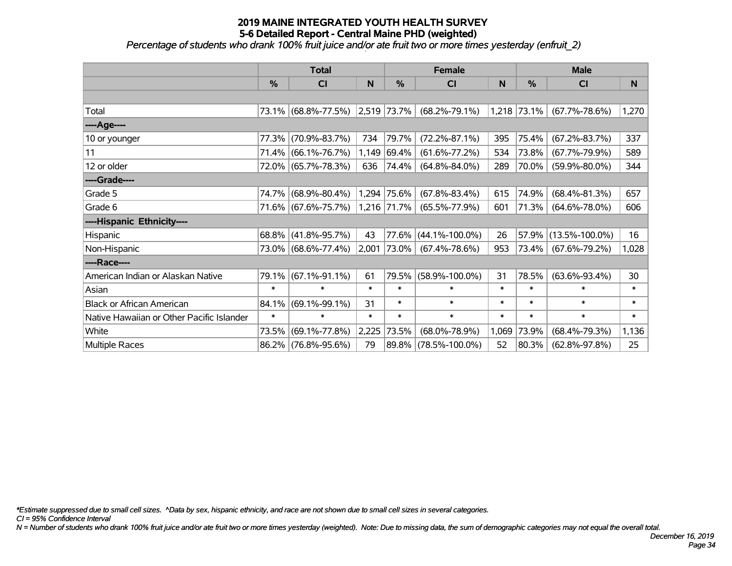*Percentage of students who drank 100% fruit juice and/or ate fruit two or more times yesterday (enfruit\_2)*

|                                           | <b>Total</b>  |                     |        |                  | <b>Female</b>        |        | <b>Male</b>   |                             |        |  |
|-------------------------------------------|---------------|---------------------|--------|------------------|----------------------|--------|---------------|-----------------------------|--------|--|
|                                           | $\frac{0}{0}$ | <b>CI</b>           | N      | %                | <b>CI</b>            | N      | $\frac{0}{0}$ | <b>CI</b>                   | N      |  |
|                                           |               |                     |        |                  |                      |        |               |                             |        |  |
| Total                                     |               | 73.1% (68.8%-77.5%) |        | $ 2,519 73.7\% $ | $(68.2\% - 79.1\%)$  |        |               | $1,218$ 73.1% (67.7%-78.6%) | 1,270  |  |
| ----Age----                               |               |                     |        |                  |                      |        |               |                             |        |  |
| 10 or younger                             | 77.3%         | $(70.9\% - 83.7\%)$ | 734    | 79.7%            | $(72.2\% - 87.1\%)$  | 395    | 75.4%         | $(67.2\% - 83.7\%)$         | 337    |  |
| 11                                        | 71.4%         | $(66.1\% - 76.7\%)$ | 1,149  | 69.4%            | $(61.6\% - 77.2\%)$  | 534    | 73.8%         | $(67.7\% - 79.9\%)$         | 589    |  |
| 12 or older                               |               | 72.0% (65.7%-78.3%) | 636    | 74.4%            | $(64.8\% - 84.0\%)$  | 289    | 70.0%         | $(59.9\% - 80.0\%)$         | 344    |  |
| ----Grade----                             |               |                     |        |                  |                      |        |               |                             |        |  |
| Grade 5                                   | 74.7%         | $(68.9\% - 80.4\%)$ |        | 1,294 75.6%      | $(67.8\% - 83.4\%)$  | 615    | 74.9%         | $(68.4\% - 81.3\%)$         | 657    |  |
| Grade 6                                   |               | 71.6% (67.6%-75.7%) |        | $ 1,216 71.7\% $ | $(65.5\% - 77.9\%)$  | 601    | 71.3%         | $(64.6\% - 78.0\%)$         | 606    |  |
| ----Hispanic Ethnicity----                |               |                     |        |                  |                      |        |               |                             |        |  |
| Hispanic                                  | 68.8%         | $(41.8\% - 95.7\%)$ | 43     | 77.6%            | $(44.1\% - 100.0\%)$ | 26     | 57.9%         | $(13.5\% - 100.0\%)$        | 16     |  |
| Non-Hispanic                              |               | 73.0% (68.6%-77.4%) | 2,001  | 73.0%            | $(67.4\% - 78.6\%)$  | 953    | 73.4%         | $(67.6\% - 79.2\%)$         | 1,028  |  |
| ----Race----                              |               |                     |        |                  |                      |        |               |                             |        |  |
| American Indian or Alaskan Native         | 79.1%         | $(67.1\% - 91.1\%)$ | 61     |                  | 79.5% (58.9%-100.0%) | 31     | 78.5%         | $(63.6\% - 93.4\%)$         | 30     |  |
| Asian                                     | $\ast$        | $\ast$              | $\ast$ | $\ast$           | $\ast$               | $\ast$ | $\ast$        | $\ast$                      | $\ast$ |  |
| <b>Black or African American</b>          | 84.1%         | $(69.1\% - 99.1\%)$ | 31     | $\ast$           | $\ast$               | $\ast$ | $\ast$        | $\ast$                      | $\ast$ |  |
| Native Hawaiian or Other Pacific Islander | $\ast$        | $\ast$              | $\ast$ | $\ast$           | $\ast$               | $\ast$ | $\ast$        | $\ast$                      | $\ast$ |  |
| White                                     | 73.5%         | $(69.1\% - 77.8\%)$ | 2,225  | 73.5%            | $(68.0\% - 78.9\%)$  | 1,069  | 73.9%         | $(68.4\% - 79.3\%)$         | 1,136  |  |
| Multiple Races                            |               | 86.2% (76.8%-95.6%) | 79     |                  | 89.8% (78.5%-100.0%) | 52     | 80.3%         | $(62.8\% - 97.8\%)$         | 25     |  |

*\*Estimate suppressed due to small cell sizes. ^Data by sex, hispanic ethnicity, and race are not shown due to small cell sizes in several categories.*

*CI = 95% Confidence Interval*

*N = Number of students who drank 100% fruit juice and/or ate fruit two or more times yesterday (weighted). Note: Due to missing data, the sum of demographic categories may not equal the overall total.*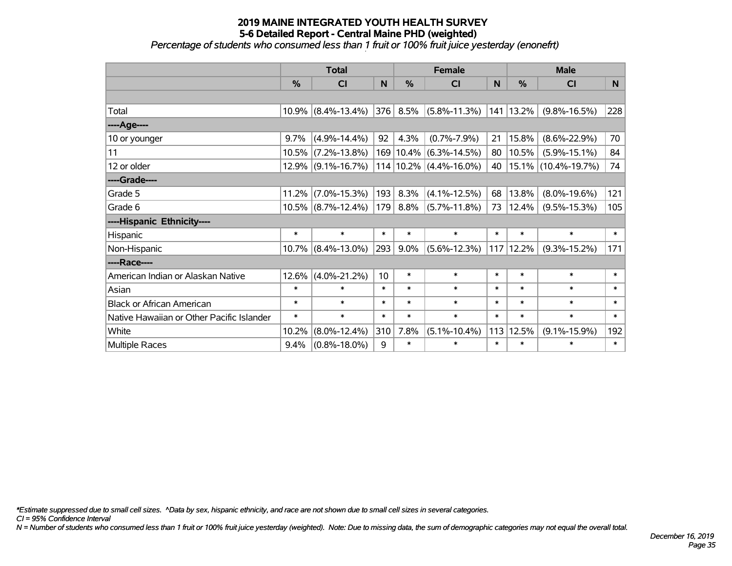*Percentage of students who consumed less than 1 fruit or 100% fruit juice yesterday (enonefrt)*

|                                           | <b>Total</b> |                       |                 | <b>Female</b> |                            | <b>Male</b> |             |                     |        |
|-------------------------------------------|--------------|-----------------------|-----------------|---------------|----------------------------|-------------|-------------|---------------------|--------|
|                                           | %            | <b>CI</b>             | N               | %             | <b>CI</b>                  | N           | %           | <b>CI</b>           | N.     |
|                                           |              |                       |                 |               |                            |             |             |                     |        |
| Total                                     |              | $10.9\%$ (8.4%-13.4%) | 376             | 8.5%          | $(5.8\% - 11.3\%)$         |             | 141 13.2%   | $(9.8\% - 16.5\%)$  | 228    |
| ----Age----                               |              |                       |                 |               |                            |             |             |                     |        |
| 10 or younger                             | 9.7%         | $(4.9\% - 14.4\%)$    | 92              | 4.3%          | $(0.7\% - 7.9\%)$          | 21          | 15.8%       | $(8.6\% - 22.9\%)$  | 70     |
| 11                                        | 10.5%        | $(7.2\% - 13.8\%)$    |                 |               | 169 10.4% (6.3%-14.5%)     | 80          | 10.5%       | $(5.9\% - 15.1\%)$  | 84     |
| 12 or older                               |              | $12.9\%$ (9.1%-16.7%) |                 |               | $114 10.2\% $ (4.4%-16.0%) | 40          | $ 15.1\% $  | $(10.4\% - 19.7\%)$ | 74     |
| ----Grade----                             |              |                       |                 |               |                            |             |             |                     |        |
| Grade 5                                   | 11.2%        | $(7.0\% - 15.3\%)$    | 193             | 8.3%          | $(4.1\% - 12.5\%)$         | 68          | 13.8%       | $(8.0\% - 19.6\%)$  | 121    |
| Grade 6                                   |              | $10.5\%$ (8.7%-12.4%) | 179             | 8.8%          | $(5.7\% - 11.8\%)$         | 73          | 12.4%       | $(9.5\% - 15.3\%)$  | 105    |
| ----Hispanic Ethnicity----                |              |                       |                 |               |                            |             |             |                     |        |
| Hispanic                                  | $\ast$       | $\ast$                | $\ast$          | $\ast$        | $\ast$                     | $\ast$      | $\ast$      | $\ast$              | $\ast$ |
| Non-Hispanic                              |              | $10.7\%$ (8.4%-13.0%) | 293             | $9.0\%$       | $(5.6\% - 12.3\%)$         |             | $117$ 12.2% | $(9.3\% - 15.2\%)$  | 171    |
| ----Race----                              |              |                       |                 |               |                            |             |             |                     |        |
| American Indian or Alaskan Native         | 12.6%        | $(4.0\% - 21.2\%)$    | 10 <sup>1</sup> | $\ast$        | $\ast$                     | $\ast$      | $\ast$      | $\ast$              | $\ast$ |
| Asian                                     | $\ast$       | $\ast$                | $\ast$          | $\ast$        | $\ast$                     | $\ast$      | $\ast$      | $\ast$              | $\ast$ |
| <b>Black or African American</b>          | $\ast$       | $\ast$                | $\ast$          | $\ast$        | $\ast$                     | $\ast$      | $\ast$      | $\ast$              | $\ast$ |
| Native Hawaiian or Other Pacific Islander | $\ast$       | $\ast$                | $\ast$          | $\ast$        | $\ast$                     | $\ast$      | $\ast$      | $\ast$              | $\ast$ |
| White                                     | 10.2%        | $(8.0\% - 12.4\%)$    | 310             | 7.8%          | $(5.1\% - 10.4\%)$         | 113         | 12.5%       | $(9.1\% - 15.9\%)$  | 192    |
| Multiple Races                            | 9.4%         | $(0.8\% - 18.0\%)$    | 9               | $\ast$        | $\ast$                     | $\ast$      | $\ast$      | $\ast$              | $\ast$ |

*\*Estimate suppressed due to small cell sizes. ^Data by sex, hispanic ethnicity, and race are not shown due to small cell sizes in several categories.*

*CI = 95% Confidence Interval*

*N = Number of students who consumed less than 1 fruit or 100% fruit juice yesterday (weighted). Note: Due to missing data, the sum of demographic categories may not equal the overall total.*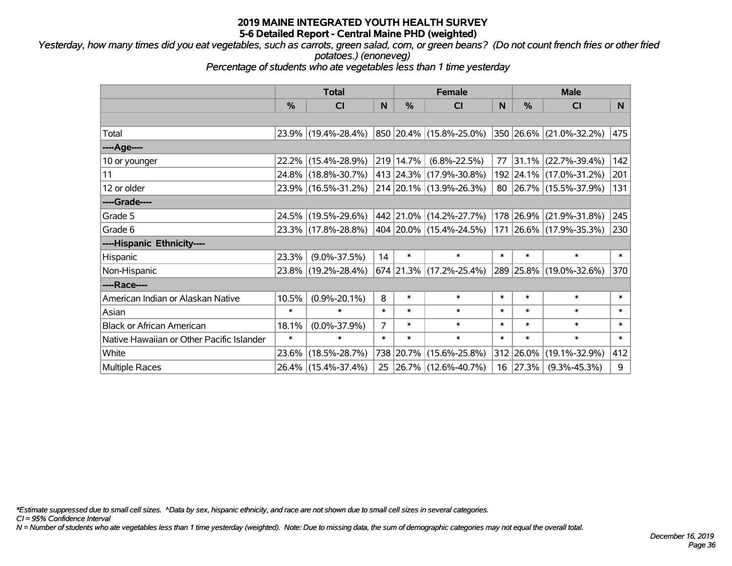*Yesterday, how many times did you eat vegetables, such as carrots, green salad, corn, or green beans? (Do not count french fries or other fried potatoes.) (enoneveg)*

*Percentage of students who ate vegetables less than 1 time yesterday*

|                                           | <b>Total</b> |                     |                | <b>Female</b> | <b>Male</b>                 |        |           |                         |              |
|-------------------------------------------|--------------|---------------------|----------------|---------------|-----------------------------|--------|-----------|-------------------------|--------------|
|                                           | $\%$         | <b>CI</b>           | N              | $\frac{9}{6}$ | <b>CI</b>                   | N      | $\%$      | <b>CI</b>               | N.           |
|                                           |              |                     |                |               |                             |        |           |                         |              |
| Total                                     |              | 23.9% (19.4%-28.4%) |                |               | 850 20.4% (15.8%-25.0%)     |        |           | 350 26.6% (21.0%-32.2%) | 475          |
| ----Age----                               |              |                     |                |               |                             |        |           |                         |              |
| 10 or younger                             | $22.2\%$     | $(15.4\% - 28.9\%)$ |                | 219 14.7%     | $(6.8\% - 22.5\%)$          | 77     | 31.1%     | $(22.7\% - 39.4\%)$     | 142          |
| 11                                        |              | 24.8% (18.8%-30.7%) |                |               | 413 24.3% (17.9%-30.8%)     |        |           | 192 24.1% (17.0%-31.2%) | 201          |
| 12 or older                               |              | 23.9% (16.5%-31.2%) |                |               | 214 20.1% (13.9%-26.3%)     |        |           | 80 26.7% (15.5%-37.9%)  | 131          |
| ----Grade----                             |              |                     |                |               |                             |        |           |                         |              |
| Grade 5                                   |              | 24.5% (19.5%-29.6%) |                |               | 442 21.0% (14.2%-27.7%)     |        | 178 26.9% | $(21.9\% - 31.8\%)$     | 245          |
| Grade 6                                   |              | 23.3% (17.8%-28.8%) |                |               | 404   20.0%   (15.4%-24.5%) |        |           | 171 26.6% (17.9%-35.3%) | 230          |
| ----Hispanic Ethnicity----                |              |                     |                |               |                             |        |           |                         |              |
| Hispanic                                  | 23.3%        | $(9.0\% - 37.5\%)$  | 14             | $\ast$        | $\ast$                      | $\ast$ | $\ast$    | $\ast$                  | $\ast$       |
| Non-Hispanic                              |              | 23.8% (19.2%-28.4%) |                |               | 674 21.3% (17.2%-25.4%)     |        |           | 289 25.8% (19.0%-32.6%) | 370          |
| ----Race----                              |              |                     |                |               |                             |        |           |                         |              |
| American Indian or Alaskan Native         | 10.5%        | $(0.9\% - 20.1\%)$  | 8              | $\ast$        | $\ast$                      | $\ast$ | $\ast$    | $\ast$                  | $\ast$       |
| Asian                                     | $\ast$       | $\ast$              | $\ast$         | $\ast$        | $\ast$                      | $\ast$ | $\ast$    | $\ast$                  | $\ast$       |
| <b>Black or African American</b>          | 18.1%        | $(0.0\% - 37.9\%)$  | $\overline{7}$ | $\ast$        | $\ast$                      | $\ast$ | $\ast$    | $\ast$                  | $\ast$       |
| Native Hawaiian or Other Pacific Islander | $\ast$       | $\ast$              | $\ast$         | $\ast$        | $\ast$                      | $\ast$ | $\ast$    | $\ast$                  | $\pmb{\ast}$ |
| White                                     | 23.6%        | $(18.5\% - 28.7\%)$ | 738            | 20.7%         | $(15.6\% - 25.8\%)$         |        | 312 26.0% | $(19.1\% - 32.9\%)$     | 412          |
| <b>Multiple Races</b>                     |              | 26.4% (15.4%-37.4%) | 25             |               | $ 26.7\% $ (12.6%-40.7%)    |        | 16 27.3%  | $(9.3\% - 45.3\%)$      | 9            |

*\*Estimate suppressed due to small cell sizes. ^Data by sex, hispanic ethnicity, and race are not shown due to small cell sizes in several categories.*

*CI = 95% Confidence Interval*

*N = Number of students who ate vegetables less than 1 time yesterday (weighted). Note: Due to missing data, the sum of demographic categories may not equal the overall total.*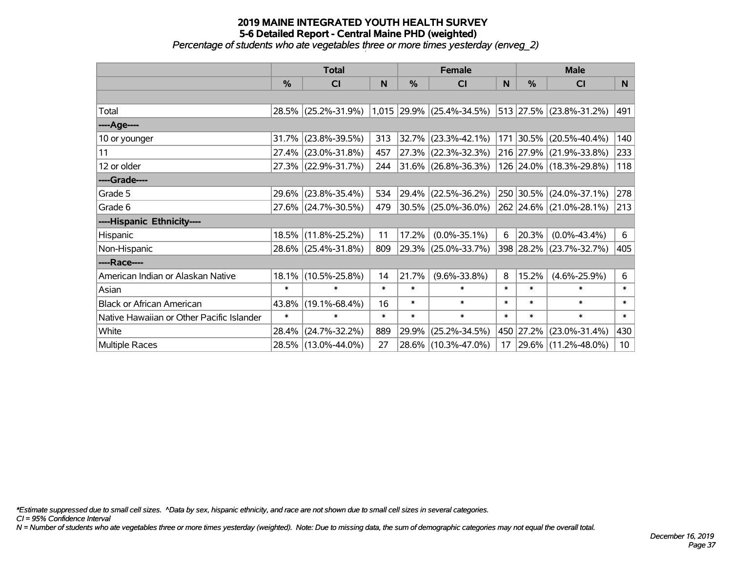*Percentage of students who ate vegetables three or more times yesterday (enveg\_2)*

|                                           | <b>Total</b>  |                     |        | <b>Female</b> |                             | <b>Male</b> |               |                          |        |
|-------------------------------------------|---------------|---------------------|--------|---------------|-----------------------------|-------------|---------------|--------------------------|--------|
|                                           | $\frac{0}{0}$ | <b>CI</b>           | N      | %             | <b>CI</b>                   | N           | $\frac{0}{0}$ | <b>CI</b>                | N      |
|                                           |               |                     |        |               |                             |             |               |                          |        |
| Total                                     |               | 28.5% (25.2%-31.9%) |        |               | $1,015$ 29.9% (25.4%-34.5%) |             |               | 513 27.5% (23.8%-31.2%)  | 491    |
| ----Age----                               |               |                     |        |               |                             |             |               |                          |        |
| 10 or younger                             |               | 31.7% (23.8%-39.5%) | 313    | 32.7%         | $(23.3\% - 42.1\%)$         |             | 171 30.5%     | $(20.5\% - 40.4\%)$      | 140    |
| 11                                        |               | 27.4% (23.0%-31.8%) | 457    | 27.3%         | $(22.3\% - 32.3\%)$         |             |               | 216 27.9% (21.9%-33.8%)  | 233    |
| 12 or older                               |               | 27.3% (22.9%-31.7%) | 244    |               | $31.6\%$ (26.8%-36.3%)      |             |               | 126 24.0% (18.3%-29.8%)  | 118    |
| ----Grade----                             |               |                     |        |               |                             |             |               |                          |        |
| Grade 5                                   |               | 29.6% (23.8%-35.4%) | 534    | 29.4%         | $(22.5\% - 36.2\%)$         |             |               | 250 30.5% (24.0%-37.1%)  | 278    |
| Grade 6                                   |               | 27.6% (24.7%-30.5%) | 479    |               | $30.5\%$ (25.0%-36.0%)      |             |               | 262 24.6% (21.0%-28.1%)  | 213    |
| ----Hispanic Ethnicity----                |               |                     |        |               |                             |             |               |                          |        |
| Hispanic                                  |               | 18.5% (11.8%-25.2%) | 11     | 17.2%         | $(0.0\% - 35.1\%)$          | 6           | 20.3%         | $(0.0\% - 43.4\%)$       | 6      |
| Non-Hispanic                              |               | 28.6% (25.4%-31.8%) | 809    | 29.3%         | $(25.0\% - 33.7\%)$         |             |               | 398 28.2% (23.7%-32.7%)  | 405    |
| ----Race----                              |               |                     |        |               |                             |             |               |                          |        |
| American Indian or Alaskan Native         |               | 18.1% (10.5%-25.8%) | 14     | 21.7%         | $(9.6\% - 33.8\%)$          | 8           | 15.2%         | $(4.6\% - 25.9\%)$       | 6      |
| Asian                                     | $\ast$        | $\ast$              | $\ast$ | $\ast$        | $\ast$                      | $\ast$      | $\ast$        | $\ast$                   | $\ast$ |
| <b>Black or African American</b>          | 43.8%         | $(19.1\% - 68.4\%)$ | 16     | $\ast$        | $\ast$                      | $\ast$      | $\ast$        | $\ast$                   | $\ast$ |
| Native Hawaiian or Other Pacific Islander | $\ast$        | $\ast$              | $\ast$ | $\ast$        | $\ast$                      | $\ast$      | $\ast$        | $\ast$                   | $\ast$ |
| White                                     | 28.4%         | $(24.7\% - 32.2\%)$ | 889    | 29.9%         | $(25.2\% - 34.5\%)$         |             | 450 27.2%     | $(23.0\% - 31.4\%)$      | 430    |
| Multiple Races                            |               | 28.5% (13.0%-44.0%) | 27     | 28.6%         | $(10.3\% - 47.0\%)$         | 17          |               | $ 29.6\% $ (11.2%-48.0%) | 10     |

*\*Estimate suppressed due to small cell sizes. ^Data by sex, hispanic ethnicity, and race are not shown due to small cell sizes in several categories.*

*CI = 95% Confidence Interval*

*N = Number of students who ate vegetables three or more times yesterday (weighted). Note: Due to missing data, the sum of demographic categories may not equal the overall total.*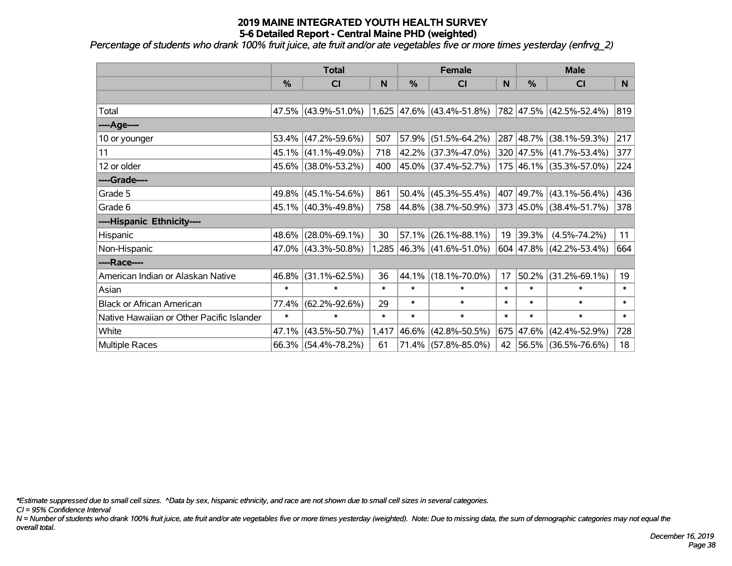*Percentage of students who drank 100% fruit juice, ate fruit and/or ate vegetables five or more times yesterday (enfrvg\_2)*

|                                           | <b>Total</b> |                     | <b>Female</b> |        |                             | <b>Male</b> |        |                          |        |
|-------------------------------------------|--------------|---------------------|---------------|--------|-----------------------------|-------------|--------|--------------------------|--------|
|                                           | %            | CI                  | N             | %      | <b>CI</b>                   | N           | %      | <b>CI</b>                | N      |
|                                           |              |                     |               |        |                             |             |        |                          |        |
| Total                                     |              | 47.5% (43.9%-51.0%) |               |        | $1,625$ 47.6% (43.4%-51.8%) |             |        | 782 47.5% (42.5%-52.4%)  | 819    |
| ----Age----                               |              |                     |               |        |                             |             |        |                          |        |
| 10 or younger                             | $53.4\%$     | $(47.2\% - 59.6\%)$ | 507           | 57.9%  | $(51.5\% - 64.2\%)$         |             |        | 287 48.7% (38.1%-59.3%)  | 217    |
| 11                                        |              | 45.1% (41.1%-49.0%) | 718           |        | 42.2% (37.3%-47.0%)         |             |        | 320 47.5% (41.7%-53.4%)  | 377    |
| 12 or older                               |              | 45.6% (38.0%-53.2%) | 400           |        | 45.0% (37.4%-52.7%)         |             |        | 175 46.1% (35.3%-57.0%)  | 224    |
| ----Grade----                             |              |                     |               |        |                             |             |        |                          |        |
| Grade 5                                   | 49.8%        | $(45.1\% - 54.6\%)$ | 861           | 50.4%  | $(45.3\% - 55.4\%)$         | 407         |        | $ 49.7\% $ (43.1%-56.4%) | 436    |
| Grade 6                                   |              | 45.1% (40.3%-49.8%) | 758           |        | 44.8% (38.7%-50.9%)         |             |        | 373 45.0% (38.4%-51.7%)  | 378    |
| ----Hispanic Ethnicity----                |              |                     |               |        |                             |             |        |                          |        |
| Hispanic                                  | 48.6%        | $(28.0\% - 69.1\%)$ | 30            | 57.1%  | $(26.1\% - 88.1\%)$         | 19          | 39.3%  | $(4.5\% - 74.2\%)$       | 11     |
| Non-Hispanic                              |              | 47.0% (43.3%-50.8%) |               |        | 1,285 46.3% (41.6%-51.0%)   |             |        | 604 47.8% (42.2%-53.4%)  | 664    |
| ----Race----                              |              |                     |               |        |                             |             |        |                          |        |
| American Indian or Alaskan Native         | 46.8%        | $(31.1\% - 62.5\%)$ | 36            | 44.1%  | $(18.1\% - 70.0\%)$         | 17          | 50.2%  | $(31.2\% - 69.1\%)$      | 19     |
| Asian                                     | $\ast$       | $\ast$              | $\ast$        | $\ast$ | $\ast$                      | $\ast$      | $\ast$ | $\ast$                   | $\ast$ |
| <b>Black or African American</b>          | 77.4%        | $(62.2\% - 92.6\%)$ | 29            | $\ast$ | $\ast$                      | $\ast$      | $\ast$ | $\ast$                   | $\ast$ |
| Native Hawaiian or Other Pacific Islander | $\ast$       | $\ast$              | $\ast$        | $\ast$ | $\ast$                      | $\ast$      | $\ast$ | $\ast$                   | $\ast$ |
| White                                     | 47.1%        | $(43.5\% - 50.7\%)$ | 1,417         | 46.6%  | $(42.8\% - 50.5\%)$         |             |        | 675 47.6% (42.4%-52.9%)  | 728    |
| Multiple Races                            |              | 66.3% (54.4%-78.2%) | 61            |        | 71.4% (57.8%-85.0%)         | 42          |        | $ 56.5\% $ (36.5%-76.6%) | 18     |

*\*Estimate suppressed due to small cell sizes. ^Data by sex, hispanic ethnicity, and race are not shown due to small cell sizes in several categories.*

*CI = 95% Confidence Interval*

*N = Number of students who drank 100% fruit juice, ate fruit and/or ate vegetables five or more times yesterday (weighted). Note: Due to missing data, the sum of demographic categories may not equal the overall total.*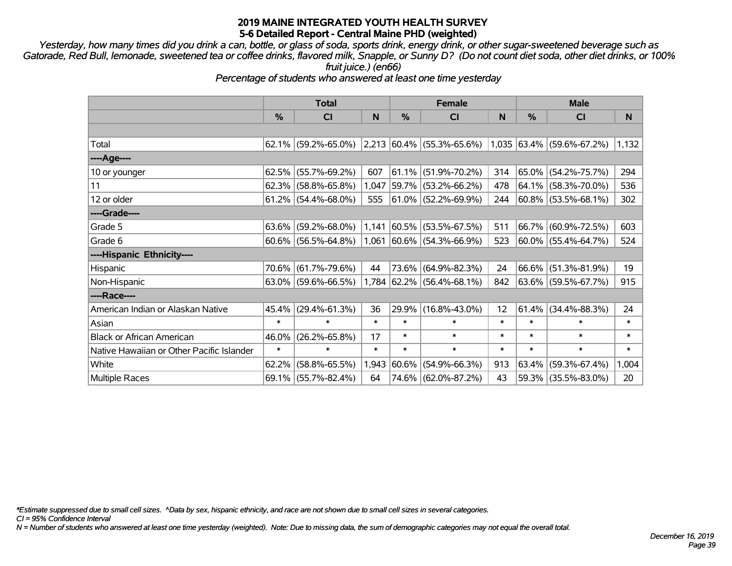*Yesterday, how many times did you drink a can, bottle, or glass of soda, sports drink, energy drink, or other sugar-sweetened beverage such as Gatorade, Red Bull, lemonade, sweetened tea or coffee drinks, flavored milk, Snapple, or Sunny D? (Do not count diet soda, other diet drinks, or 100% fruit juice.) (en66)*

*Percentage of students who answered at least one time yesterday*

|                                           | <b>Total</b> |                        |        | <b>Female</b> |                                    | <b>Male</b> |        |                           |        |
|-------------------------------------------|--------------|------------------------|--------|---------------|------------------------------------|-------------|--------|---------------------------|--------|
|                                           | %            | CI                     | N      | $\frac{0}{0}$ | <b>CI</b>                          | N           | %      | <b>CI</b>                 | N      |
|                                           |              |                        |        |               |                                    |             |        |                           |        |
| Total                                     | $62.1\%$     | $(59.2\% - 65.0\%)$    |        |               | $ 2,213 60.4\%  (55.3\% - 65.6\%)$ |             |        | 1,035 63.4% (59.6%-67.2%) | 1,132  |
| ----Age----                               |              |                        |        |               |                                    |             |        |                           |        |
| 10 or younger                             | 62.5%        | $(55.7\% - 69.2\%)$    | 607    | $ 61.1\% $    | $(51.9\% - 70.2\%)$                | 314         | 65.0%  | $(54.2\% - 75.7\%)$       | 294    |
| 11                                        | 62.3%        | $(58.8\% - 65.8\%)$    | 1,047  | 59.7%         | $(53.2\% - 66.2\%)$                | 478         |        | 64.1% (58.3%-70.0%)       | 536    |
| 12 or older                               |              | $61.2\%$ (54.4%-68.0%) | 555    |               | 61.0% (52.2%-69.9%)                | 244         |        | $ 60.8\% $ (53.5%-68.1%)  | 302    |
| ----Grade----                             |              |                        |        |               |                                    |             |        |                           |        |
| Grade 5                                   | $63.6\%$     | $(59.2\% - 68.0\%)$    | 1,141  | $ 60.5\% $    | $(53.5\% - 67.5\%)$                | 511         | 66.7%  | $(60.9\% - 72.5\%)$       | 603    |
| Grade 6                                   |              | $60.6\%$ (56.5%-64.8%) | 1,061  |               | $ 60.6\% $ (54.3%-66.9%)           | 523         |        | 60.0% (55.4%-64.7%)       | 524    |
| ----Hispanic Ethnicity----                |              |                        |        |               |                                    |             |        |                           |        |
| Hispanic                                  | 70.6%        | $(61.7\% - 79.6\%)$    | 44     | $73.6\%$      | $(64.9\% - 82.3\%)$                | 24          | 66.6%  | $(51.3\% - 81.9\%)$       | 19     |
| Non-Hispanic                              |              | $63.0\%$ (59.6%-66.5%) |        |               | $1,784$ 62.2% (56.4%-68.1%)        | 842         |        | 63.6% (59.5%-67.7%)       | 915    |
| ----Race----                              |              |                        |        |               |                                    |             |        |                           |        |
| American Indian or Alaskan Native         | $45.4\%$     | $(29.4\% - 61.3\%)$    | 36     | 29.9%         | $(16.8\% - 43.0\%)$                | 12          | 61.4%  | $(34.4\% - 88.3\%)$       | 24     |
| Asian                                     | $\ast$       | $\ast$                 | $\ast$ | $\ast$        | $\ast$                             | $\ast$      | $\ast$ | $\ast$                    | $\ast$ |
| <b>Black or African American</b>          | 46.0%        | $(26.2\% - 65.8\%)$    | 17     | $\ast$        | $\ast$                             | $\ast$      | $\ast$ | $\ast$                    | $\ast$ |
| Native Hawaiian or Other Pacific Islander | $\ast$       | $\ast$                 | $\ast$ | $\ast$        | $\pmb{\ast}$                       | $\ast$      | $\ast$ | $\ast$                    | $\ast$ |
| White                                     | 62.2%        | $(58.8\% - 65.5\%)$    | 1,943  | 60.6%         | $(54.9\% - 66.3\%)$                | 913         | 63.4%  | $(59.3\% - 67.4\%)$       | 1,004  |
| <b>Multiple Races</b>                     | 69.1%        | $(55.7\% - 82.4\%)$    | 64     | 74.6%         | $(62.0\% - 87.2\%)$                | 43          | 59.3%  | $(35.5\% - 83.0\%)$       | 20     |

*\*Estimate suppressed due to small cell sizes. ^Data by sex, hispanic ethnicity, and race are not shown due to small cell sizes in several categories.*

*CI = 95% Confidence Interval*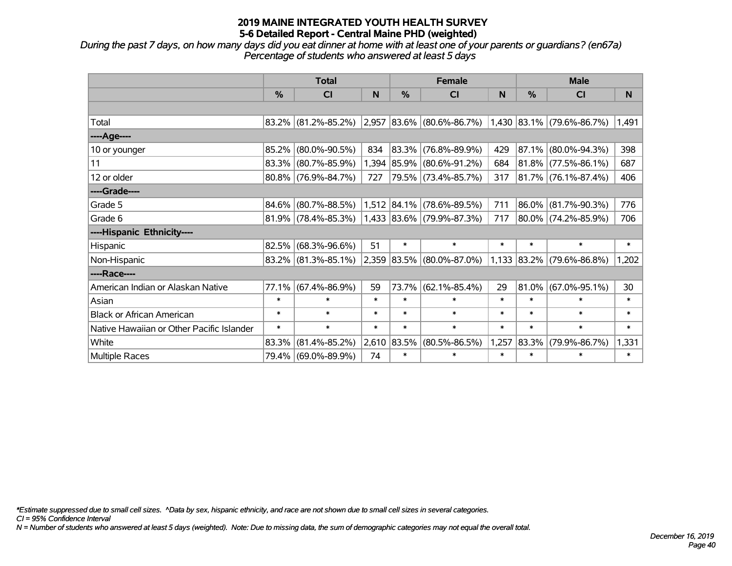*During the past 7 days, on how many days did you eat dinner at home with at least one of your parents or guardians? (en67a) Percentage of students who answered at least 5 days*

|                                           | <b>Total</b> |                        |        | <b>Female</b> |                             | <b>Male</b> |             |                           |        |
|-------------------------------------------|--------------|------------------------|--------|---------------|-----------------------------|-------------|-------------|---------------------------|--------|
|                                           | $\%$         | <b>CI</b>              | N      | $\frac{0}{0}$ | <b>CI</b>                   | N           | %           | <b>CI</b>                 | N      |
|                                           |              |                        |        |               |                             |             |             |                           |        |
| Total                                     |              | $83.2\%$ (81.2%-85.2%) |        |               | 2,957 83.6% (80.6%-86.7%)   |             |             | 1,430 83.1% (79.6%-86.7%) | 1,491  |
| ----Age----                               |              |                        |        |               |                             |             |             |                           |        |
| 10 or younger                             | 85.2%        | $(80.0\% - 90.5\%)$    | 834    | $ 83.3\% $    | $(76.8\% - 89.9\%)$         | 429         | 87.1%       | $(80.0\% - 94.3\%)$       | 398    |
| 11                                        | 83.3%        | $(80.7\% - 85.9\%)$    |        | 1,394 85.9%   | $(80.6\% - 91.2\%)$         | 684         | $ 81.8\% $  | $(77.5\% - 86.1\%)$       | 687    |
| 12 or older                               |              | 80.8% (76.9%-84.7%)    | 727    |               | 79.5% (73.4%-85.7%)         | 317         |             | $ 81.7\% $ (76.1%-87.4%)  | 406    |
| ----Grade----                             |              |                        |        |               |                             |             |             |                           |        |
| Grade 5                                   | 84.6%        | $(80.7\% - 88.5\%)$    |        |               | 1,512 84.1% (78.6%-89.5%)   | 711         | 86.0%       | $(81.7\% - 90.3\%)$       | 776    |
| Grade 6                                   |              | $81.9\%$ (78.4%-85.3%) |        |               | $1,433$ 83.6% (79.9%-87.3%) | 717         |             | 80.0% (74.2%-85.9%)       | 706    |
| ----Hispanic Ethnicity----                |              |                        |        |               |                             |             |             |                           |        |
| Hispanic                                  | 82.5%        | $(68.3\% - 96.6\%)$    | 51     | $\ast$        | $\ast$                      | $\ast$      | $\ast$      | $\ast$                    | $\ast$ |
| Non-Hispanic                              |              | $83.2\%$ (81.3%-85.1%) |        |               | 2,359 83.5% (80.0%-87.0%)   |             | 1,133 83.2% | $(79.6\% - 86.8\%)$       | 1,202  |
| ----Race----                              |              |                        |        |               |                             |             |             |                           |        |
| American Indian or Alaskan Native         | 77.1%        | $(67.4\% - 86.9\%)$    | 59     | 73.7%         | $(62.1\% - 85.4\%)$         | 29          | 81.0%       | $(67.0\% - 95.1\%)$       | 30     |
| Asian                                     | $\ast$       | $\ast$                 | $\ast$ | $\ast$        | $\ast$                      | $\ast$      | $\ast$      | $\ast$                    | $\ast$ |
| <b>Black or African American</b>          | $\ast$       | $\ast$                 | $\ast$ | $\ast$        | $\ast$                      | $\ast$      | $\ast$      | $\ast$                    | $\ast$ |
| Native Hawaiian or Other Pacific Islander | $\ast$       | $\ast$                 | $\ast$ | $\ast$        | $\ast$                      | $\ast$      | $\ast$      | $\ast$                    | $\ast$ |
| White                                     | 83.3%        | $(81.4\% - 85.2\%)$    | 2,610  | 83.5%         | $(80.5\% - 86.5\%)$         | 1,257       | 83.3%       | $(79.9\% - 86.7\%)$       | 1,331  |
| <b>Multiple Races</b>                     |              | 79.4% (69.0%-89.9%)    | 74     | $\ast$        | $\ast$                      | $\ast$      | $\ast$      | $\ast$                    | $\ast$ |

*\*Estimate suppressed due to small cell sizes. ^Data by sex, hispanic ethnicity, and race are not shown due to small cell sizes in several categories.*

*CI = 95% Confidence Interval*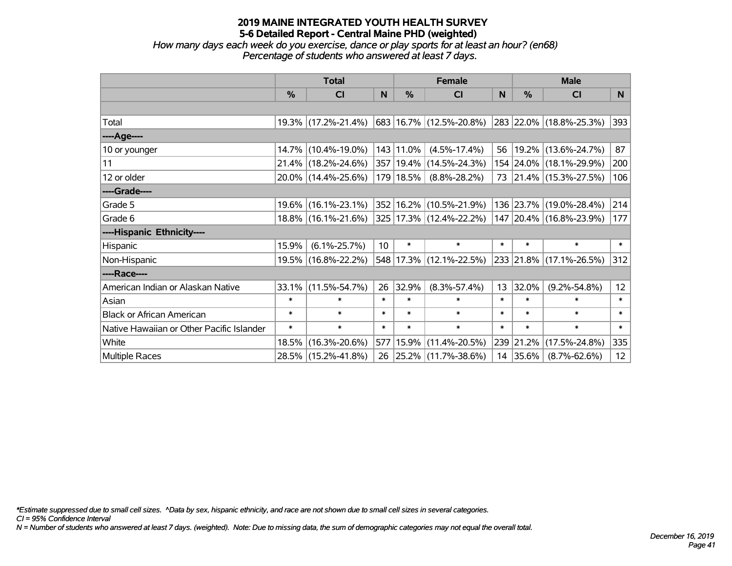*How many days each week do you exercise, dance or play sports for at least an hour? (en68) Percentage of students who answered at least 7 days.*

|                                           | <b>Total</b>  |                     | <b>Female</b> |               |                             | <b>Male</b> |           |                         |                 |
|-------------------------------------------|---------------|---------------------|---------------|---------------|-----------------------------|-------------|-----------|-------------------------|-----------------|
|                                           | $\frac{0}{0}$ | <b>CI</b>           | N             | $\frac{9}{6}$ | <b>CI</b>                   | N           | %         | <b>CI</b>               | N.              |
|                                           |               |                     |               |               |                             |             |           |                         |                 |
| Total                                     |               | 19.3% (17.2%-21.4%) |               |               | 683 16.7% (12.5%-20.8%)     |             |           | 283 22.0% (18.8%-25.3%) | 393             |
| ----Age----                               |               |                     |               |               |                             |             |           |                         |                 |
| 10 or younger                             | $14.7\%$      | $(10.4\% - 19.0\%)$ |               | 143 11.0%     | $(4.5\% - 17.4\%)$          | 56          |           | 19.2% (13.6%-24.7%)     | 87              |
| 11                                        |               | 21.4% (18.2%-24.6%) |               |               | 357   19.4%   (14.5%-24.3%) |             |           | 154 24.0% (18.1%-29.9%) | 200             |
| 12 or older                               |               | 20.0% (14.4%-25.6%) |               | 179 18.5%     | $(8.8\% - 28.2\%)$          |             |           | 73 21.4% (15.3%-27.5%)  | 106             |
| ----Grade----                             |               |                     |               |               |                             |             |           |                         |                 |
| Grade 5                                   | $19.6\%$      | $(16.1\% - 23.1\%)$ |               |               | 352 16.2% (10.5%-21.9%)     |             | 136 23.7% | $(19.0\% - 28.4\%)$     | 214             |
| Grade 6                                   |               | 18.8% (16.1%-21.6%) |               |               | 325 17.3% (12.4%-22.2%)     |             |           | 147 20.4% (16.8%-23.9%) | 177             |
| ----Hispanic Ethnicity----                |               |                     |               |               |                             |             |           |                         |                 |
| Hispanic                                  | 15.9%         | $(6.1\% - 25.7\%)$  | 10            | $\ast$        | $\ast$                      | $\ast$      | $\ast$    | $\ast$                  | $\ast$          |
| Non-Hispanic                              | 19.5%         | $(16.8\% - 22.2\%)$ |               |               | 548 17.3% (12.1%-22.5%)     |             |           | 233 21.8% (17.1%-26.5%) | 312             |
| ----Race----                              |               |                     |               |               |                             |             |           |                         |                 |
| American Indian or Alaskan Native         | 33.1%         | $(11.5\% - 54.7\%)$ | 26            | 32.9%         | $(8.3\% - 57.4\%)$          | 13          | 32.0%     | $(9.2\% - 54.8\%)$      | 12 <sub>2</sub> |
| Asian                                     | $\ast$        | $\ast$              | $\ast$        | $\ast$        | $\ast$                      | $\ast$      | $\ast$    | $\ast$                  | $\ast$          |
| <b>Black or African American</b>          | $\ast$        | $\ast$              | $\ast$        | $\ast$        | $\ast$                      | $\ast$      | $\ast$    | $\ast$                  | $\ast$          |
| Native Hawaiian or Other Pacific Islander | $\ast$        | $\ast$              | $\ast$        | $\ast$        | $\ast$                      | $\ast$      | $\ast$    | $\ast$                  | $\ast$          |
| White                                     | 18.5%         | $(16.3\% - 20.6\%)$ |               |               | 577   15.9%   (11.4%-20.5%) |             | 239 21.2% | $(17.5\% - 24.8\%)$     | 335             |
| Multiple Races                            |               | 28.5% (15.2%-41.8%) | 26            |               | $ 25.2\% $ (11.7%-38.6%)    |             | 14 35.6%  | $(8.7\% - 62.6\%)$      | 12 <sub>2</sub> |

*\*Estimate suppressed due to small cell sizes. ^Data by sex, hispanic ethnicity, and race are not shown due to small cell sizes in several categories.*

*CI = 95% Confidence Interval*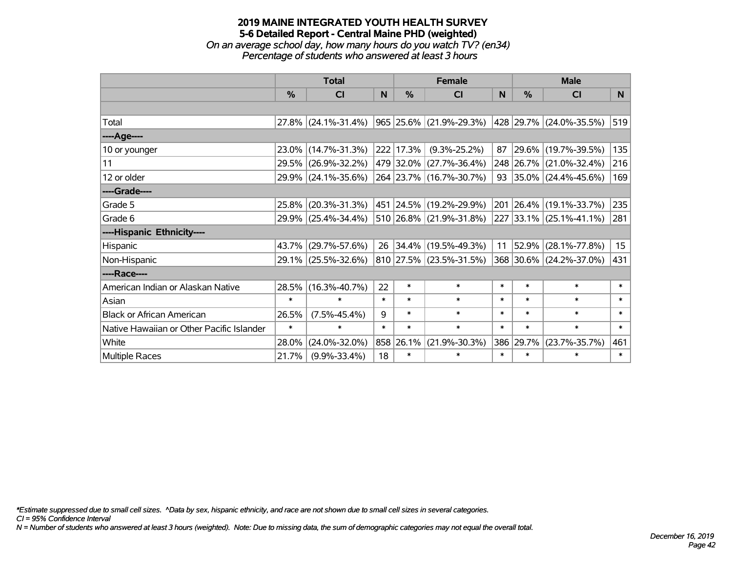*On an average school day, how many hours do you watch TV? (en34) Percentage of students who answered at least 3 hours*

|                                           | <b>Total</b>  |                        | <b>Female</b> |               |                          | <b>Male</b> |        |                         |                  |
|-------------------------------------------|---------------|------------------------|---------------|---------------|--------------------------|-------------|--------|-------------------------|------------------|
|                                           | $\frac{0}{0}$ | CI                     | N             | $\frac{0}{0}$ | CI                       | <b>N</b>    | %      | <b>CI</b>               | N                |
|                                           |               |                        |               |               |                          |             |        |                         |                  |
| Total                                     |               | $27.8\%$ (24.1%-31.4%) |               |               | 965 25.6% (21.9%-29.3%)  |             |        | 428 29.7% (24.0%-35.5%) | 519              |
| ----Age----                               |               |                        |               |               |                          |             |        |                         |                  |
| 10 or younger                             |               | 23.0% (14.7%-31.3%)    |               | 222 17.3%     | $(9.3\% - 25.2\%)$       | 87          | 29.6%  | $(19.7\% - 39.5\%)$     | 135              |
| 11                                        |               | 29.5% (26.9%-32.2%)    |               |               | 479 32.0% (27.7%-36.4%)  |             |        | 248 26.7% (21.0%-32.4%) | 216              |
| 12 or older                               |               | 29.9% (24.1%-35.6%)    |               |               | 264 23.7% (16.7%-30.7%)  |             |        | 93 35.0% (24.4%-45.6%)  | 169              |
| ----Grade----                             |               |                        |               |               |                          |             |        |                         |                  |
| Grade 5                                   | 25.8%         | $(20.3\% - 31.3\%)$    |               |               | 451 24.5% (19.2%-29.9%)  | 201         | 26.4%  | $(19.1\% - 33.7\%)$     | 235              |
| Grade 6                                   |               | 29.9% (25.4%-34.4%)    |               |               | 510 26.8% (21.9%-31.8%)  |             |        | 227 33.1% (25.1%-41.1%) | 281              |
| ----Hispanic Ethnicity----                |               |                        |               |               |                          |             |        |                         |                  |
| Hispanic                                  | 43.7%         | $(29.7\% - 57.6\%)$    | 26            |               | $ 34.4\% $ (19.5%-49.3%) | 11          | 52.9%  | $(28.1\% - 77.8\%)$     | 15 <sub>15</sub> |
| Non-Hispanic                              |               | 29.1% (25.5%-32.6%)    |               |               | 810 27.5% (23.5%-31.5%)  |             |        | 368 30.6% (24.2%-37.0%) | 431              |
| ----Race----                              |               |                        |               |               |                          |             |        |                         |                  |
| American Indian or Alaskan Native         |               | 28.5% (16.3%-40.7%)    | 22            | $\ast$        | $\ast$                   | $\ast$      | $\ast$ | $\ast$                  | $\ast$           |
| Asian                                     | $\ast$        | $\ast$                 | $\ast$        | $\ast$        | $\ast$                   | $\ast$      | $\ast$ | $\ast$                  | $\ast$           |
| <b>Black or African American</b>          | 26.5%         | $(7.5\% - 45.4\%)$     | 9             | $\ast$        | $\ast$                   | $\ast$      | $\ast$ | $\ast$                  | $\ast$           |
| Native Hawaiian or Other Pacific Islander | $\ast$        | $\ast$                 | $\ast$        | $\ast$        | $\ast$                   | $\ast$      | $\ast$ | $\ast$                  | $\ast$           |
| White                                     | 28.0%         | $(24.0\% - 32.0\%)$    |               | 858 26.1%     | $(21.9\% - 30.3\%)$      | 386         | 29.7%  | $(23.7\% - 35.7\%)$     | 461              |
| <b>Multiple Races</b>                     | 21.7%         | $(9.9\% - 33.4\%)$     | 18            | $\ast$        | $\ast$                   | $\ast$      | $\ast$ | $\ast$                  | $\ast$           |

*\*Estimate suppressed due to small cell sizes. ^Data by sex, hispanic ethnicity, and race are not shown due to small cell sizes in several categories.*

*CI = 95% Confidence Interval*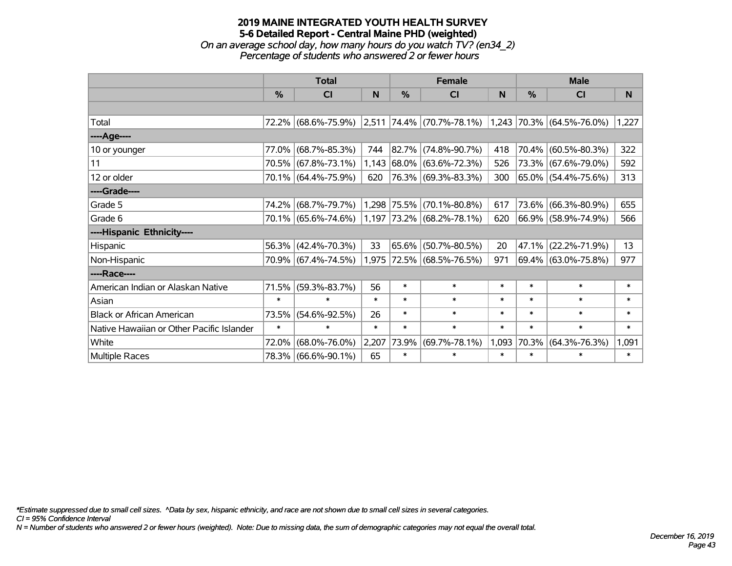*On an average school day, how many hours do you watch TV? (en34\_2) Percentage of students who answered 2 or fewer hours*

|                                           | <b>Total</b> |                     |        | <b>Female</b> |                                               | <b>Male</b> |        |                           |        |
|-------------------------------------------|--------------|---------------------|--------|---------------|-----------------------------------------------|-------------|--------|---------------------------|--------|
|                                           | $\%$         | <b>CI</b>           | N      | $\%$          | <b>CI</b>                                     | N           | $\%$   | <b>CI</b>                 | N      |
|                                           |              |                     |        |               |                                               |             |        |                           |        |
| Total                                     |              |                     |        |               | 72.2% (68.6%-75.9%) 2,511 74.4% (70.7%-78.1%) |             |        | 1,243 70.3% (64.5%-76.0%) | 1,227  |
| ----Age----                               |              |                     |        |               |                                               |             |        |                           |        |
| 10 or younger                             | 77.0%        | $(68.7\% - 85.3\%)$ | 744    |               | 82.7% (74.8%-90.7%)                           | 418         | 70.4%  | $(60.5\% - 80.3\%)$       | 322    |
| 11                                        |              | 70.5% (67.8%-73.1%) |        |               | 1,143 68.0% (63.6%-72.3%)                     | 526         |        | 73.3% (67.6%-79.0%)       | 592    |
| 12 or older                               |              | 70.1% (64.4%-75.9%) | 620    |               | 76.3% (69.3%-83.3%)                           | 300         |        | 65.0% (54.4%-75.6%)       | 313    |
| ----Grade----                             |              |                     |        |               |                                               |             |        |                           |        |
| Grade 5                                   | 74.2%        | $(68.7\% - 79.7\%)$ |        | 1,298 75.5%   | $(70.1\% - 80.8\%)$                           | 617         | 73.6%  | $(66.3\% - 80.9\%)$       | 655    |
| Grade 6                                   |              | 70.1% (65.6%-74.6%) |        |               | 1,197 73.2% (68.2%-78.1%)                     | 620         |        | 66.9% (58.9%-74.9%)       | 566    |
| ----Hispanic Ethnicity----                |              |                     |        |               |                                               |             |        |                           |        |
| Hispanic                                  | 56.3%        | $(42.4\% - 70.3\%)$ | 33     | 65.6%         | $(50.7\% - 80.5\%)$                           | 20          | 47.1%  | $(22.2\% - 71.9\%)$       | 13     |
| Non-Hispanic                              |              | 70.9% (67.4%-74.5%) |        |               | 1,975 72.5% (68.5%-76.5%)                     | 971         |        | 69.4% (63.0%-75.8%)       | 977    |
| ----Race----                              |              |                     |        |               |                                               |             |        |                           |        |
| American Indian or Alaskan Native         | 71.5%        | $(59.3\% - 83.7\%)$ | 56     | $\ast$        | $\ast$                                        | $\ast$      | $\ast$ | $\ast$                    | $\ast$ |
| Asian                                     | $\ast$       | $\ast$              | $\ast$ | $\ast$        | $\ast$                                        | $\ast$      | $\ast$ | $\ast$                    | $\ast$ |
| <b>Black or African American</b>          | 73.5%        | $(54.6\% - 92.5\%)$ | 26     | $\ast$        | $\ast$                                        | $\ast$      | $\ast$ | $\ast$                    | $\ast$ |
| Native Hawaiian or Other Pacific Islander | $\ast$       | $\ast$              | $\ast$ | $\ast$        | $\ast$                                        | $\ast$      | $\ast$ | $\ast$                    | $\ast$ |
| White                                     | 72.0%        | $(68.0\% - 76.0\%)$ | 2,207  | 73.9%         | $(69.7\% - 78.1\%)$                           | 1,093       | 70.3%  | $(64.3\% - 76.3\%)$       | 1,091  |
| Multiple Races                            |              | 78.3% (66.6%-90.1%) | 65     | $\ast$        | $\ast$                                        | $\ast$      | $\ast$ | $\ast$                    | $\ast$ |

*\*Estimate suppressed due to small cell sizes. ^Data by sex, hispanic ethnicity, and race are not shown due to small cell sizes in several categories.*

*CI = 95% Confidence Interval*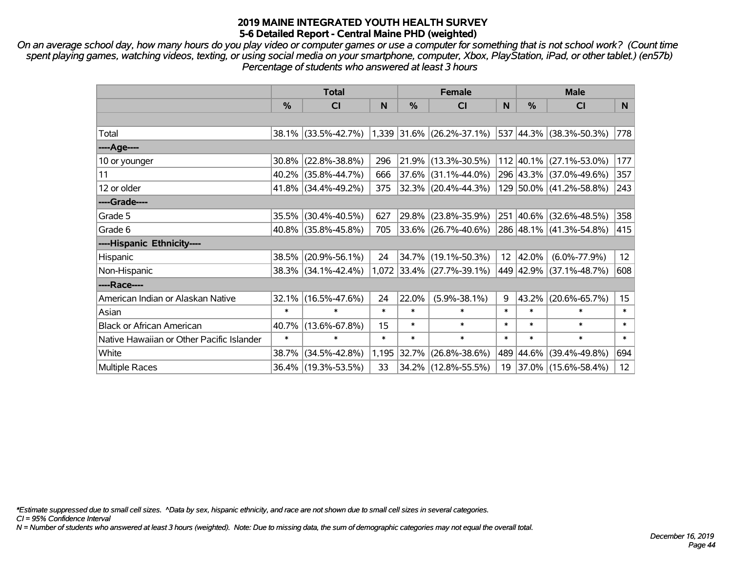*On an average school day, how many hours do you play video or computer games or use a computer for something that is not school work? (Count time spent playing games, watching videos, texting, or using social media on your smartphone, computer, Xbox, PlayStation, iPad, or other tablet.) (en57b) Percentage of students who answered at least 3 hours*

|                                           | <b>Total</b> |                     | <b>Female</b> |        |                           | <b>Male</b>     |               |                          |                  |
|-------------------------------------------|--------------|---------------------|---------------|--------|---------------------------|-----------------|---------------|--------------------------|------------------|
|                                           | %            | <b>CI</b>           | N             | %      | <b>CI</b>                 | N               | $\frac{0}{0}$ | <b>CI</b>                | N                |
|                                           |              |                     |               |        |                           |                 |               |                          |                  |
| Total                                     |              | 38.1% (33.5%-42.7%) |               |        | 1,339 31.6% (26.2%-37.1%) |                 |               | 537 44.3% (38.3%-50.3%)  | 778              |
| ----Age----                               |              |                     |               |        |                           |                 |               |                          |                  |
| 10 or younger                             | 30.8%        | $(22.8\% - 38.8\%)$ | 296           | 21.9%  | $(13.3\% - 30.5\%)$       |                 |               | 112 40.1% (27.1%-53.0%)  | 177              |
| 11                                        |              | 40.2% (35.8%-44.7%) | 666           | 37.6%  | $(31.1\% - 44.0\%)$       |                 |               | 296 43.3% (37.0%-49.6%)  | 357              |
| 12 or older                               |              | 41.8% (34.4%-49.2%) | 375           |        | $32.3\%$ (20.4%-44.3%)    |                 |               | 129 50.0% (41.2%-58.8%)  | 243              |
| ----Grade----                             |              |                     |               |        |                           |                 |               |                          |                  |
| Grade 5                                   | 35.5%        | $(30.4\% - 40.5\%)$ | 627           | 29.8%  | $(23.8\% - 35.9\%)$       |                 |               | 251 40.6% (32.6%-48.5%)  | 358              |
| Grade 6                                   |              | 40.8% (35.8%-45.8%) | 705           |        | $33.6\%$ (26.7%-40.6%)    |                 |               | 286 48.1% (41.3%-54.8%)  | 415              |
| ----Hispanic Ethnicity----                |              |                     |               |        |                           |                 |               |                          |                  |
| Hispanic                                  | 38.5%        | $(20.9\% - 56.1\%)$ | 24            | 34.7%  | $(19.1\% - 50.3\%)$       | 12 <sup>2</sup> | 42.0%         | $(6.0\% - 77.9\%)$       | 12 <sup>2</sup>  |
| Non-Hispanic                              |              | 38.3% (34.1%-42.4%) |               |        | 1,072 33.4% (27.7%-39.1%) |                 |               | 449 42.9% (37.1%-48.7%)  | 608              |
| ----Race----                              |              |                     |               |        |                           |                 |               |                          |                  |
| American Indian or Alaskan Native         | 32.1%        | $(16.5\% - 47.6\%)$ | 24            | 22.0%  | $(5.9\% - 38.1\%)$        | 9               | 43.2%         | $(20.6\% - 65.7\%)$      | 15 <sub>15</sub> |
| Asian                                     | $\ast$       | $\ast$              | $\ast$        | $\ast$ | $\ast$                    | $\ast$          | $\ast$        | $\ast$                   | $\ast$           |
| <b>Black or African American</b>          | 40.7%        | $(13.6\% - 67.8\%)$ | 15            | $\ast$ | $\ast$                    | $\ast$          | $\ast$        | $\ast$                   | $\ast$           |
| Native Hawaiian or Other Pacific Islander | $\ast$       | $\ast$              | $\ast$        | $\ast$ | $\ast$                    | $\ast$          | $\ast$        | $\ast$                   | $\ast$           |
| White                                     | 38.7%        | $(34.5\% - 42.8\%)$ | 1,195         | 32.7%  | $(26.8\% - 38.6\%)$       |                 |               | 489 44.6% (39.4%-49.8%)  | 694              |
| <b>Multiple Races</b>                     |              | 36.4% (19.3%-53.5%) | 33            |        | 34.2% (12.8%-55.5%)       | 19              |               | $ 37.0\% $ (15.6%-58.4%) | 12 <sup>2</sup>  |

*\*Estimate suppressed due to small cell sizes. ^Data by sex, hispanic ethnicity, and race are not shown due to small cell sizes in several categories.*

*CI = 95% Confidence Interval*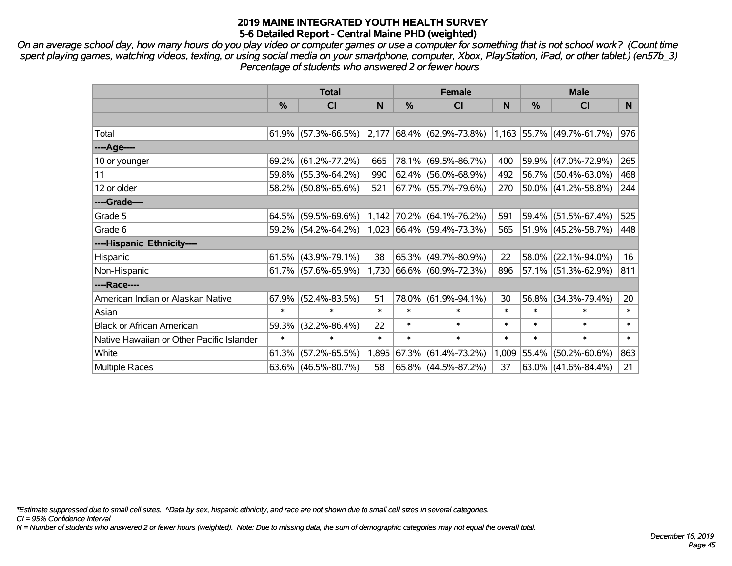*On an average school day, how many hours do you play video or computer games or use a computer for something that is not school work? (Count time spent playing games, watching videos, texting, or using social media on your smartphone, computer, Xbox, PlayStation, iPad, or other tablet.) (en57b\_3) Percentage of students who answered 2 or fewer hours*

|                                           | <b>Total</b> |                        |        | <b>Female</b> | <b>Male</b>                        |        |        |                             |        |
|-------------------------------------------|--------------|------------------------|--------|---------------|------------------------------------|--------|--------|-----------------------------|--------|
|                                           | $\%$         | <b>CI</b>              | N      | %             | <b>CI</b>                          | N      | %      | <b>CI</b>                   | N.     |
|                                           |              |                        |        |               |                                    |        |        |                             |        |
| Total                                     |              | $61.9\%$ (57.3%-66.5%) |        |               | $ 2,177 68.4\% 62.9\% -73.8\% $    |        |        | $1,163$ 55.7% (49.7%-61.7%) | 976    |
| ----Age----                               |              |                        |        |               |                                    |        |        |                             |        |
| 10 or younger                             | 69.2%        | $(61.2\% - 77.2\%)$    | 665    | 78.1%         | $(69.5\% - 86.7\%)$                | 400    |        | 59.9% (47.0%-72.9%)         | 265    |
| 11                                        |              | 59.8% (55.3%-64.2%)    | 990    | 62.4%         | $(56.0\% - 68.9\%)$                | 492    |        | 56.7% (50.4%-63.0%)         | 468    |
| 12 or older                               |              | 58.2% (50.8%-65.6%)    | 521    |               | 67.7% (55.7%-79.6%)                | 270    |        | 50.0% (41.2%-58.8%)         | 244    |
| ----Grade----                             |              |                        |        |               |                                    |        |        |                             |        |
| Grade 5                                   | $64.5\%$     | $(59.5\% - 69.6\%)$    |        | 1,142 70.2%   | $(64.1\% - 76.2\%)$                | 591    |        | 59.4% (51.5%-67.4%)         | 525    |
| Grade 6                                   |              | 59.2% (54.2%-64.2%)    |        |               | $ 1,023 66.4\%  (59.4\% - 73.3\%)$ | 565    |        | 51.9% (45.2%-58.7%)         | 448    |
| ----Hispanic Ethnicity----                |              |                        |        |               |                                    |        |        |                             |        |
| <b>Hispanic</b>                           | 61.5%        | $(43.9\% - 79.1\%)$    | 38     | 65.3%         | $(49.7\% - 80.9\%)$                | 22     | 58.0%  | $(22.1\% - 94.0\%)$         | 16     |
| Non-Hispanic                              |              | $61.7\%$ (57.6%-65.9%) |        |               | $1,730$ 66.6% (60.9%-72.3%)        | 896    |        | $57.1\%$ (51.3%-62.9%)      | 811    |
| ----Race----                              |              |                        |        |               |                                    |        |        |                             |        |
| American Indian or Alaskan Native         | 67.9%        | $(52.4\% - 83.5\%)$    | 51     | 78.0%         | $(61.9\% - 94.1\%)$                | 30     | 56.8%  | $(34.3\% - 79.4\%)$         | 20     |
| Asian                                     | $\ast$       | $\ast$                 | $\ast$ | $\ast$        | $\ast$                             | $\ast$ | $\ast$ | $\ast$                      | $\ast$ |
| <b>Black or African American</b>          | 59.3%        | $(32.2\% - 86.4\%)$    | 22     | *             | $\ast$                             | $\ast$ | $\ast$ | $\ast$                      | $\ast$ |
| Native Hawaiian or Other Pacific Islander | $\ast$       | $\ast$                 | $\ast$ | $\ast$        | $\ast$                             | $\ast$ | $\ast$ | $\ast$                      | $\ast$ |
| White                                     | 61.3%        | $(57.2\% - 65.5\%)$    | 1,895  | 67.3%         | $(61.4\% - 73.2\%)$                | 1,009  | 55.4%  | $(50.2\% - 60.6\%)$         | 863    |
| Multiple Races                            |              | $63.6\%$ (46.5%-80.7%) | 58     |               | $65.8\%$ (44.5%-87.2%)             | 37     |        | $63.0\%$ (41.6%-84.4%)      | 21     |

*\*Estimate suppressed due to small cell sizes. ^Data by sex, hispanic ethnicity, and race are not shown due to small cell sizes in several categories.*

*CI = 95% Confidence Interval*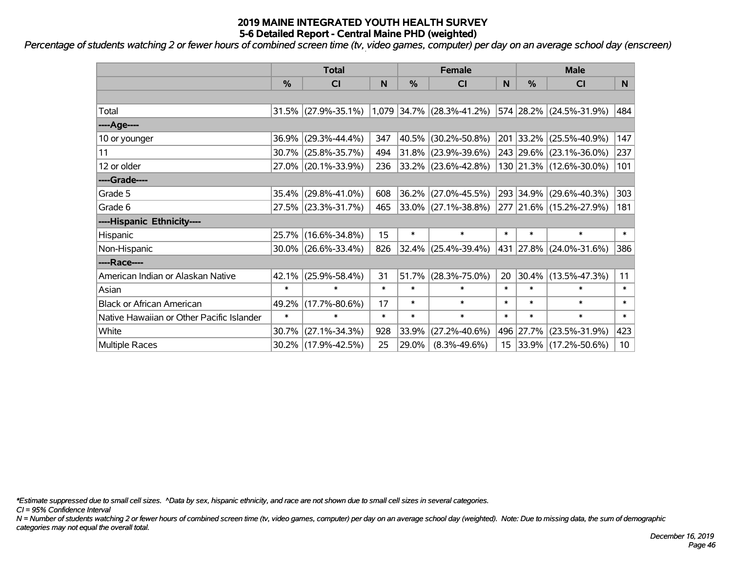*Percentage of students watching 2 or fewer hours of combined screen time (tv, video games, computer) per day on an average school day (enscreen)*

|                                           | <b>Total</b>  |                        |        |               | <b>Female</b>                    | <b>Male</b>      |               |                            |                 |
|-------------------------------------------|---------------|------------------------|--------|---------------|----------------------------------|------------------|---------------|----------------------------|-----------------|
|                                           | $\frac{0}{0}$ | <b>CI</b>              | N      | $\frac{0}{0}$ | <b>CI</b>                        | N                | $\frac{0}{0}$ | <b>CI</b>                  | N.              |
|                                           |               |                        |        |               |                                  |                  |               |                            |                 |
| Total                                     |               | $31.5\%$ (27.9%-35.1%) |        |               | $ 1,079 34.7\% 28.3\% - 41.2\% $ |                  |               | 574 28.2% (24.5%-31.9%)    | 484             |
| ----Age----                               |               |                        |        |               |                                  |                  |               |                            |                 |
| 10 or younger                             | 36.9%         | $(29.3\% - 44.4\%)$    | 347    | 40.5%         | $(30.2\% - 50.8\%)$              | 201              | 33.2%         | $(25.5\% - 40.9\%)$        | 147             |
| 11                                        | 30.7%         | $(25.8\% - 35.7\%)$    | 494    | $31.8\%$      | $(23.9\% - 39.6\%)$              |                  | 243 29.6%     | $(23.1\% - 36.0\%)$        | 237             |
| 12 or older                               |               | 27.0% (20.1%-33.9%)    | 236    |               | $ 33.2\% $ (23.6%-42.8%)         |                  |               | 130 21.3% (12.6%-30.0%)    | 101             |
| ----Grade----                             |               |                        |        |               |                                  |                  |               |                            |                 |
| Grade 5                                   | 35.4%         | $(29.8\% - 41.0\%)$    | 608    | 36.2%         | $(27.0\% - 45.5\%)$              |                  | 293 34.9%     | $(29.6\% - 40.3\%)$        | 303             |
| Grade 6                                   |               | 27.5% (23.3%-31.7%)    | 465    |               | $ 33.0\% $ (27.1%-38.8%)         |                  |               | 277 21.6% (15.2%-27.9%)    | 181             |
| ----Hispanic Ethnicity----                |               |                        |        |               |                                  |                  |               |                            |                 |
| Hispanic                                  | 25.7%         | $(16.6\% - 34.8\%)$    | 15     | $\ast$        | $\ast$                           | $\ast$           | $\ast$        | $\ast$                     | $\ast$          |
| Non-Hispanic                              |               | $30.0\%$ (26.6%-33.4%) | 826    | $ 32.4\% $    | $(25.4\% - 39.4\%)$              |                  |               | 431  27.8%   (24.0%-31.6%) | 386             |
| ----Race----                              |               |                        |        |               |                                  |                  |               |                            |                 |
| American Indian or Alaskan Native         | 42.1%         | $(25.9\% - 58.4\%)$    | 31     | 51.7%         | $(28.3\% - 75.0\%)$              | 20               | 30.4%         | $(13.5\% - 47.3\%)$        | 11              |
| Asian                                     | $\ast$        | $\ast$                 | $\ast$ | $\ast$        | $\ast$                           | $\ast$           | $\ast$        | $\ast$                     | $\ast$          |
| <b>Black or African American</b>          | 49.2%         | $(17.7\% - 80.6\%)$    | 17     | $\ast$        | $\ast$                           | $\ast$           | $\ast$        | $\ast$                     | $\ast$          |
| Native Hawaiian or Other Pacific Islander | $\ast$        | $\ast$                 | $\ast$ | $\ast$        | $\ast$                           | $\ast$           | $\ast$        | $\ast$                     | $\ast$          |
| White                                     | 30.7%         | $(27.1\% - 34.3\%)$    | 928    | 33.9%         | $(27.2\% - 40.6\%)$              |                  | 496 27.7%     | $(23.5\% - 31.9\%)$        | 423             |
| <b>Multiple Races</b>                     |               | 30.2% (17.9%-42.5%)    | 25     | 29.0%         | $(8.3\% - 49.6\%)$               | 15 <sub>15</sub> |               | $ 33.9\% $ (17.2%-50.6%)   | 10 <sup>1</sup> |

*\*Estimate suppressed due to small cell sizes. ^Data by sex, hispanic ethnicity, and race are not shown due to small cell sizes in several categories.*

*CI = 95% Confidence Interval*

*N = Number of students watching 2 or fewer hours of combined screen time (tv, video games, computer) per day on an average school day (weighted). Note: Due to missing data, the sum of demographic categories may not equal the overall total.*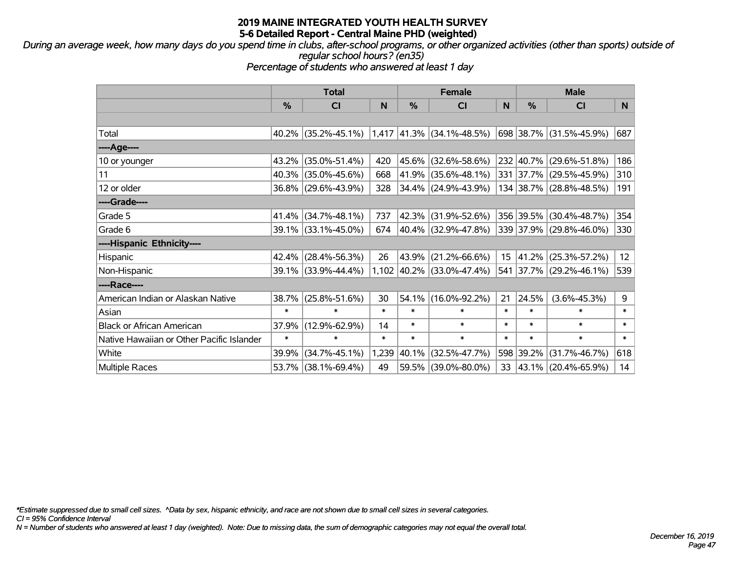*During an average week, how many days do you spend time in clubs, after-school programs, or other organized activities (other than sports) outside of regular school hours? (en35)*

*Percentage of students who answered at least 1 day*

|                                           | <b>Total</b>  |                                                  |        | <b>Female</b> | <b>Male</b>                 |                 |           |                         |        |
|-------------------------------------------|---------------|--------------------------------------------------|--------|---------------|-----------------------------|-----------------|-----------|-------------------------|--------|
|                                           | $\frac{0}{0}$ | <b>CI</b>                                        | N      | %             | <b>CI</b>                   | N               | %         | <b>CI</b>               | N      |
|                                           |               |                                                  |        |               |                             |                 |           |                         |        |
| Total                                     |               | $40.2\%$ (35.2%-45.1%) 1,417 41.3% (34.1%-48.5%) |        |               |                             |                 |           | 698 38.7% (31.5%-45.9%) | 687    |
| ----Age----                               |               |                                                  |        |               |                             |                 |           |                         |        |
| 10 or younger                             | 43.2%         | $(35.0\% - 51.4\%)$                              | 420    | 45.6%         | $(32.6\% - 58.6\%)$         |                 | 232 40.7% | $(29.6\% - 51.8\%)$     | 186    |
| 11                                        | 40.3%         | $(35.0\% - 45.6\%)$                              | 668    | 41.9%         | $(35.6\% - 48.1\%)$         |                 |           | 331 37.7% (29.5%-45.9%) | 310    |
| 12 or older                               |               | 36.8% (29.6%-43.9%)                              | 328    |               | 34.4% (24.9%-43.9%)         |                 |           | 134 38.7% (28.8%-48.5%) | 191    |
| ----Grade----                             |               |                                                  |        |               |                             |                 |           |                         |        |
| Grade 5                                   | 41.4%         | $(34.7\% - 48.1\%)$                              | 737    | 42.3%         | $(31.9\% - 52.6\%)$         |                 | 356 39.5% | $(30.4\% - 48.7\%)$     | 354    |
| Grade 6                                   |               | 39.1% (33.1%-45.0%)                              | 674    |               | $ 40.4\% $ (32.9%-47.8%)    |                 |           | 339 37.9% (29.8%-46.0%) | 330    |
| ----Hispanic Ethnicity----                |               |                                                  |        |               |                             |                 |           |                         |        |
| Hispanic                                  | 42.4%         | $(28.4\% - 56.3\%)$                              | 26     | 43.9%         | $(21.2\% - 66.6\%)$         | 15 <sub>1</sub> | 41.2%     | $(25.3\% - 57.2\%)$     | 12     |
| Non-Hispanic                              |               | 39.1% (33.9%-44.4%)                              |        |               | $1,102$ 40.2% (33.0%-47.4%) |                 |           | 541 37.7% (29.2%-46.1%) | 539    |
| ----Race----                              |               |                                                  |        |               |                             |                 |           |                         |        |
| American Indian or Alaskan Native         | 38.7%         | $(25.8\% - 51.6\%)$                              | 30     | 54.1%         | $(16.0\% - 92.2\%)$         | 21              | 24.5%     | $(3.6\% - 45.3\%)$      | 9      |
| Asian                                     | $\ast$        | $\ast$                                           | $\ast$ | $\ast$        | $\ast$                      | $\ast$          | $\ast$    | $\ast$                  | $\ast$ |
| <b>Black or African American</b>          | 37.9%         | $(12.9\% - 62.9\%)$                              | 14     | $\ast$        | $\ast$                      | $\ast$          | $\ast$    | $\ast$                  | $\ast$ |
| Native Hawaiian or Other Pacific Islander | $\ast$        | $\ast$                                           | $\ast$ | $\ast$        | $\ast$                      | $\ast$          | $\ast$    | $\ast$                  | $\ast$ |
| White                                     | 39.9%         | $(34.7\% - 45.1\%)$                              |        | 1,239 40.1%   | $(32.5\% - 47.7\%)$         |                 | 598 39.2% | $(31.7\% - 46.7\%)$     | 618    |
| Multiple Races                            | 53.7%         | $(38.1\% - 69.4\%)$                              | 49     | $ 59.5\% $    | $(39.0\% - 80.0\%)$         | 33              |           | 43.1% (20.4%-65.9%)     | 14     |

*\*Estimate suppressed due to small cell sizes. ^Data by sex, hispanic ethnicity, and race are not shown due to small cell sizes in several categories.*

*CI = 95% Confidence Interval*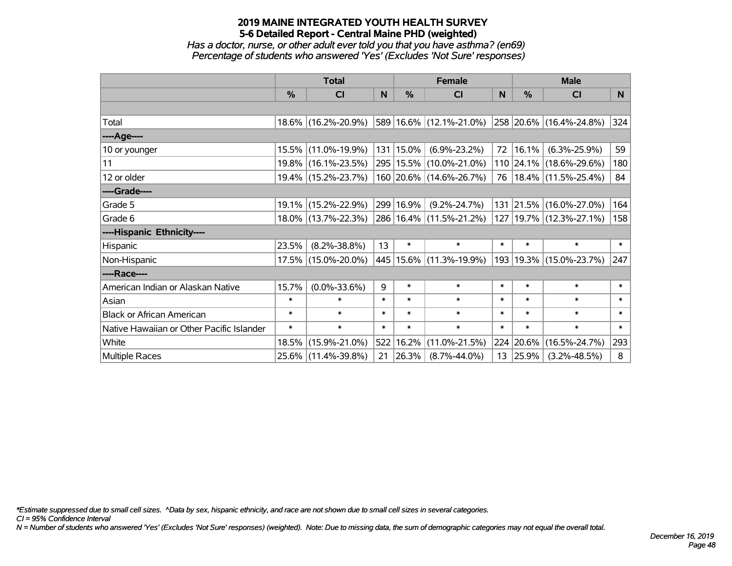*Has a doctor, nurse, or other adult ever told you that you have asthma? (en69) Percentage of students who answered 'Yes' (Excludes 'Not Sure' responses)*

|                                           | <b>Total</b>  |                        |        | <b>Female</b> | <b>Male</b>                 |              |          |                             |        |
|-------------------------------------------|---------------|------------------------|--------|---------------|-----------------------------|--------------|----------|-----------------------------|--------|
|                                           | $\frac{0}{0}$ | CI                     | N      | $\%$          | <b>CI</b>                   | <sub>N</sub> | %        | <b>CI</b>                   | N      |
|                                           |               |                        |        |               |                             |              |          |                             |        |
| Total                                     |               | 18.6% (16.2%-20.9%)    |        |               | 589 16.6% (12.1%-21.0%)     |              |          | 258 20.6% (16.4%-24.8%)     | 324    |
| ----Age----                               |               |                        |        |               |                             |              |          |                             |        |
| 10 or younger                             |               | 15.5% (11.0%-19.9%)    |        | 131   15.0%   | $(6.9\% - 23.2\%)$          | 72           | 16.1%    | $(6.3\% - 25.9\%)$          | 59     |
| 11                                        |               | 19.8% (16.1%-23.5%)    |        |               | 295   15.5%   (10.0%-21.0%) |              |          | 110 24.1% (18.6%-29.6%)     | 180    |
| 12 or older                               |               | 19.4% (15.2%-23.7%)    |        |               | 160 20.6% (14.6%-26.7%)     | 76           |          | $18.4\%$ (11.5%-25.4%)      | 84     |
| ----Grade----                             |               |                        |        |               |                             |              |          |                             |        |
| Grade 5                                   |               | 19.1% (15.2%-22.9%)    |        | 299 16.9%     | $(9.2\% - 24.7\%)$          | 131          | 21.5%    | $(16.0\% - 27.0\%)$         | 164    |
| Grade 6                                   |               | $18.0\%$ (13.7%-22.3%) |        |               | 286   16.4%   (11.5%-21.2%) |              |          | 127   19.7%   (12.3%-27.1%) | 158    |
| ----Hispanic Ethnicity----                |               |                        |        |               |                             |              |          |                             |        |
| Hispanic                                  | 23.5%         | $(8.2\% - 38.8\%)$     | 13     | $\ast$        | $\ast$                      | $\ast$       | $\ast$   | $\ast$                      | $\ast$ |
| Non-Hispanic                              |               | 17.5% (15.0%-20.0%)    |        |               | 445   15.6%   (11.3%-19.9%) |              |          | 193 19.3% (15.0%-23.7%)     | 247    |
| ----Race----                              |               |                        |        |               |                             |              |          |                             |        |
| American Indian or Alaskan Native         | 15.7%         | $(0.0\% - 33.6\%)$     | 9      | $\ast$        | $\ast$                      | $\ast$       | $\ast$   | $\ast$                      | $\ast$ |
| Asian                                     | $\ast$        | $\ast$                 | $\ast$ | $\ast$        | $\ast$                      | $\ast$       | $\ast$   | $\ast$                      | $\ast$ |
| <b>Black or African American</b>          | $\ast$        | $\ast$                 | $\ast$ | $\ast$        | $\ast$                      | $\ast$       | $\ast$   | $\ast$                      | $\ast$ |
| Native Hawaiian or Other Pacific Islander | $\ast$        | $\ast$                 | $\ast$ | $\ast$        | $\ast$                      | $\ast$       | $\ast$   | $\ast$                      | $\ast$ |
| White                                     | 18.5%         | $(15.9\% - 21.0\%)$    | 522    | 16.2%         | $(11.0\% - 21.5\%)$         | 224          | 20.6%    | $(16.5\% - 24.7\%)$         | 293    |
| <b>Multiple Races</b>                     |               | 25.6% (11.4%-39.8%)    | 21     | $ 26.3\% $    | $(8.7\% - 44.0\%)$          |              | 13 25.9% | $(3.2\% - 48.5\%)$          | 8      |

*\*Estimate suppressed due to small cell sizes. ^Data by sex, hispanic ethnicity, and race are not shown due to small cell sizes in several categories.*

*CI = 95% Confidence Interval*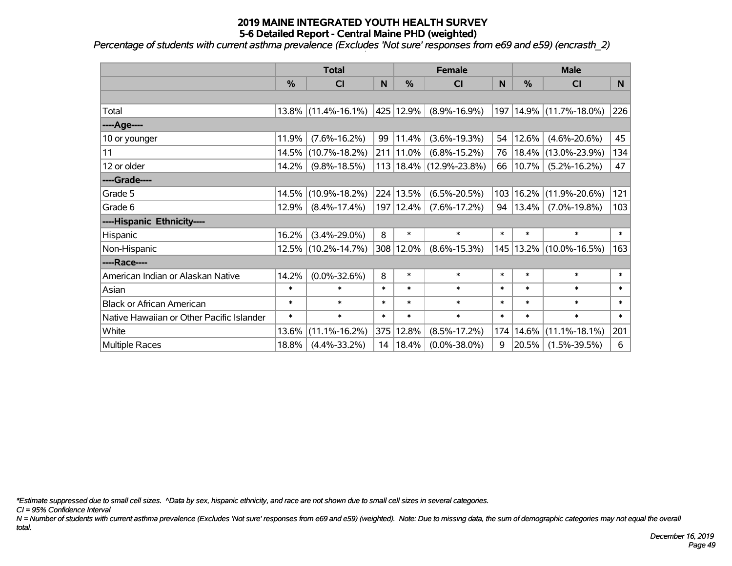*Percentage of students with current asthma prevalence (Excludes 'Not sure' responses from e69 and e59) (encrasth\_2)*

|                                           | <b>Total</b> |                        | <b>Female</b> |             |                             | <b>Male</b> |          |                        |        |
|-------------------------------------------|--------------|------------------------|---------------|-------------|-----------------------------|-------------|----------|------------------------|--------|
|                                           | %            | <b>CI</b>              | N             | %           | <b>CI</b>                   | N           | %        | <b>CI</b>              | N      |
|                                           |              |                        |               |             |                             |             |          |                        |        |
| Total                                     |              | $13.8\%$ (11.4%-16.1%) |               | 425 12.9%   | $(8.9\% - 16.9\%)$          | 197         |          | 14.9% (11.7%-18.0%)    | 226    |
| ----Age----                               |              |                        |               |             |                             |             |          |                        |        |
| 10 or younger                             | 11.9%        | $(7.6\% - 16.2\%)$     | 99            | 11.4%       | $(3.6\% - 19.3\%)$          | 54          | 12.6%    | $(4.6\% - 20.6\%)$     | 45     |
| 11                                        | 14.5%        | $(10.7\% - 18.2\%)$    |               | 211 11.0%   | $(6.8\% - 15.2\%)$          | 76          | 18.4%    | $(13.0\% - 23.9\%)$    | 134    |
| 12 or older                               | 14.2%        | $(9.8\% - 18.5\%)$     |               |             | $113 18.4\% $ (12.9%-23.8%) | 66          | $10.7\%$ | $(5.2\% - 16.2\%)$     | 47     |
| ----Grade----                             |              |                        |               |             |                             |             |          |                        |        |
| Grade 5                                   | 14.5%        | $(10.9\% - 18.2\%)$    |               | 224 13.5%   | $(6.5\% - 20.5\%)$          | 103         | 16.2%    | $(11.9\% - 20.6\%)$    | 121    |
| Grade 6                                   | 12.9%        | $(8.4\% - 17.4\%)$     |               | 197   12.4% | $(7.6\% - 17.2\%)$          | 94          | 13.4%    | $(7.0\% - 19.8\%)$     | 103    |
| ----Hispanic Ethnicity----                |              |                        |               |             |                             |             |          |                        |        |
| Hispanic                                  | 16.2%        | $(3.4\% - 29.0\%)$     | 8             | $\ast$      | $\ast$                      | $\ast$      | $\ast$   | $\ast$                 | $\ast$ |
| Non-Hispanic                              |              | 12.5% (10.2%-14.7%)    |               | 308 12.0%   | $(8.6\% - 15.3\%)$          | 145         |          | $13.2\%$ (10.0%-16.5%) | 163    |
| ----Race----                              |              |                        |               |             |                             |             |          |                        |        |
| American Indian or Alaskan Native         | 14.2%        | $(0.0\% - 32.6\%)$     | 8             | $\ast$      | $\ast$                      | $\ast$      | $\ast$   | $\ast$                 | $\ast$ |
| Asian                                     | $\ast$       | $\ast$                 | $\ast$        | $\ast$      | $\ast$                      | $\ast$      | $\ast$   | $\ast$                 | $\ast$ |
| <b>Black or African American</b>          | $\ast$       | $\ast$                 | $\ast$        | $\ast$      | $\ast$                      | $\ast$      | $\ast$   | $\ast$                 | $\ast$ |
| Native Hawaiian or Other Pacific Islander | $\ast$       | $\ast$                 | $\ast$        | $\ast$      | $\ast$                      | $\ast$      | $\ast$   | $\ast$                 | $\ast$ |
| White                                     | 13.6%        | $(11.1\% - 16.2\%)$    | 375           | 12.8%       | $(8.5\% - 17.2\%)$          | 174         | 14.6%    | $(11.1\% - 18.1\%)$    | 201    |
| Multiple Races                            | 18.8%        | $(4.4\% - 33.2\%)$     |               | 14   18.4%  | $(0.0\% - 38.0\%)$          | 9           | 20.5%    | $(1.5\% - 39.5\%)$     | 6      |

*\*Estimate suppressed due to small cell sizes. ^Data by sex, hispanic ethnicity, and race are not shown due to small cell sizes in several categories.*

*CI = 95% Confidence Interval*

*N = Number of students with current asthma prevalence (Excludes 'Not sure' responses from e69 and e59) (weighted). Note: Due to missing data, the sum of demographic categories may not equal the overall total.*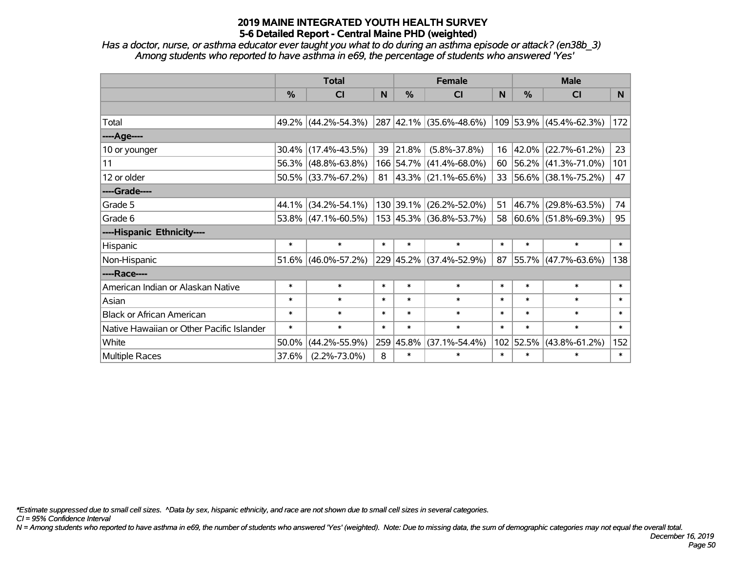*Has a doctor, nurse, or asthma educator ever taught you what to do during an asthma episode or attack? (en38b\_3) Among students who reported to have asthma in e69, the percentage of students who answered 'Yes'*

|                                           | <b>Total</b>  |                     |        |               | <b>Female</b>                             | <b>Male</b> |           |                          |        |
|-------------------------------------------|---------------|---------------------|--------|---------------|-------------------------------------------|-------------|-----------|--------------------------|--------|
|                                           | $\frac{0}{0}$ | CI                  | N.     | $\frac{0}{0}$ | CI                                        | <b>N</b>    | %         | <b>CI</b>                | N      |
|                                           |               |                     |        |               |                                           |             |           |                          |        |
| Total                                     |               | 49.2% (44.2%-54.3%) |        |               | 287 42.1% (35.6%-48.6%)                   |             |           | 109 53.9% (45.4%-62.3%)  | 172    |
| ----Age----                               |               |                     |        |               |                                           |             |           |                          |        |
| 10 or younger                             |               | 30.4% (17.4%-43.5%) | 39     | $ 21.8\% $    | $(5.8\% - 37.8\%)$                        | 16          | 42.0%     | $(22.7\% - 61.2\%)$      | 23     |
| 11                                        |               | 56.3% (48.8%-63.8%) |        |               | 166 54.7% (41.4%-68.0%)                   | 60          |           | $ 56.2\% $ (41.3%-71.0%) | 101    |
| 12 or older                               |               | 50.5% (33.7%-67.2%) |        |               | $81 \vert 43.3\% \vert (21.1\% - 65.6\%)$ |             |           | 33 56.6% (38.1%-75.2%)   | 47     |
| ----Grade----                             |               |                     |        |               |                                           |             |           |                          |        |
| Grade 5                                   |               | 44.1% (34.2%-54.1%) |        |               | 130 39.1% (26.2%-52.0%)                   | 51          | 46.7%     | $(29.8\% - 63.5\%)$      | 74     |
| Grade 6                                   |               | 53.8% (47.1%-60.5%) |        |               | 153 45.3% (36.8%-53.7%)                   |             |           | 58 60.6% (51.8%-69.3%)   | 95     |
| ----Hispanic Ethnicity----                |               |                     |        |               |                                           |             |           |                          |        |
| Hispanic                                  | $\ast$        | $\ast$              | $\ast$ | $\ast$        | $\ast$                                    | $\ast$      | $\ast$    | $\ast$                   | $\ast$ |
| Non-Hispanic                              |               | 51.6% (46.0%-57.2%) |        |               | 229 45.2% (37.4%-52.9%)                   | 87          |           | $55.7\%$ (47.7%-63.6%)   | 138    |
| ----Race----                              |               |                     |        |               |                                           |             |           |                          |        |
| American Indian or Alaskan Native         | $\ast$        | $\ast$              | $\ast$ | $\ast$        | $\ast$                                    | $\ast$      | $\ast$    | $\ast$                   | $\ast$ |
| Asian                                     | $\ast$        | $\ast$              | $\ast$ | $\ast$        | $\ast$                                    | $\ast$      | $\ast$    | $\ast$                   | $\ast$ |
| <b>Black or African American</b>          | $\ast$        | $\ast$              | $\ast$ | $\ast$        | $\ast$                                    | $\ast$      | $\ast$    | $\ast$                   | $\ast$ |
| Native Hawaiian or Other Pacific Islander | $\ast$        | $\ast$              | $\ast$ | $\ast$        | $\ast$                                    | $\ast$      | $\ast$    | $\ast$                   | $\ast$ |
| White                                     | 50.0%         | $(44.2\% - 55.9\%)$ |        | 259 45.8%     | $(37.1\% - 54.4\%)$                       |             | 102 52.5% | $(43.8\% - 61.2\%)$      | 152    |
| Multiple Races                            | 37.6%         | $(2.2\% - 73.0\%)$  | 8      | $\ast$        | $\ast$                                    | $\ast$      | $\ast$    | $\ast$                   | $\ast$ |

*\*Estimate suppressed due to small cell sizes. ^Data by sex, hispanic ethnicity, and race are not shown due to small cell sizes in several categories.*

*CI = 95% Confidence Interval*

*N = Among students who reported to have asthma in e69, the number of students who answered 'Yes' (weighted). Note: Due to missing data, the sum of demographic categories may not equal the overall total.*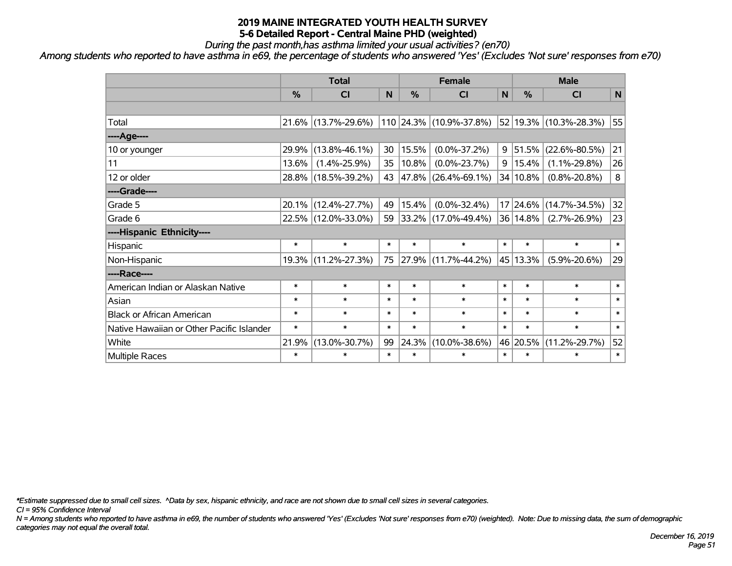*During the past month,has asthma limited your usual activities? (en70)*

*Among students who reported to have asthma in e69, the percentage of students who answered 'Yes' (Excludes 'Not sure' responses from e70)*

|                                           | <b>Total</b>  |                     |        |            | <b>Female</b>            | <b>Male</b>  |               |                        |              |
|-------------------------------------------|---------------|---------------------|--------|------------|--------------------------|--------------|---------------|------------------------|--------------|
|                                           | $\frac{0}{0}$ | <b>CI</b>           | N      | %          | <b>CI</b>                | $\mathsf{N}$ | $\frac{0}{0}$ | <b>CI</b>              | $\mathsf{N}$ |
|                                           |               |                     |        |            |                          |              |               |                        |              |
| Total                                     |               | 21.6% (13.7%-29.6%) |        |            | 110 24.3% (10.9%-37.8%)  |              |               | 52 19.3% (10.3%-28.3%) | 55           |
| ----Age----                               |               |                     |        |            |                          |              |               |                        |              |
| 10 or younger                             | 29.9%         | $(13.8\% - 46.1\%)$ | 30     | 15.5%      | $(0.0\% - 37.2\%)$       | 9            | 51.5%         | $(22.6\% - 80.5\%)$    | 21           |
| 11                                        | 13.6%         | $(1.4\% - 25.9\%)$  | 35     | 10.8%      | $(0.0\% - 23.7\%)$       | 9            | 15.4%         | $(1.1\% - 29.8\%)$     | 26           |
| 12 or older                               |               | 28.8% (18.5%-39.2%) | 43     | $ 47.8\% $ | $(26.4\% - 69.1\%)$      |              | 34 10.8%      | $(0.8\% - 20.8\%)$     | $\bf 8$      |
| ----Grade----                             |               |                     |        |            |                          |              |               |                        |              |
| Grade 5                                   |               | 20.1% (12.4%-27.7%) | 49     | 15.4%      | $(0.0\% - 32.4\%)$       |              |               | 17 24.6% (14.7%-34.5%) | 32           |
| Grade 6                                   |               | 22.5% (12.0%-33.0%) | 59     |            | $ 33.2\% $ (17.0%-49.4%) |              | 36 14.8%      | $(2.7\% - 26.9\%)$     | 23           |
| ----Hispanic Ethnicity----                |               |                     |        |            |                          |              |               |                        |              |
| Hispanic                                  | $\ast$        | $\ast$              | $\ast$ | $\ast$     | $\ast$                   | $\ast$       | $\ast$        | $\ast$                 | $\ast$       |
| Non-Hispanic                              |               | 19.3% (11.2%-27.3%) | 75     | $ 27.9\% $ | $(11.7\% - 44.2\%)$      |              | 45 13.3%      | $(5.9\% - 20.6\%)$     | 29           |
| ----Race----                              |               |                     |        |            |                          |              |               |                        |              |
| American Indian or Alaskan Native         | $\ast$        | $\ast$              | $\ast$ | $\ast$     | $\ast$                   | $\ast$       | $\ast$        | $\ast$                 | $\ast$       |
| Asian                                     | $\ast$        | $\ast$              | $\ast$ | $\ast$     | $\ast$                   | $\ast$       | $\ast$        | $\ast$                 | $\ast$       |
| <b>Black or African American</b>          | $\ast$        | $\ast$              | $\ast$ | $\ast$     | $\ast$                   | $\ast$       | $\ast$        | $\ast$                 | $\ast$       |
| Native Hawaiian or Other Pacific Islander | $\ast$        | $\ast$              | $\ast$ | $\ast$     | $\ast$                   | $\ast$       | $\ast$        | $\ast$                 | $\ast$       |
| White                                     | 21.9%         | $(13.0\% - 30.7\%)$ | 99     | 24.3%      | $(10.0\% - 38.6\%)$      |              | 46 20.5%      | $(11.2\% - 29.7\%)$    | 52           |
| Multiple Races                            | $\ast$        | $\ast$              | $\ast$ | $\ast$     | $\ast$                   | $\ast$       | $\ast$        | $\ast$                 | $\ast$       |

*\*Estimate suppressed due to small cell sizes. ^Data by sex, hispanic ethnicity, and race are not shown due to small cell sizes in several categories.*

*CI = 95% Confidence Interval*

*N = Among students who reported to have asthma in e69, the number of students who answered 'Yes' (Excludes 'Not sure' responses from e70) (weighted). Note: Due to missing data, the sum of demographic categories may not equal the overall total.*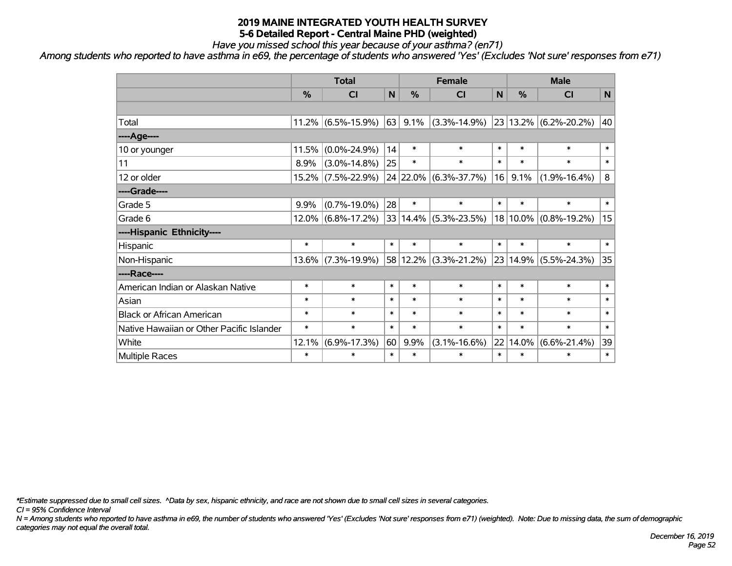*Have you missed school this year because of your asthma? (en71)*

*Among students who reported to have asthma in e69, the percentage of students who answered 'Yes' (Excludes 'Not sure' responses from e71)*

|                                           | <b>Total</b>  |                       |              |         | <b>Female</b>             | <b>Male</b> |          |                            |        |
|-------------------------------------------|---------------|-----------------------|--------------|---------|---------------------------|-------------|----------|----------------------------|--------|
|                                           | $\frac{0}{0}$ | CI                    | $\mathsf{N}$ | %       | <b>CI</b>                 | N           | %        | <b>CI</b>                  | N      |
|                                           |               |                       |              |         |                           |             |          |                            |        |
| Total                                     |               | $11.2\%$ (6.5%-15.9%) | 63           | $9.1\%$ | $(3.3\% - 14.9\%)$        |             |          | $ 23 13.2\% $ (6.2%-20.2%) | 40     |
| ----Age----                               |               |                       |              |         |                           |             |          |                            |        |
| 10 or younger                             | 11.5%         | $(0.0\% - 24.9\%)$    | 14           | $\ast$  | $\ast$                    | $\ast$      | $\ast$   | $\ast$                     | $\ast$ |
| 11                                        | 8.9%          | $(3.0\% - 14.8\%)$    | 25           | $\ast$  | $\ast$                    | $\ast$      | $\ast$   | $\ast$                     | $\ast$ |
| 12 or older                               |               | 15.2% (7.5%-22.9%)    |              |         | 24 22.0% (6.3%-37.7%)     | 16          | 9.1%     | $(1.9\% - 16.4\%)$         | 8      |
| ----Grade----                             |               |                       |              |         |                           |             |          |                            |        |
| Grade 5                                   | 9.9%          | $(0.7\% - 19.0\%)$    | 28           | $\ast$  | $\ast$                    | $\ast$      | $\ast$   | $\ast$                     | $\ast$ |
| Grade 6                                   |               | 12.0% (6.8%-17.2%)    |              |         | $33 14.4\% $ (5.3%-23.5%) |             |          | 18 10.0% (0.8%-19.2%)      | 15     |
| ----Hispanic Ethnicity----                |               |                       |              |         |                           |             |          |                            |        |
| Hispanic                                  | $\ast$        | $\ast$                | $\ast$       | $\ast$  | $\ast$                    | $\ast$      | $\ast$   | $\ast$                     | $\ast$ |
| Non-Hispanic                              |               | 13.6% (7.3%-19.9%)    |              |         | 58 12.2% (3.3%-21.2%)     |             | 23 14.9% | $(5.5\% - 24.3\%)$         | 35     |
| ----Race----                              |               |                       |              |         |                           |             |          |                            |        |
| American Indian or Alaskan Native         | $\ast$        | $\ast$                | $\ast$       | $\ast$  | $\ast$                    | $\ast$      | $\ast$   | $\ast$                     | $\ast$ |
| Asian                                     | $\ast$        | $\ast$                | $\ast$       | $\ast$  | $\ast$                    | $\ast$      | $\ast$   | $\ast$                     | $\ast$ |
| <b>Black or African American</b>          | $\ast$        | $\ast$                | $\ast$       | $\ast$  | $\ast$                    | $\ast$      | $\ast$   | $\ast$                     | $\ast$ |
| Native Hawaiian or Other Pacific Islander | $\ast$        | $\ast$                | $\ast$       | $\ast$  | $\ast$                    | $\ast$      | $\ast$   | $\ast$                     | $\ast$ |
| White                                     | 12.1%         | $(6.9\% - 17.3\%)$    | 60           | 9.9%    | $(3.1\% - 16.6\%)$        | 22          | 14.0%    | $(6.6\% - 21.4\%)$         | 39     |
| Multiple Races                            | $\ast$        | $\ast$                | $\ast$       | $\ast$  | $\ast$                    | $\ast$      | $\ast$   | $\ast$                     | $\ast$ |

*\*Estimate suppressed due to small cell sizes. ^Data by sex, hispanic ethnicity, and race are not shown due to small cell sizes in several categories.*

*CI = 95% Confidence Interval*

*N = Among students who reported to have asthma in e69, the number of students who answered 'Yes' (Excludes 'Not sure' responses from e71) (weighted). Note: Due to missing data, the sum of demographic categories may not equal the overall total.*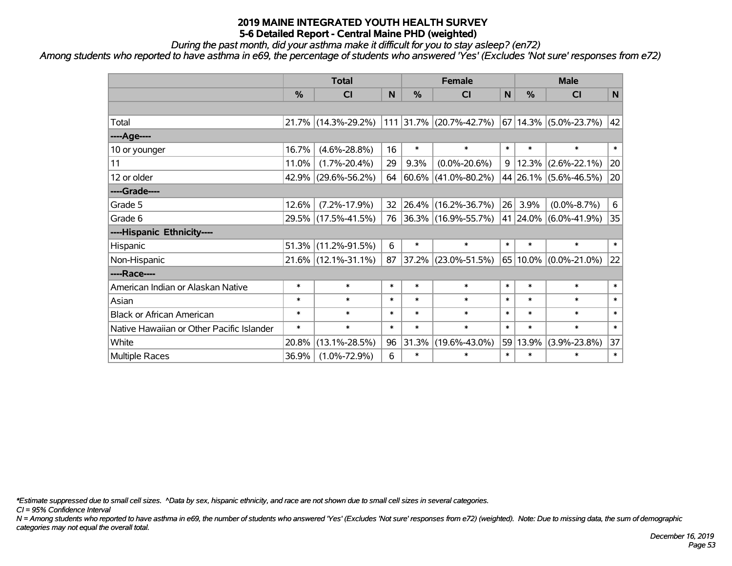*During the past month, did your asthma make it difficult for you to stay asleep? (en72)*

*Among students who reported to have asthma in e69, the percentage of students who answered 'Yes' (Excludes 'Not sure' responses from e72)*

|                                           | <b>Total</b>  |                     |        |            | <b>Female</b>             |                 |               | <b>Male</b>                    |        |  |
|-------------------------------------------|---------------|---------------------|--------|------------|---------------------------|-----------------|---------------|--------------------------------|--------|--|
|                                           | $\frac{0}{0}$ | <b>CI</b>           | N      | $\%$       | <b>CI</b>                 | N               | $\frac{9}{6}$ | <b>CI</b>                      | N      |  |
|                                           |               |                     |        |            |                           |                 |               |                                |        |  |
| Total                                     |               | 21.7% (14.3%-29.2%) |        |            | $111$ 31.7% (20.7%-42.7%) |                 |               | $ 67 14.3\%  (5.0\% - 23.7\%)$ | 42     |  |
| ----Age----                               |               |                     |        |            |                           |                 |               |                                |        |  |
| 10 or younger                             | 16.7%         | $(4.6\% - 28.8\%)$  | 16     | $\ast$     | $\ast$                    | $\ast$          | $\ast$        | $\ast$                         | $\ast$ |  |
| 11                                        | 11.0%         | $(1.7\% - 20.4\%)$  | 29     | 9.3%       | $(0.0\% - 20.6\%)$        | 9 <sup>1</sup>  | 12.3%         | $(2.6\% - 22.1\%)$             | 20     |  |
| 12 or older                               |               | 42.9% (29.6%-56.2%) | 64     | $ 60.6\% $ | $(41.0\% - 80.2\%)$       |                 |               | 44 26.1% (5.6%-46.5%)          | 20     |  |
| ----Grade----                             |               |                     |        |            |                           |                 |               |                                |        |  |
| Grade 5                                   | 12.6%         | $(7.2\% - 17.9\%)$  | 32     | 26.4%      | $(16.2\% - 36.7\%)$       | 26 <sup>1</sup> | 3.9%          | $(0.0\% - 8.7\%)$              | 6      |  |
| Grade 6                                   |               | 29.5% (17.5%-41.5%) | 76     |            | 36.3% (16.9%-55.7%)       |                 | 41 24.0%      | $(6.0\% - 41.9\%)$             | 35     |  |
| ----Hispanic Ethnicity----                |               |                     |        |            |                           |                 |               |                                |        |  |
| Hispanic                                  | 51.3%         | $(11.2\% - 91.5\%)$ | 6      | $\ast$     | $\ast$                    | $\ast$          | $\ast$        | $\ast$                         | $\ast$ |  |
| Non-Hispanic                              |               | 21.6% (12.1%-31.1%) | 87     | 37.2%      | $(23.0\% - 51.5\%)$       |                 | $65 10.0\% $  | $(0.0\% - 21.0\%)$             | 22     |  |
| ----Race----                              |               |                     |        |            |                           |                 |               |                                |        |  |
| American Indian or Alaskan Native         | $\ast$        | $\ast$              | $\ast$ | $\ast$     | $\ast$                    | $\ast$          | $\ast$        | $\ast$                         | $\ast$ |  |
| Asian                                     | $\ast$        | $\ast$              | $\ast$ | $\ast$     | $\ast$                    | $\ast$          | $\ast$        | $\ast$                         | $\ast$ |  |
| <b>Black or African American</b>          | $\ast$        | $\ast$              | $\ast$ | $\ast$     | $\ast$                    | $\ast$          | $\ast$        | $\ast$                         | $\ast$ |  |
| Native Hawaiian or Other Pacific Islander | $\ast$        | $\ast$              | $\ast$ | $\ast$     | $\ast$                    | $\ast$          | $\ast$        | $\ast$                         | $\ast$ |  |
| White                                     | 20.8%         | $(13.1\% - 28.5\%)$ | 96     | 31.3%      | $(19.6\% - 43.0\%)$       | 59              | 13.9%         | $(3.9\% - 23.8\%)$             | 37     |  |
| Multiple Races                            | 36.9%         | $(1.0\% - 72.9\%)$  | 6      | $\ast$     | *                         | $\ast$          | $\ast$        | $\ast$                         | $\ast$ |  |

*\*Estimate suppressed due to small cell sizes. ^Data by sex, hispanic ethnicity, and race are not shown due to small cell sizes in several categories.*

*CI = 95% Confidence Interval*

*N = Among students who reported to have asthma in e69, the number of students who answered 'Yes' (Excludes 'Not sure' responses from e72) (weighted). Note: Due to missing data, the sum of demographic categories may not equal the overall total.*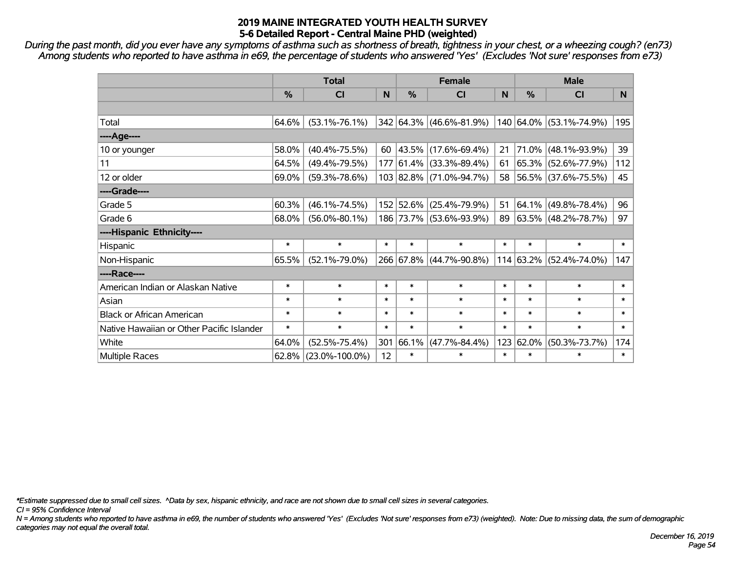*During the past month, did you ever have any symptoms of asthma such as shortness of breath, tightness in your chest, or a wheezing cough? (en73) Among students who reported to have asthma in e69, the percentage of students who answered 'Yes' (Excludes 'Not sure' responses from e73)*

|                                           | <b>Total</b>  |                      |        |           | <b>Female</b>           |        | <b>Male</b> |                         |        |  |
|-------------------------------------------|---------------|----------------------|--------|-----------|-------------------------|--------|-------------|-------------------------|--------|--|
|                                           | $\frac{0}{0}$ | <b>CI</b>            | N      | %         | <b>CI</b>               | N.     | %           | <b>CI</b>               | N.     |  |
|                                           |               |                      |        |           |                         |        |             |                         |        |  |
| Total                                     | 64.6%         | $(53.1\% - 76.1\%)$  |        |           | 342 64.3% (46.6%-81.9%) |        |             | 140 64.0% (53.1%-74.9%) | 195    |  |
| ----Age----                               |               |                      |        |           |                         |        |             |                         |        |  |
| 10 or younger                             | 58.0%         | $(40.4\% - 75.5\%)$  | 60     |           | 43.5% (17.6%-69.4%)     | 21     | 71.0%       | $(48.1\% - 93.9\%)$     | 39     |  |
| 11                                        | 64.5%         | $(49.4\% - 79.5\%)$  |        |           | 177 61.4% (33.3%-89.4%) | 61     |             | 65.3% (52.6%-77.9%)     | 112    |  |
| 12 or older                               | 69.0%         | $(59.3\% - 78.6\%)$  |        |           | 103 82.8% (71.0%-94.7%) | 58     |             | 56.5% (37.6%-75.5%)     | 45     |  |
| ----Grade----                             |               |                      |        |           |                         |        |             |                         |        |  |
| Grade 5                                   | 60.3%         | $(46.1\% - 74.5\%)$  |        | 152 52.6% | $(25.4\% - 79.9\%)$     | 51     | 64.1%       | $(49.8\% - 78.4\%)$     | 96     |  |
| Grade 6                                   | 68.0%         | $(56.0\% - 80.1\%)$  |        |           | 186 73.7% (53.6%-93.9%) | 89     |             | 63.5% (48.2%-78.7%)     | 97     |  |
| ----Hispanic Ethnicity----                |               |                      |        |           |                         |        |             |                         |        |  |
| Hispanic                                  | $\ast$        | $\ast$               | $\ast$ | $\ast$    | $\ast$                  | $\ast$ | $\ast$      | $\ast$                  | $\ast$ |  |
| Non-Hispanic                              | 65.5%         | $(52.1\% - 79.0\%)$  |        |           | 266 67.8% (44.7%-90.8%) |        | 114 63.2%   | $(52.4\% - 74.0\%)$     | 147    |  |
| ----Race----                              |               |                      |        |           |                         |        |             |                         |        |  |
| American Indian or Alaskan Native         | $\ast$        | $\ast$               | $\ast$ | $\ast$    | $\ast$                  | $\ast$ | $\ast$      | $\ast$                  | $\ast$ |  |
| Asian                                     | $\ast$        | $\ast$               | $\ast$ | $\ast$    | $\ast$                  | $\ast$ | $\ast$      | $\ast$                  | $\ast$ |  |
| <b>Black or African American</b>          | $\ast$        | $\ast$               | $\ast$ | $\ast$    | $\ast$                  | $\ast$ | $\ast$      | $\ast$                  | $\ast$ |  |
| Native Hawaiian or Other Pacific Islander | $\ast$        | $\ast$               | $\ast$ | $\ast$    | $\ast$                  | $\ast$ | $\ast$      | $\ast$                  | $\ast$ |  |
| White                                     | 64.0%         | $(52.5\% - 75.4\%)$  | 301    | 66.1%     | $(47.7\% - 84.4\%)$     | 123    | 62.0%       | $(50.3\% - 73.7\%)$     | 174    |  |
| Multiple Races                            | $62.8\%$      | $(23.0\% - 100.0\%)$ | 12     | $\ast$    | $\ast$                  | $\ast$ | $\ast$      | $\ast$                  | $\ast$ |  |

*\*Estimate suppressed due to small cell sizes. ^Data by sex, hispanic ethnicity, and race are not shown due to small cell sizes in several categories.*

*CI = 95% Confidence Interval*

*N = Among students who reported to have asthma in e69, the number of students who answered 'Yes' (Excludes 'Not sure' responses from e73) (weighted). Note: Due to missing data, the sum of demographic categories may not equal the overall total.*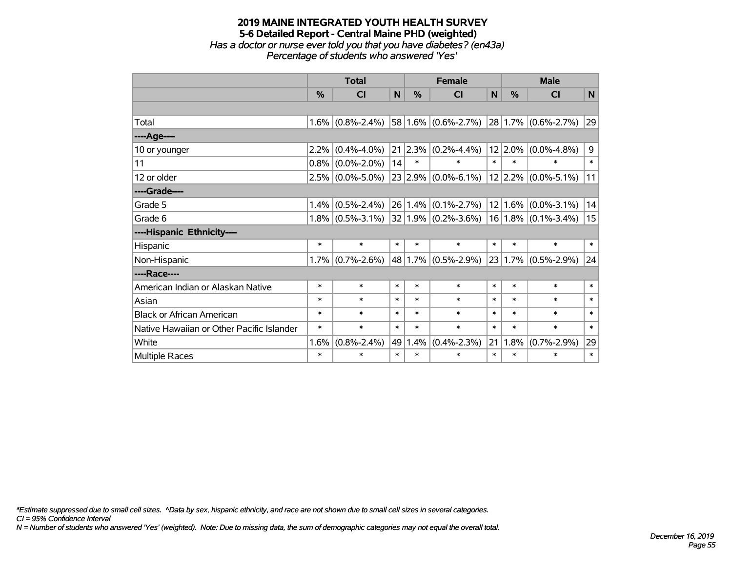### **2019 MAINE INTEGRATED YOUTH HEALTH SURVEY 5-6 Detailed Report - Central Maine PHD (weighted)** *Has a doctor or nurse ever told you that you have diabetes? (en43a) Percentage of students who answered 'Yes'*

|                                           | <b>Total</b> |                     |        | <b>Female</b> |                                                   |        | <b>Male</b> |                          |        |  |
|-------------------------------------------|--------------|---------------------|--------|---------------|---------------------------------------------------|--------|-------------|--------------------------|--------|--|
|                                           | %            | <b>CI</b>           | N      | %             | <b>CI</b>                                         | N      | %           | <b>CI</b>                | N      |  |
|                                           |              |                     |        |               |                                                   |        |             |                          |        |  |
| Total                                     | 1.6%         | $(0.8\% - 2.4\%)$   |        |               | $58 1.6\% $ (0.6%-2.7%)                           |        |             | $ 28 1.7\% $ (0.6%-2.7%) | 29     |  |
| ----Age----                               |              |                     |        |               |                                                   |        |             |                          |        |  |
| 10 or younger                             | 2.2%         | $(0.4\% - 4.0\%)$   |        |               | $21 2.3\% $ (0.2%-4.4%)                           |        | $12$   2.0% | $(0.0\% - 4.8\%)$        | 9      |  |
| 11                                        | 0.8%         | $(0.0\% - 2.0\%)$   | 14     | $\ast$        | $\ast$                                            | $\ast$ | $\ast$      | $\ast$                   | $\ast$ |  |
| 12 or older                               |              | $2.5\%$ (0.0%-5.0%) |        |               | $23 2.9\% $ (0.0%-6.1%)                           |        | $12$  2.2%  | $(0.0\% - 5.1\%)$        | 11     |  |
| ----Grade----                             |              |                     |        |               |                                                   |        |             |                          |        |  |
| Grade 5                                   | 1.4%         | $(0.5\% - 2.4\%)$   |        |               | $26 1.4\% $ (0.1%-2.7%)                           |        |             | $12 1.6\% $ (0.0%-3.1%)  | 14     |  |
| Grade 6                                   |              | $1.8\%$ (0.5%-3.1%) |        |               | $32 1.9\% $ (0.2%-3.6%)   16   1.8%   (0.1%-3.4%) |        |             |                          | 15     |  |
| ----Hispanic Ethnicity----                |              |                     |        |               |                                                   |        |             |                          |        |  |
| Hispanic                                  | $\ast$       | $\ast$              | $\ast$ | $\ast$        | $\ast$                                            | $\ast$ | $\ast$      | $\ast$                   | $\ast$ |  |
| Non-Hispanic                              | 1.7%         | $(0.7\% - 2.6\%)$   |        |               | $48 1.7\% $ (0.5%-2.9%)                           |        |             | $23 1.7\% $ (0.5%-2.9%)  | 24     |  |
| ----Race----                              |              |                     |        |               |                                                   |        |             |                          |        |  |
| American Indian or Alaskan Native         | $\ast$       | $\ast$              | $\ast$ | $\ast$        | $\ast$                                            | $\ast$ | $\ast$      | $\ast$                   | $\ast$ |  |
| Asian                                     | $\ast$       | $\ast$              | $\ast$ | $\ast$        | $\ast$                                            | $\ast$ | $\ast$      | $\ast$                   | $\ast$ |  |
| <b>Black or African American</b>          | *            | $\ast$              | $\ast$ | $\ast$        | $\ast$                                            | $\ast$ | $\ast$      | $\ast$                   | $\ast$ |  |
| Native Hawaiian or Other Pacific Islander | $\ast$       | $\ast$              | $\ast$ | $\ast$        | $\ast$                                            | $\ast$ | $\ast$      | $\ast$                   | $\ast$ |  |
| White                                     | 1.6%         | $(0.8\% - 2.4\%)$   | 49     | 1.4%          | $(0.4\% - 2.3\%)$                                 | 21     | 1.8%        | $(0.7\% - 2.9\%)$        | 29     |  |
| <b>Multiple Races</b>                     | $\ast$       | $\ast$              | $\ast$ | $\ast$        | $\ast$                                            | $\ast$ | $\ast$      | $\ast$                   | $\ast$ |  |

*\*Estimate suppressed due to small cell sizes. ^Data by sex, hispanic ethnicity, and race are not shown due to small cell sizes in several categories.*

*CI = 95% Confidence Interval*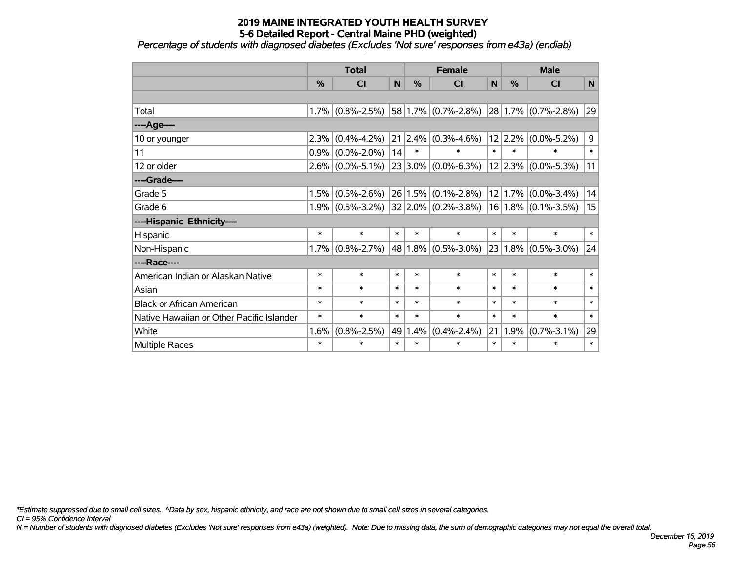*Percentage of students with diagnosed diabetes (Excludes 'Not sure' responses from e43a) (endiab)*

|                                           | <b>Total</b> |                   |             |             | <b>Female</b>           |        |               | <b>Male</b>             |        |  |  |
|-------------------------------------------|--------------|-------------------|-------------|-------------|-------------------------|--------|---------------|-------------------------|--------|--|--|
|                                           | %            | <b>CI</b>         | $\mathbf N$ | %           | <b>CI</b>               | N      | $\frac{0}{0}$ | <b>CI</b>               | N.     |  |  |
|                                           |              |                   |             |             |                         |        |               |                         |        |  |  |
| Total                                     | 1.7%         | $(0.8\% - 2.5\%)$ |             |             | $58 1.7\% $ (0.7%-2.8%) |        |               | $28 1.7\% $ (0.7%-2.8%) | 29     |  |  |
| ----Age----                               |              |                   |             |             |                         |        |               |                         |        |  |  |
| 10 or younger                             | 2.3%         | $(0.4\% - 4.2\%)$ |             | 21 2.4%     | $(0.3\% - 4.6\%)$       |        | $12$  2.2%    | $(0.0\% - 5.2\%)$       | 9      |  |  |
| 11                                        | 0.9%         | $(0.0\% - 2.0\%)$ | 14          | $\ast$      | $\ast$                  | $\ast$ | $\ast$        | $\ast$                  | $\ast$ |  |  |
| 12 or older                               | 2.6%         | $(0.0\% - 5.1\%)$ |             | $23 3.0\% $ | $(0.0\% - 6.3\%)$       |        |               | $12 2.3\% $ (0.0%-5.3%) | 11     |  |  |
| ----Grade----                             |              |                   |             |             |                         |        |               |                         |        |  |  |
| Grade 5                                   | 1.5%         | $(0.5\% - 2.6\%)$ |             | 26 1.5%     | $(0.1\% - 2.8\%)$       |        |               | $12 1.7\% $ (0.0%-3.4%) | 14     |  |  |
| Grade 6                                   | $1.9\%$      | $(0.5\% - 3.2\%)$ |             |             | 32 2.0% (0.2%-3.8%)     |        |               | $16 1.8\% $ (0.1%-3.5%) | 15     |  |  |
| ----Hispanic Ethnicity----                |              |                   |             |             |                         |        |               |                         |        |  |  |
| Hispanic                                  | $\ast$       | $\ast$            | $\ast$      | $\ast$      | $\ast$                  | $\ast$ | $\ast$        | $\ast$                  | $\ast$ |  |  |
| Non-Hispanic                              | 1.7%         | $(0.8\% - 2.7\%)$ |             | 48 1.8%     | $(0.5\% - 3.0\%)$       |        |               | $23 1.8\% $ (0.5%-3.0%) | 24     |  |  |
| ----Race----                              |              |                   |             |             |                         |        |               |                         |        |  |  |
| American Indian or Alaskan Native         | $\ast$       | $\ast$            | $\ast$      | $\ast$      | $\ast$                  | $\ast$ | $\ast$        | $\ast$                  | $\ast$ |  |  |
| Asian                                     | $\ast$       | $\ast$            | $\ast$      | $\ast$      | $\ast$                  | $\ast$ | $\ast$        | $\ast$                  | $\ast$ |  |  |
| <b>Black or African American</b>          | $\ast$       | $\ast$            | $\ast$      | $\ast$      | $\ast$                  | $\ast$ | $\ast$        | $\ast$                  | $\ast$ |  |  |
| Native Hawaiian or Other Pacific Islander | $\ast$       | $\ast$            | $\ast$      | $\ast$      | $\ast$                  | $\ast$ | $\ast$        | $\ast$                  | $\ast$ |  |  |
| White                                     | 1.6%         | $(0.8\% - 2.5\%)$ | 49          | 1.4%        | $(0.4\% - 2.4\%)$       | 21     | 1.9%          | $(0.7\% - 3.1\%)$       | 29     |  |  |
| Multiple Races                            | $\ast$       | $\ast$            | $\ast$      | $\ast$      | *                       | $\ast$ | $\ast$        | $\ast$                  | $\ast$ |  |  |

*\*Estimate suppressed due to small cell sizes. ^Data by sex, hispanic ethnicity, and race are not shown due to small cell sizes in several categories.*

*CI = 95% Confidence Interval*

*N = Number of students with diagnosed diabetes (Excludes 'Not sure' responses from e43a) (weighted). Note: Due to missing data, the sum of demographic categories may not equal the overall total.*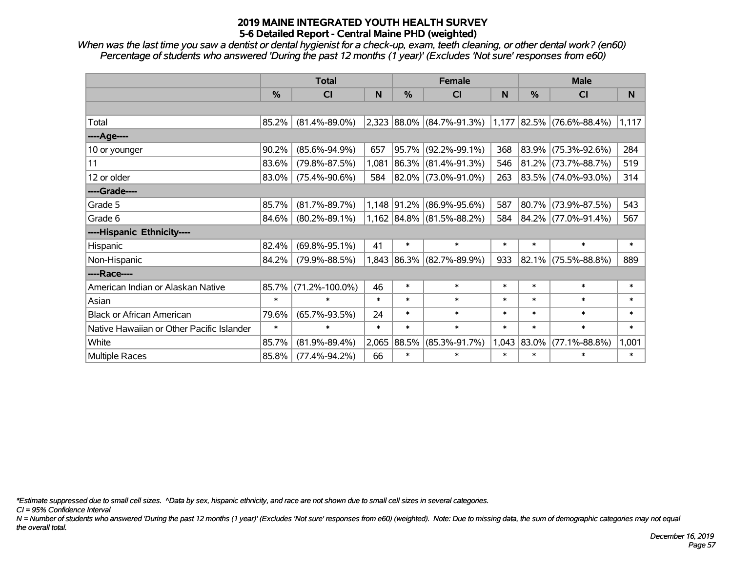*When was the last time you saw a dentist or dental hygienist for a check-up, exam, teeth cleaning, or other dental work? (en60) Percentage of students who answered 'During the past 12 months (1 year)' (Excludes 'Not sure' responses from e60)*

|                                           | <b>Total</b>  |                      |        | <b>Female</b> |                                 | <b>Male</b> |               |                             |        |
|-------------------------------------------|---------------|----------------------|--------|---------------|---------------------------------|-------------|---------------|-----------------------------|--------|
|                                           | $\frac{0}{0}$ | <b>CI</b>            | N      | $\frac{0}{0}$ | <b>CI</b>                       | N           | $\frac{0}{0}$ | <b>CI</b>                   | N.     |
|                                           |               |                      |        |               |                                 |             |               |                             |        |
| Total                                     | 85.2%         | $(81.4\% - 89.0\%)$  |        |               | $2,323$ 88.0% (84.7%-91.3%)     |             |               | $1,177$ 82.5% (76.6%-88.4%) | 1,117  |
| ----Age----                               |               |                      |        |               |                                 |             |               |                             |        |
| 10 or younger                             | 90.2%         | $(85.6\% - 94.9\%)$  | 657    | 95.7%         | $(92.2\% - 99.1\%)$             | 368         | 83.9%         | $(75.3\% - 92.6\%)$         | 284    |
| 11                                        | 83.6%         | $(79.8\% - 87.5\%)$  | 1,081  |               | 86.3% (81.4%-91.3%)             | 546         | 81.2%         | $(73.7\% - 88.7\%)$         | 519    |
| 12 or older                               | 83.0%         | $(75.4\% - 90.6\%)$  | 584    |               | 82.0% (73.0%-91.0%)             | 263         |               | 83.5% (74.0%-93.0%)         | 314    |
| ----Grade----                             |               |                      |        |               |                                 |             |               |                             |        |
| Grade 5                                   | 85.7%         | $(81.7\% - 89.7\%)$  | 1,148  | 91.2%         | $(86.9\% - 95.6\%)$             | 587         | 80.7%         | $(73.9\% - 87.5\%)$         | 543    |
| Grade 6                                   | 84.6%         | $(80.2\% - 89.1\%)$  |        |               | $1,162$   84.8%   (81.5%-88.2%) | 584         |               | 84.2% (77.0%-91.4%)         | 567    |
| ----Hispanic Ethnicity----                |               |                      |        |               |                                 |             |               |                             |        |
| Hispanic                                  | 82.4%         | $(69.8\% - 95.1\%)$  | 41     | $\ast$        | $\ast$                          | $\ast$      | $\ast$        | $\ast$                      | $\ast$ |
| Non-Hispanic                              | 84.2%         | $(79.9\% - 88.5\%)$  | 1,843  |               | 86.3% (82.7%-89.9%)             | 933         | 82.1%         | $(75.5\% - 88.8\%)$         | 889    |
| ----Race----                              |               |                      |        |               |                                 |             |               |                             |        |
| American Indian or Alaskan Native         | 85.7%         | $(71.2\% - 100.0\%)$ | 46     | $\ast$        | $\ast$                          | $\ast$      | $\ast$        | $\ast$                      | $\ast$ |
| Asian                                     | $\ast$        | $\ast$               | $\ast$ | $\ast$        | $\ast$                          | $\ast$      | $\ast$        | $\ast$                      | $\ast$ |
| <b>Black or African American</b>          | 79.6%         | $(65.7\% - 93.5\%)$  | 24     | $\ast$        | $\ast$                          | $\ast$      | $\ast$        | $\ast$                      | $\ast$ |
| Native Hawaiian or Other Pacific Islander | $\ast$        | $\ast$               | $\ast$ | $\ast$        | $\ast$                          | $\ast$      | $\ast$        | $\ast$                      | $\ast$ |
| White                                     | 85.7%         | $(81.9\% - 89.4\%)$  | 2,065  | 88.5%         | $(85.3\% - 91.7\%)$             |             | 1,043 83.0%   | $(77.1\% - 88.8\%)$         | 1,001  |
| Multiple Races                            | 85.8%         | $(77.4\% - 94.2\%)$  | 66     | $\ast$        | $\ast$                          | $\ast$      | $\ast$        | $\ast$                      | $\ast$ |

*\*Estimate suppressed due to small cell sizes. ^Data by sex, hispanic ethnicity, and race are not shown due to small cell sizes in several categories.*

*CI = 95% Confidence Interval*

*N = Number of students who answered 'During the past 12 months (1 year)' (Excludes 'Not sure' responses from e60) (weighted). Note: Due to missing data, the sum of demographic categories may not equal the overall total.*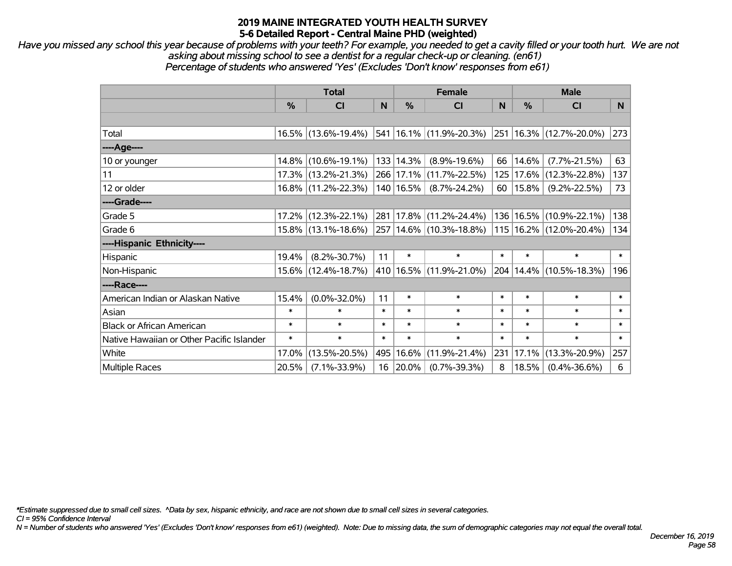*Have you missed any school this year because of problems with your teeth? For example, you needed to get a cavity filled or your tooth hurt. We are not asking about missing school to see a dentist for a regular check-up or cleaning. (en61) Percentage of students who answered 'Yes' (Excludes 'Don't know' responses from e61)*

|                                           | <b>Total</b>  |                     |        | <b>Female</b> | <b>Male</b>                 |        |               |                             |        |
|-------------------------------------------|---------------|---------------------|--------|---------------|-----------------------------|--------|---------------|-----------------------------|--------|
|                                           | $\frac{9}{6}$ | <b>CI</b>           | N      | $\frac{0}{0}$ | <b>CI</b>                   | N      | $\frac{9}{6}$ | <b>CI</b>                   | N.     |
|                                           |               |                     |        |               |                             |        |               |                             |        |
| Total                                     |               | 16.5% (13.6%-19.4%) |        |               | 541   16.1%   (11.9%-20.3%) |        |               | 251   16.3%   (12.7%-20.0%) | 273    |
| ----Age----                               |               |                     |        |               |                             |        |               |                             |        |
| 10 or younger                             |               | 14.8% (10.6%-19.1%) |        | 133 14.3%     | $(8.9\% - 19.6\%)$          | 66     | 14.6%         | $(7.7\% - 21.5\%)$          | 63     |
| 11                                        |               | 17.3% (13.2%-21.3%) |        | 266 17.1%     | $(11.7\% - 22.5\%)$         |        | 125 17.6%     | $(12.3\% - 22.8\%)$         | 137    |
| 12 or older                               |               | 16.8% (11.2%-22.3%) |        | 140   16.5%   | $(8.7\% - 24.2\%)$          |        | 60   15.8%    | $(9.2\% - 22.5\%)$          | 73     |
| ----Grade----                             |               |                     |        |               |                             |        |               |                             |        |
| Grade 5                                   |               | 17.2% (12.3%-22.1%) | 281    | 17.8%         | $(11.2\% - 24.4\%)$         |        | 136 16.5%     | $(10.9\% - 22.1\%)$         | 138    |
| Grade 6                                   |               | 15.8% (13.1%-18.6%) |        |               | 257   14.6%   (10.3%-18.8%) |        |               | 115   16.2%   (12.0%-20.4%) | 134    |
| ----Hispanic Ethnicity----                |               |                     |        |               |                             |        |               |                             |        |
| Hispanic                                  | 19.4%         | $(8.2\% - 30.7\%)$  | 11     | $\ast$        | $\ast$                      | $\ast$ | $\ast$        | $\ast$                      | $\ast$ |
| Non-Hispanic                              |               | 15.6% (12.4%-18.7%) |        |               | 410   16.5%   (11.9%-21.0%) |        |               | 204   14.4%   (10.5%-18.3%) | 196    |
| ----Race----                              |               |                     |        |               |                             |        |               |                             |        |
| American Indian or Alaskan Native         | 15.4%         | $(0.0\% - 32.0\%)$  | 11     | $\ast$        | $\ast$                      | $\ast$ | $\ast$        | $\ast$                      | $\ast$ |
| Asian                                     | $\ast$        | $\ast$              | $\ast$ | $\ast$        | $\ast$                      | $\ast$ | $\ast$        | $\ast$                      | $\ast$ |
| <b>Black or African American</b>          | $\ast$        | $\ast$              | $\ast$ | $\ast$        | $\ast$                      | $\ast$ | $\ast$        | $\ast$                      | $\ast$ |
| Native Hawaiian or Other Pacific Islander | $\ast$        | $\ast$              | $\ast$ | $\ast$        | $\ast$                      | $\ast$ | $\ast$        | $\ast$                      | $\ast$ |
| White                                     | 17.0%         | $(13.5\% - 20.5\%)$ | 495    | 16.6%         | $(11.9\% - 21.4\%)$         | 231    | 17.1%         | $(13.3\% - 20.9\%)$         | 257    |
| <b>Multiple Races</b>                     | 20.5%         | $(7.1\% - 33.9\%)$  | 16     | 20.0%         | $(0.7\% - 39.3\%)$          | 8      | 18.5%         | $(0.4\% - 36.6\%)$          | 6      |

*\*Estimate suppressed due to small cell sizes. ^Data by sex, hispanic ethnicity, and race are not shown due to small cell sizes in several categories.*

*CI = 95% Confidence Interval*

*N = Number of students who answered 'Yes' (Excludes 'Don't know' responses from e61) (weighted). Note: Due to missing data, the sum of demographic categories may not equal the overall total.*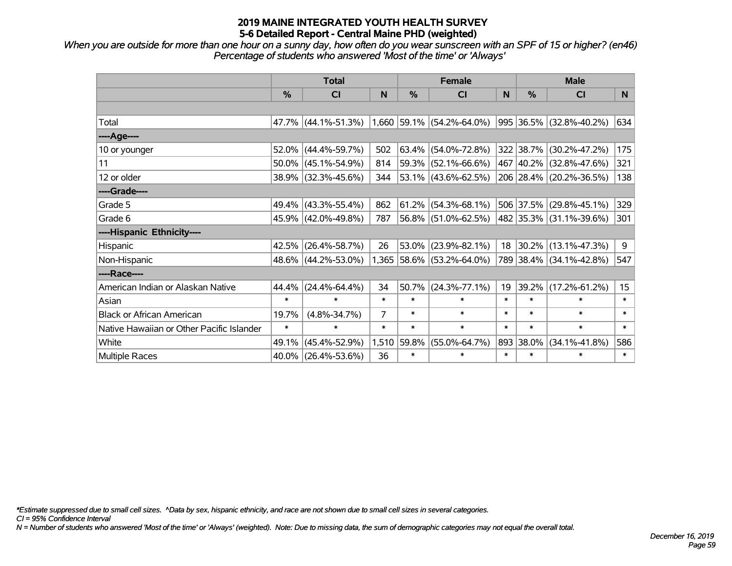*When you are outside for more than one hour on a sunny day, how often do you wear sunscreen with an SPF of 15 or higher? (en46) Percentage of students who answered 'Most of the time' or 'Always'*

|                                           | <b>Total</b>  |                        |        | <b>Female</b> | <b>Male</b>                 |        |               |                          |                  |
|-------------------------------------------|---------------|------------------------|--------|---------------|-----------------------------|--------|---------------|--------------------------|------------------|
|                                           | $\frac{0}{0}$ | <b>CI</b>              | N      | %             | <b>CI</b>                   | N      | $\frac{0}{0}$ | <b>CI</b>                | N.               |
|                                           |               |                        |        |               |                             |        |               |                          |                  |
| Total                                     |               | 47.7% (44.1%-51.3%)    |        |               | $1,660$ 59.1% (54.2%-64.0%) |        |               | 995 36.5% (32.8%-40.2%)  | 634              |
| ----Age----                               |               |                        |        |               |                             |        |               |                          |                  |
| 10 or younger                             | 52.0%         | $(44.4\% - 59.7\%)$    | 502    | 63.4%         | $(54.0\% - 72.8\%)$         |        | 322 38.7%     | $(30.2\% - 47.2\%)$      | 175              |
| 11                                        |               | $50.0\%$ (45.1%-54.9%) | 814    | 59.3%         | $(52.1\% - 66.6\%)$         |        |               | 467 40.2% (32.8%-47.6%)  | 321              |
| 12 or older                               |               | 38.9% (32.3%-45.6%)    | 344    |               | $ 53.1\% $ (43.6%-62.5%)    |        |               | 206 28.4% (20.2%-36.5%)  | 138              |
| ----Grade----                             |               |                        |        |               |                             |        |               |                          |                  |
| Grade 5                                   |               | 49.4% (43.3%-55.4%)    | 862    | 61.2%         | $(54.3\% - 68.1\%)$         |        | 506 37.5%     | $(29.8\% - 45.1\%)$      | 329              |
| Grade 6                                   |               | 45.9% (42.0%-49.8%)    | 787    |               | 56.8% (51.0%-62.5%)         |        |               | 482 35.3% (31.1%-39.6%)  | 301              |
| ----Hispanic Ethnicity----                |               |                        |        |               |                             |        |               |                          |                  |
| Hispanic                                  | 42.5%         | $(26.4\% - 58.7\%)$    | 26     | 53.0%         | $(23.9\% - 82.1\%)$         | 18     |               | $ 30.2\% $ (13.1%-47.3%) | 9                |
| Non-Hispanic                              |               | 48.6% (44.2%-53.0%)    |        |               | 1,365 58.6% (53.2%-64.0%)   |        |               | 789 38.4% (34.1%-42.8%)  | 547              |
| ----Race----                              |               |                        |        |               |                             |        |               |                          |                  |
| American Indian or Alaskan Native         | 44.4%         | $(24.4\% - 64.4\%)$    | 34     | 50.7%         | $(24.3\% - 77.1\%)$         | 19     | 39.2%         | $(17.2\% - 61.2\%)$      | 15 <sub>15</sub> |
| Asian                                     | $\ast$        | $\ast$                 | $\ast$ | $\ast$        | $\ast$                      | $\ast$ | $\ast$        | $\ast$                   | $\ast$           |
| <b>Black or African American</b>          | 19.7%         | $(4.8\% - 34.7\%)$     | 7      | $\ast$        | $\ast$                      | $\ast$ | $\ast$        | $\ast$                   | $\ast$           |
| Native Hawaiian or Other Pacific Islander | $\ast$        | $\ast$                 | $\ast$ | $\ast$        | $\ast$                      | $\ast$ | $\ast$        | $\ast$                   | $\ast$           |
| White                                     | 49.1%         | $(45.4\% - 52.9\%)$    | 1,510  | 59.8%         | $(55.0\% - 64.7\%)$         |        | 893 38.0%     | $(34.1\% - 41.8\%)$      | 586              |
| Multiple Races                            | 40.0%         | $(26.4\% - 53.6\%)$    | 36     | $\ast$        | $\ast$                      | $\ast$ | $\ast$        | $\ast$                   | $\ast$           |

*\*Estimate suppressed due to small cell sizes. ^Data by sex, hispanic ethnicity, and race are not shown due to small cell sizes in several categories.*

*CI = 95% Confidence Interval*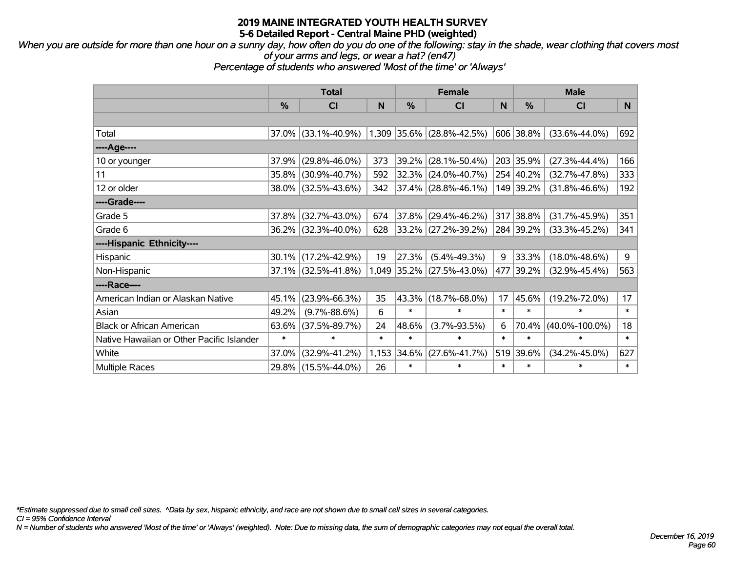*When you are outside for more than one hour on a sunny day, how often do you do one of the following: stay in the shade, wear clothing that covers most of your arms and legs, or wear a hat? (en47)*

*Percentage of students who answered 'Most of the time' or 'Always'*

|                                           | <b>Total</b> |                     |        | <b>Female</b> |                                        | <b>Male</b> |           |                      |        |
|-------------------------------------------|--------------|---------------------|--------|---------------|----------------------------------------|-------------|-----------|----------------------|--------|
|                                           | %            | C <sub>l</sub>      | N      | $\%$          | <b>CI</b>                              | N           | %         | CI                   | N.     |
|                                           |              |                     |        |               |                                        |             |           |                      |        |
| Total                                     | 37.0%        | $(33.1\% - 40.9\%)$ |        |               | $(1,309)$ $35.6\%$ $(28.8\% - 42.5\%)$ |             | 606 38.8% | $(33.6\% - 44.0\%)$  | 692    |
| ----Age----                               |              |                     |        |               |                                        |             |           |                      |        |
| 10 or younger                             | 37.9%        | $(29.8\% - 46.0\%)$ | 373    |               | 39.2% (28.1%-50.4%)                    |             | 203 35.9% | $(27.3\% - 44.4\%)$  | 166    |
| 11                                        | 35.8%        | $(30.9\% - 40.7\%)$ | 592    |               | 32.3% (24.0%-40.7%)                    |             | 254 40.2% | $(32.7\% - 47.8\%)$  | 333    |
| 12 or older                               | 38.0%        | $(32.5\% - 43.6\%)$ | 342    |               | 37.4% (28.8%-46.1%)                    |             | 149 39.2% | $(31.8\% - 46.6\%)$  | 192    |
| ----Grade----                             |              |                     |        |               |                                        |             |           |                      |        |
| Grade 5                                   | 37.8%        | $(32.7\% - 43.0\%)$ | 674    |               | 37.8% (29.4%-46.2%)                    | 317         | 38.8%     | $(31.7\% - 45.9\%)$  | 351    |
| Grade 6                                   | $36.2\%$     | $(32.3\% - 40.0\%)$ | 628    |               | $ 33.2\% $ (27.2%-39.2%)               |             | 284 39.2% | $(33.3\% - 45.2\%)$  | 341    |
| ----Hispanic Ethnicity----                |              |                     |        |               |                                        |             |           |                      |        |
| Hispanic                                  | 30.1%        | $(17.2\% - 42.9\%)$ | 19     | 27.3%         | $(5.4\% - 49.3\%)$                     | 9           | 33.3%     | $(18.0\% - 48.6\%)$  | 9      |
| Non-Hispanic                              | 37.1%        | $(32.5\% - 41.8\%)$ |        |               | $1,049$ 35.2% (27.5%-43.0%)            | 477         | 39.2%     | $(32.9\% - 45.4\%)$  | 563    |
| ----Race----                              |              |                     |        |               |                                        |             |           |                      |        |
| American Indian or Alaskan Native         | 45.1%        | $(23.9\% - 66.3\%)$ | 35     | 43.3%         | $(18.7\% - 68.0\%)$                    | 17          | 45.6%     | $(19.2\% - 72.0\%)$  | 17     |
| Asian                                     | 49.2%        | $(9.7\% - 88.6\%)$  | 6      | $\ast$        | $\ast$                                 | $\ast$      | $\ast$    | $\ast$               | $\ast$ |
| <b>Black or African American</b>          | 63.6%        | $(37.5\% - 89.7\%)$ | 24     | 48.6%         | $(3.7\% - 93.5\%)$                     | 6           | 70.4%     | $(40.0\% - 100.0\%)$ | 18     |
| Native Hawaiian or Other Pacific Islander | $\ast$       | $\ast$              | $\ast$ | $\ast$        | $\ast$                                 | $\ast$      | $\ast$    | $\ast$               | $\ast$ |
| White                                     | 37.0%        | $(32.9\% - 41.2\%)$ | 1,153  | 34.6%         | $(27.6\% - 41.7\%)$                    | 519         | 39.6%     | $(34.2\% - 45.0\%)$  | 627    |
| Multiple Races                            | 29.8%        | $(15.5\% - 44.0\%)$ | 26     | $\ast$        | $\ast$                                 | $\ast$      | $\ast$    | $\ast$               | $\ast$ |

*\*Estimate suppressed due to small cell sizes. ^Data by sex, hispanic ethnicity, and race are not shown due to small cell sizes in several categories.*

*CI = 95% Confidence Interval*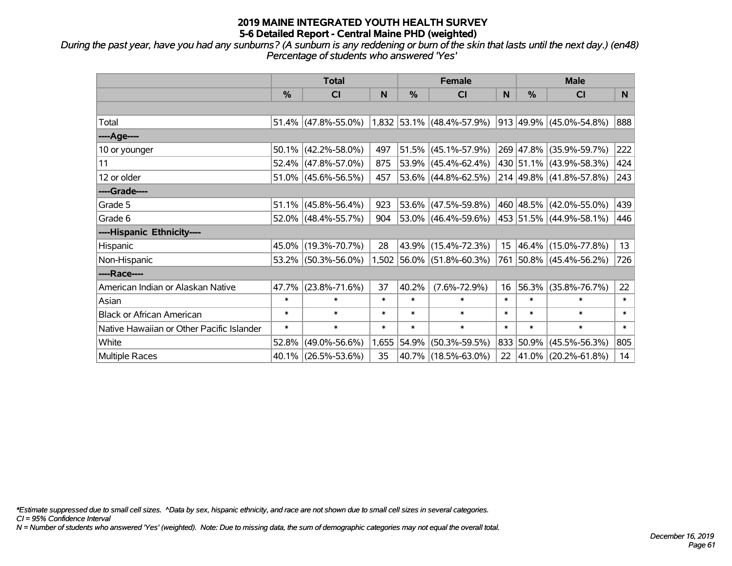*During the past year, have you had any sunburns? (A sunburn is any reddening or burn of the skin that lasts until the next day.) (en48) Percentage of students who answered 'Yes'*

|                                           | <b>Total</b>  |                        |        | <b>Female</b> |                                   | <b>Male</b>     |               |                              |        |
|-------------------------------------------|---------------|------------------------|--------|---------------|-----------------------------------|-----------------|---------------|------------------------------|--------|
|                                           | $\frac{0}{0}$ | <b>CI</b>              | N      | %             | <b>CI</b>                         | N               | $\frac{0}{0}$ | <b>CI</b>                    | N.     |
|                                           |               |                        |        |               |                                   |                 |               |                              |        |
| Total                                     |               | $51.4\%$ (47.8%-55.0%) |        |               | $(1,832 53.1\% (48.4\% - 57.9\%)$ |                 |               | $ 913 49.9\% $ (45.0%-54.8%) | 888    |
| ----Age----                               |               |                        |        |               |                                   |                 |               |                              |        |
| 10 or younger                             |               | $50.1\%$ (42.2%-58.0%) | 497    | 51.5%         | $(45.1\% - 57.9\%)$               |                 |               | 269 47.8% (35.9%-59.7%)      | 222    |
| 11                                        |               | 52.4% (47.8%-57.0%)    | 875    |               | $53.9\%$ (45.4%-62.4%)            |                 |               | 430 51.1% (43.9%-58.3%)      | 424    |
| 12 or older                               |               | $51.0\%$ (45.6%-56.5%) | 457    |               | 53.6% (44.8%-62.5%)               |                 |               | 214 49.8% (41.8%-57.8%)      | 243    |
| ----Grade----                             |               |                        |        |               |                                   |                 |               |                              |        |
| Grade 5                                   |               | $51.1\%$ (45.8%-56.4%) | 923    |               | $53.6\%$ (47.5%-59.8%)            |                 |               | 460 48.5% (42.0%-55.0%)      | 439    |
| Grade 6                                   |               | 52.0% (48.4%-55.7%)    | 904    |               | 53.0% (46.4%-59.6%)               |                 |               | 453   51.5%   (44.9%-58.1%)  | 446    |
| ----Hispanic Ethnicity----                |               |                        |        |               |                                   |                 |               |                              |        |
| Hispanic                                  |               | 45.0% (19.3%-70.7%)    | 28     | 43.9%         | $(15.4\% - 72.3\%)$               | 15 <sub>1</sub> |               | $ 46.4\% $ (15.0%-77.8%)     | 13     |
| Non-Hispanic                              |               | 53.2% (50.3%-56.0%)    |        |               | $1,502$ 56.0% (51.8%-60.3%)       |                 |               | 761 50.8% (45.4%-56.2%)      | 726    |
| ----Race----                              |               |                        |        |               |                                   |                 |               |                              |        |
| American Indian or Alaskan Native         |               | 47.7% (23.8%-71.6%)    | 37     | 40.2%         | $(7.6\% - 72.9\%)$                | 16              |               | 56.3% (35.8%-76.7%)          | 22     |
| Asian                                     | $\ast$        | $\ast$                 | $\ast$ | $\ast$        | $\ast$                            | $\ast$          | $\ast$        | $\ast$                       | $\ast$ |
| <b>Black or African American</b>          | $\ast$        | $\ast$                 | $\ast$ | $\ast$        | $\ast$                            | $\ast$          | $\ast$        | $\ast$                       | $\ast$ |
| Native Hawaiian or Other Pacific Islander | $\ast$        | $\ast$                 | $\ast$ | $\ast$        | $\ast$                            | $\ast$          | $\ast$        | $\ast$                       | $\ast$ |
| White                                     | 52.8%         | $(49.0\% - 56.6\%)$    | 1,655  | 54.9%         | $(50.3\% - 59.5\%)$               |                 |               | 833 50.9% (45.5%-56.3%)      | 805    |
| Multiple Races                            |               | 40.1% (26.5%-53.6%)    | 35     |               | 40.7% (18.5%-63.0%)               |                 |               | 22 41.0% (20.2%-61.8%)       | 14     |

*\*Estimate suppressed due to small cell sizes. ^Data by sex, hispanic ethnicity, and race are not shown due to small cell sizes in several categories.*

*CI = 95% Confidence Interval*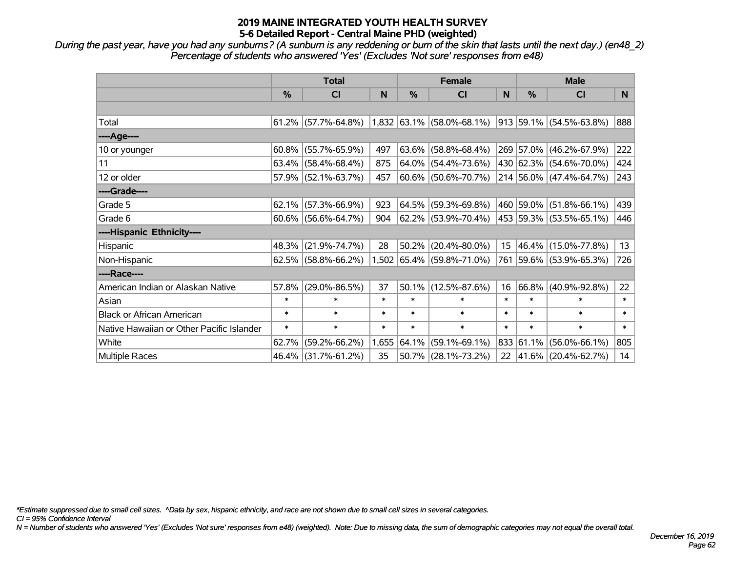*During the past year, have you had any sunburns? (A sunburn is any reddening or burn of the skin that lasts until the next day.) (en48\_2) Percentage of students who answered 'Yes' (Excludes 'Not sure' responses from e48)*

|                                           | <b>Total</b>  |                                                  |        | <b>Female</b> |                           |                  | <b>Male</b> |                         |        |
|-------------------------------------------|---------------|--------------------------------------------------|--------|---------------|---------------------------|------------------|-------------|-------------------------|--------|
|                                           | $\frac{0}{0}$ | CI                                               | N      | %             | <b>CI</b>                 | N                | %           | <b>CI</b>               | N.     |
|                                           |               |                                                  |        |               |                           |                  |             |                         |        |
| Total                                     |               | $61.2\%$ (57.7%-64.8%) 1,832 63.1% (58.0%-68.1%) |        |               |                           |                  |             | 913 59.1% (54.5%-63.8%) | 888    |
| ----Age----                               |               |                                                  |        |               |                           |                  |             |                         |        |
| 10 or younger                             | 60.8%         | $(55.7\% - 65.9\%)$                              | 497    | 63.6%         | $(58.8\% - 68.4\%)$       |                  |             | 269 57.0% (46.2%-67.9%) | 222    |
| 11                                        |               | $63.4\%$ (58.4%-68.4%)                           | 875    |               | $64.0\%$ (54.4%-73.6%)    |                  |             | 430 62.3% (54.6%-70.0%) | 424    |
| 12 or older                               |               | 57.9% (52.1%-63.7%)                              | 457    |               | 60.6% (50.6%-70.7%)       |                  |             | 214 56.0% (47.4%-64.7%) | 243    |
| ----Grade----                             |               |                                                  |        |               |                           |                  |             |                         |        |
| Grade 5                                   | 62.1%         | $(57.3\% - 66.9\%)$                              | 923    |               | 64.5% (59.3%-69.8%)       |                  |             | 460 59.0% (51.8%-66.1%) | 439    |
| Grade 6                                   |               | $60.6\%$ (56.6%-64.7%)                           | 904    |               | 62.2% (53.9%-70.4%)       |                  |             | 453 59.3% (53.5%-65.1%) | 446    |
| ----Hispanic Ethnicity----                |               |                                                  |        |               |                           |                  |             |                         |        |
| Hispanic                                  | 48.3%         | $(21.9\% - 74.7\%)$                              | 28     | 50.2%         | $(20.4\% - 80.0\%)$       | 15 <sub>15</sub> |             | 46.4% (15.0%-77.8%)     | 13     |
| Non-Hispanic                              |               | $62.5\%$ (58.8%-66.2%)                           |        |               | 1,502 65.4% (59.8%-71.0%) |                  |             | 761 59.6% (53.9%-65.3%) | 726    |
| ----Race----                              |               |                                                  |        |               |                           |                  |             |                         |        |
| American Indian or Alaskan Native         | 57.8%         | $(29.0\% - 86.5\%)$                              | 37     | 50.1%         | $(12.5\% - 87.6\%)$       | 16               | 66.8%       | $(40.9\% - 92.8\%)$     | 22     |
| Asian                                     | $\ast$        | $\ast$                                           | $\ast$ | $\ast$        | $\ast$                    | $\ast$           | $\ast$      | $\ast$                  | $\ast$ |
| <b>Black or African American</b>          | $\ast$        | $\ast$                                           | $\ast$ | $\ast$        | $\ast$                    | $\ast$           | $\ast$      | $\ast$                  | $\ast$ |
| Native Hawaiian or Other Pacific Islander | $\ast$        | $\ast$                                           | $\ast$ | $\ast$        | $\ast$                    | $\ast$           | $\ast$      | $\ast$                  | $\ast$ |
| White                                     | 62.7%         | $(59.2\% - 66.2\%)$                              | 1,655  | 64.1%         | $(59.1\% - 69.1\%)$       |                  | 833 61.1%   | $(56.0\% - 66.1\%)$     | 805    |
| Multiple Races                            |               | 46.4% (31.7%-61.2%)                              | 35     |               | 50.7% (28.1%-73.2%)       | 22               |             | 41.6% (20.4%-62.7%)     | 14     |

*\*Estimate suppressed due to small cell sizes. ^Data by sex, hispanic ethnicity, and race are not shown due to small cell sizes in several categories.*

*CI = 95% Confidence Interval*

*N = Number of students who answered 'Yes' (Excludes 'Not sure' responses from e48) (weighted). Note: Due to missing data, the sum of demographic categories may not equal the overall total.*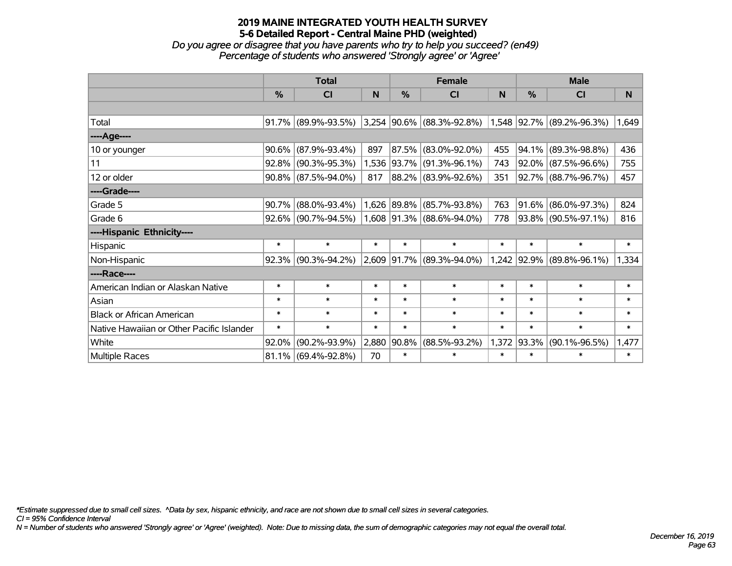*Do you agree or disagree that you have parents who try to help you succeed? (en49) Percentage of students who answered 'Strongly agree' or 'Agree'*

|                                           | <b>Total</b>  |                        |        |               | <b>Female</b>               |        | <b>Male</b>   |                           |        |
|-------------------------------------------|---------------|------------------------|--------|---------------|-----------------------------|--------|---------------|---------------------------|--------|
|                                           | $\frac{0}{2}$ | C <sub>l</sub>         | N      | $\frac{0}{0}$ | <b>CI</b>                   | N      | $\frac{0}{0}$ | <b>CI</b>                 | N      |
|                                           |               |                        |        |               |                             |        |               |                           |        |
| Total                                     |               | $91.7\%$ (89.9%-93.5%) |        |               | $3,254$ 90.6% (88.3%-92.8%) |        |               | 1,548 92.7% (89.2%-96.3%) | 1,649  |
| ----Age----                               |               |                        |        |               |                             |        |               |                           |        |
| 10 or younger                             | 90.6%         | $(87.9\% - 93.4\%)$    | 897    | $ 87.5\% $    | $(83.0\% - 92.0\%)$         | 455    | 94.1%         | $(89.3\% - 98.8\%)$       | 436    |
| 11                                        | 92.8%         | $(90.3\% - 95.3\%)$    |        |               | 1,536 93.7% (91.3%-96.1%)   | 743    |               | 92.0% (87.5%-96.6%)       | 755    |
| 12 or older                               |               | $90.8\%$ (87.5%-94.0%) | 817    |               | 88.2% (83.9%-92.6%)         | 351    |               | 92.7% (88.7%-96.7%)       | 457    |
| ----Grade----                             |               |                        |        |               |                             |        |               |                           |        |
| Grade 5                                   | 90.7%         | $(88.0\% - 93.4\%)$    |        | 1,626 89.8%   | $(85.7\% - 93.8\%)$         | 763    |               | 91.6% (86.0%-97.3%)       | 824    |
| Grade 6                                   |               | $92.6\%$ (90.7%-94.5%) |        |               | 1,608 91.3% (88.6%-94.0%)   | 778    |               | 93.8% (90.5%-97.1%)       | 816    |
| ----Hispanic Ethnicity----                |               |                        |        |               |                             |        |               |                           |        |
| Hispanic                                  | $\ast$        | $\ast$                 | $\ast$ | $\ast$        | $\ast$                      | $\ast$ | $\ast$        | $\ast$                    | $\ast$ |
| Non-Hispanic                              |               | $92.3\%$ (90.3%-94.2%) |        |               | 2,609 91.7% (89.3%-94.0%)   |        |               | 1,242 92.9% (89.8%-96.1%) | 1,334  |
| ----Race----                              |               |                        |        |               |                             |        |               |                           |        |
| American Indian or Alaskan Native         | $\ast$        | $\ast$                 | $\ast$ | $\ast$        | $\ast$                      | $\ast$ | $\ast$        | $\ast$                    | $\ast$ |
| Asian                                     | $\ast$        | $\ast$                 | $\ast$ | $\ast$        | $\ast$                      | $\ast$ | $\ast$        | $\ast$                    | $\ast$ |
| <b>Black or African American</b>          | $\ast$        | $\ast$                 | $\ast$ | $\ast$        | $\ast$                      | $\ast$ | $\ast$        | $\ast$                    | $\ast$ |
| Native Hawaiian or Other Pacific Islander | $\ast$        | $\ast$                 | $\ast$ | $\ast$        | $\ast$                      | $\ast$ | $\ast$        | $\ast$                    | $\ast$ |
| White                                     | 92.0%         | $(90.2\% - 93.9\%)$    | 2,880  | 90.8%         | $(88.5\% - 93.2\%)$         | 1,372  | 93.3%         | $(90.1\% - 96.5\%)$       | 1,477  |
| Multiple Races                            |               | $81.1\%$ (69.4%-92.8%) | 70     | $\ast$        | $\ast$                      | $\ast$ | $\ast$        | $\ast$                    | $\ast$ |

*\*Estimate suppressed due to small cell sizes. ^Data by sex, hispanic ethnicity, and race are not shown due to small cell sizes in several categories.*

*CI = 95% Confidence Interval*